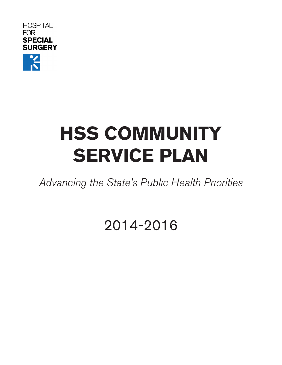**HOSPITAL FOR SPECIAL SURGERY** 

# **HSS COMMUNITY SERVICE PLAN**

Advancing the State's Public Health Priorities

2014-2016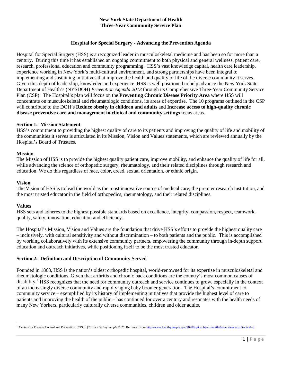#### **New York State Department of Health Three-Year Community Service Plan**

## **Hospital for Special Surgery - Advancing the Prevention Agenda**

Hospital for Special Surgery (HSS) is a recognized leader in musculoskeletal medicine and has been so for more than a century. During this time it has established an ongoing commitment to both physical and general wellness, patient care, research, professional education and community programming. HSS's vast knowledge capital, health care leadership, experience working in New York's multi-cultural environment, and strong partnerships have been integral to implementing and sustaining initiatives that improve the health and quality of life of the diverse community it serves. Given this depth of leadership, knowledge and experience, HSS is well positioned to help advance the New York State Department of Health's (NYSDOH) *Prevention Agenda 2013* through its Comprehensive Three-Year Community Service Plan (CSP). The Hospital's plan will focus on the **Preventing Chronic Disease Priority Area** where HSS will concentrate on musculoskeletal and rheumatologic conditions, its areas of expertise. The 10 programs outlined in the CSP will contribute to the DOH's **Reduce obesity in children and adults** and **Increase access to high-quality chronic disease preventive care and management in clinical and community settings** focus areas.

#### **Section 1: Mission Statement**

HSS's commitment to providing the highest quality of care to its patients and improving the quality of life and mobility of the communities it serves is articulated in its Mission, Vision and Values statements, which are reviewed annually by the Hospital's Board of Trustees.

#### **Mission**

The Mission of HSS is to provide the highest quality patient care, improve mobility, and enhance the quality of life for all, while advancing the science of orthopedic surgery, rheumatology, and their related disciplines through research and education. We do this regardless of race, color, creed, sexual orientation, or ethnic origin.

#### **Vision**

The Vision of HSS is to lead the world as the most innovative source of medical care, the premier research institution, and the most trusted educator in the field of orthopedics, rheumatology, and their related disciplines.

#### **Values**

HSS sets and adheres to the highest possible standards based on excellence, integrity, compassion, respect, teamwork, quality, safety, innovation, education and efficiency.

The Hospital's Mission, Vision and Values are the foundation that drive HSS's efforts to provide the highest quality care – inclusively, with cultural sensitivity and without discrimination – to both patients and the public. This is accomplished by working collaboratively with its extensive community partners, empowering the community through in-depth support, education and outreach initiatives, while positioning itself to be the most trusted educator.

#### **Section 2: Definition and Description of Community Served**

Founded in 1863, HSS is the nation's oldest orthopedic hospital, world-renowned for its expertise in musculoskeletal and rheumatologic conditions. Given that arthritis and chronic back conditions are the country's most common causes of disability,<sup>[1](#page-1-0)</sup> HSS recognizes that the need for community outreach and service continues to grow, especially in the context of an increasingly diverse community and rapidly aging baby boomer generation. The Hospital's commitment to community service – exemplified by its history of implementing initiatives that provide the highest level of care to patients and improving the health of the public – has continued for over a century and resonates with the health needs of many New Yorkers, particularly culturally diverse communities, children and older adults.

<span id="page-1-0"></span> $\overline{\phantom{a}}$ <sup>1</sup> Centers for Disease Control and Prevention. (CDC). (2013). *Healthy People 2020*. Retrieved fro[m http://www.healthypeople.gov/2020/topicsobjectives2020/overview.aspx?topicid=3](http://www.healthypeople.gov/2020/topicsobjectives2020/overview.aspx?topicid=3)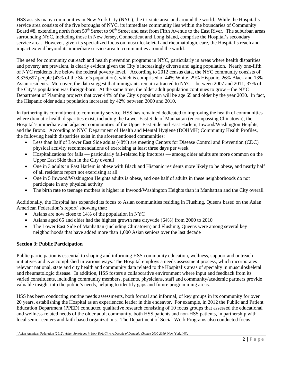HSS assists many communities in New York City (NYC), the tri-state area, and around the world. While the Hospital's service area consists of the five boroughs of NYC, its immediate community lies within the boundaries of Community Board #8, extending north from 59<sup>th</sup> Street to 96<sup>th</sup> Street and east from Fifth Avenue to the East River. The suburban areas surrounding NYC, including those in New Jersey, Connecticut and Long Island, comprise the Hospital's secondary service area. However, given its specialized focus on musculoskeletal and rheumatologic care, the Hospital's reach and impact extend beyond its immediate service area to communities around the world.

The need for community outreach and health prevention programs in NYC, particularly in areas where health disparities and poverty are prevalent, is clearly evident given the City's increasingly diverse and aging population. Nearly one-fifth of NYC residents live below the federal poverty level. According to 2012 census data, the NYC community consists of 8,336,697 people (43% of the State's population), which is comprised of 44% White, 29% Hispanic, 26% Black and 13% Asian residents. Moreover, the data suggest that immigrants remain attracted to NYC – between 2007 and 2011, 37% of the City's population was foreign-born. At the same time, the older adult population continues to grow – the NYC Department of Planning projects that over 44% of the City's population will be age 65 and older by the year 2030. In fact, the Hispanic older adult population increased by 42% between 2000 and 2010.

In furthering its commitment to community service, HSS has remained dedicated to improving the health of communities where dramatic health disparities exist, including the Lower East Side of Manhattan (encompassing Chinatown), the Hospital's immediate and adjacent communities of the Upper East Side and East Harlem, Inwood/Washington Heights, and the Bronx. According to NYC Department of Health and Mental Hygiene (DOHMH) Community Health Profiles, the following health disparities exist in the aforementioned communities:

- Less than half of Lower East Side adults (48%) are meeting Centers for Disease Control and Prevention (CDC) physical activity recommendations of exercising at least three days per week
- Hospitalizations for falls particularly fall-related hip fractures among older adults are more common on the Upper East Side than in the City overall
- One in 3 adults in East Harlem is obese with Black and Hispanic residents more likely to be obese, and nearly half of all residents report not exercising at all
- One in 5 Inwood/Washington Heights adults is obese, and one half of adults in these neighborhoods do not participate in any physical activity
- The birth rate to teenage mothers is higher in Inwood/Washington Heights than in Manhattan and the City overall

Additionally, the Hospital has expanded its focus to Asian communities residing in Flushing, Queens based on the Asian American Federation's report<sup>[2](#page-2-0)</sup> showing that:

- Asians are now close to 14% of the population in NYC
- Asians aged 65 and older had the highest growth rate citywide (64%) from 2000 to 2010
- The Lower East Side of Manhattan (including Chinatown) and Flushing, Queens were among several key neighborhoods that have added more than 1,000 Asian seniors over the last decade

## **Section 3: Public Participation**

Public participation is essential to shaping and informing HSS community education, wellness, support and outreach initiatives and is accomplished in various ways. The Hospital employs a needs assessment process, which incorporates relevant national, state and city health and community data related to the Hospital's areas of specialty in musculoskeletal and rheumatologic disease. In addition, HSS fosters a collaborative environment where input and feedback from its varied constituents, including community members, patients, physicians, staff and community/academic partners provide valuable insight into the public's needs, helping to identify gaps and future programming areas.

HSS has been conducting routine needs assessments, both formal and informal, of key groups in its community for over 20 years, establishing the Hospital as an experienced leader in this endeavor. For example, in 2012 the Public and Patient Education Department (PPED) conducted qualitative research consisting of 10 focus groups that assessed the educational and wellness-related needs of the older adult community, both HSS patients and non-HSS patients, in partnership with local senior centers and faith-based organizations. The Department of Social Work Programs also conducted focus

<span id="page-2-0"></span> $\overline{\phantom{a}}$ <sup>2</sup> Asian American Federation (2012). *Asian Americans in New York City: A Decade of Dynamic Change 2000-2010*. New York, NY.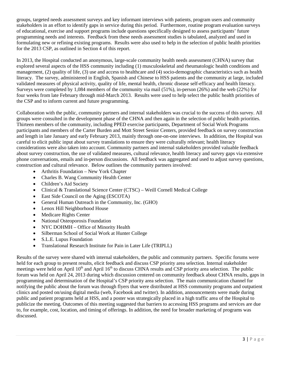groups, targeted needs assessment surveys and key informant interviews with patients, program users and community stakeholders in an effort to identify gaps in service during this period. Furthermore, routine program evaluation surveys of educational, exercise and support programs include questions specifically designed to assess participants' future programming needs and interests. Feedback from these needs assessment studies is tabulated, analyzed and used in formulating new or refining existing programs. Results were also used to help in the selection of public health priorities for the 2013 CSP, as outlined in Section 4 of this report.

In 2013, the Hospital conducted an anonymous, large-scale community health needs assessment (CHNA) survey that explored several aspects of the HSS community including (1) musculoskeletal and rheumatologic health conditions and management, (2) quality of life, (3) use and access to healthcare and (4) socio-demographic characteristics such as health literacy. The survey, administered in English, Spanish and Chinese to HSS patients and the community at large, included validated measures of physical activity, quality of life, mental health, chronic disease self-efficacy and health literacy. Surveys were completed by 1,084 members of the community via mail (51%), in-person (26%) and the web (22%) for four weeks from late February through mid-March 2013. Results were used to help select the public health priorities of the CSP and to inform current and future programming.

Collaboration with the public, community partners and internal stakeholders was crucial to the success of this survey. All groups were consulted in the development phase of the CHNA and then again in the selection of public health priorities. Thirteen members of the community, including PPED exercise participants, Department of Social Work Programs participants and members of the Carter Burden and Mott Street Senior Centers, provided feedback on survey construction and length in late January and early February 2013, mainly through one-on-one interviews. In addition, the Hospital was careful to elicit public input about survey translations to ensure they were culturally relevant; health literacy considerations were also taken into account. Community partners and internal stakeholders provided valuable feedback about survey construction, the use of validated measures, cultural relevance, health literacy and survey gaps via extensive phone conversations, emails and in-person discussions. All feedback was aggregated and used to adjust survey questions, construction and cultural relevance. Below outlines the community partners involved:

- Arthritis Foundation New York Chapter
- Charles B. Wang Community Health Center
- Children's Aid Society
- Clinical & Translational Science Center (CTSC) Weill Cornell Medical College
- East Side Council on the Aging (ESCOTA)
- General Human Outreach in the Community, Inc. (GHO)
- Lenox Hill Neighborhood House
- Medicare Rights Center
- National Osteoporosis Foundation
- NYC DOHMH Office of Minority Health
- Silberman School of Social Work at Hunter College
- S.L.E. Lupus Foundation
- Translational Research Institute for Pain in Later Life (TRIPLL)

Results of the survey were shared with internal stakeholders, the public and community partners. Specific forums were held for each group to present results, elicit feedback and discuss CSP priority area selection. Internal stakeholder meetings were held on April  $10<sup>th</sup>$  and April  $16<sup>th</sup>$  to discuss CHNA results and CSP priority area selection. The public forum was held on April 24, 2013 during which discussion centered on community feedback about CHNA results, gaps in programming and determination of the Hospital's CSP priority area selection. The main communication channel for notifying the public about the forum was through flyers that were distributed at HSS community programs and outpatient clinics and posted on/using digital media (web, Facebook and twitter). In addition, announcements were made during public and patient programs held at HSS, and a poster was strategically placed in a high traffic area of the Hospital to publicize the meeting. Outcomes of this meeting suggested that barriers to accessing HSS programs and services are due to, for example, cost, location, and timing of offerings. In addition, the need for broader marketing of programs was discussed.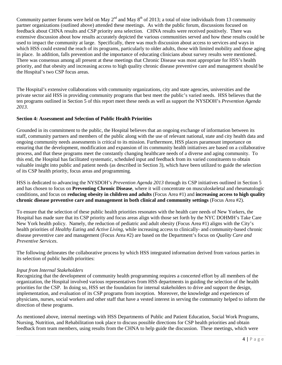Community partner forums were held on May  $2<sup>nd</sup>$  and May  $8<sup>th</sup>$  of 2013; a total of nine individuals from 13 community partner organizations (outlined above) attended these meetings. As with the public forum, discussions focused on feedback about CHNA results and CSP priority area selection. CHNA results were received positively. There was extensive discussion about how results accurately depicted the various communities served and how these results could be used to impact the community at large. Specifically, there was much discussion about access to services and ways in which HSS could extend the reach of its programs, particularly to older adults, those with limited mobility and those aging in place. In addition, falls prevention and the importance of educating clinicians about survey results were mentioned. There was consensus among all present at these meetings that Chronic Disease was most appropriate for HSS's health priority, and that obesity and increasing access to high quality chronic disease preventive care and management should be the Hospital's two CSP focus areas.

The Hospital's extensive collaborations with community organizations, city and state agencies, universities and the private sector aid HSS in providing community programs that best meet the public's varied needs. HSS believes that the ten programs outlined in Section 5 of this report meet these needs as well as support the NYSDOH's *Prevention Agenda 2013*.

## **Section 4: Assessment and Selection of Public Health Priorities**

Grounded in its commitment to the public, the Hospital believes that an ongoing exchange of information between its staff, community partners and members of the public along with the use of relevant national, state and city health data and ongoing community needs assessments is critical to its mission. Furthermore, HSS places paramount importance on ensuring that the development, modification and expansion of its community health initiatives are based on a collaborative process, and that these programs meet the constantly changing healthcare needs of a diverse and aging community. To this end, the Hospital has facilitated systematic, scheduled input and feedback from its varied constituents to obtain valuable insight into public and patient needs (as described in Section 3), which have been utilized to guide the selection of its CSP health priority, focus areas and programming.

HSS is dedicated to advancing the NYSDOH's *Prevention Agenda 2013* through its CSP initiatives outlined in Section 5 and has chosen to focus on **Preventing Chronic Disease**, where it will concentrate on musculoskeletal and rheumatologic conditions, and focus on **reducing obesity in children and adults** (Focus Area #1) and **increasing access to high quality chronic disease preventive care and management in both clinical and community settings** (Focus Area #2).

To ensure that the selection of these public health priorities resonates with the health care needs of New Yorkers, the Hospital has made sure that its CSP priority and focus areas align with those set forth by the NYC DOHMH's Take Care New York health policy. Namely, the reduction of pediatric and adult obesity (Focus Area #1) aligns with the City's health priorities of *Healthy Eating* and *Active Living*, while increasing access to clinically- and community-based chronic disease preventive care and management (Focus Area #2) are based on the Department's focus on *Quality Care and Preventive Services*.

The following delineates the collaborative process by which HSS integrated information derived from various parties in its selection of public health priorities:

#### *Input from Internal Stakeholders*

Recognizing that the development of community health programming requires a concerted effort by all members of the organization, the Hospital involved various representatives from HSS departments in guiding the selection of the health priorities for the CSP. In doing so, HSS set the foundation for internal stakeholders to drive and support the design, implementation, and evaluation of its CSP programs from inception. Moreover, the knowledge and experiences of physicians, nurses, social workers and other staff that have a vested interest in serving the community helped to inform the direction of these programs.

As mentioned above, internal meetings with HSS Departments of Public and Patient Education, Social Work Programs, Nursing, Nutrition, and Rehabilitation took place to discuss possible directions for CSP health priorities and obtain feedback from team members, using results from the CHNA to help guide the discussion. These meetings, which were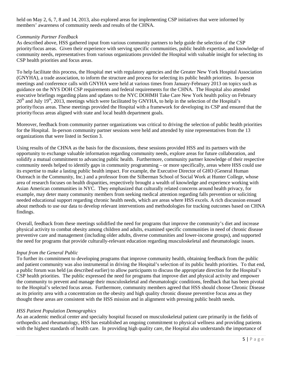held on May 2, 6, 7, 8 and 14, 2013, also explored areas for implementing CSP initiatives that were informed by members' awareness of community needs and results of the CHNA.

## *Community Partner Feedback*

As described above, HSS gathered input from various community partners to help guide the selection of the CSP priority/focus areas. Given their experience with serving specific communities, public health expertise, and knowledge of community needs, representatives from various organizations provided the Hospital with valuable insight for selecting its CSP health priorities and focus areas.

To help facilitate this process, the Hospital met with regulatory agencies and the Greater New York Hospital Association (GNYHA), a trade association, to inform the structure and process for selecting its public health priorities. In-person meetings and conference calls with GNYHA were held at various times from January-February 2013 on topics such as guidance on the NYS DOH CSP requirements and federal requirements for the CHNA. The Hospital also attended executive briefings regarding plans and updates to the NYC DOHMH Take Care New York health policy on February  $20<sup>th</sup>$  and July  $19<sup>th</sup>$ ,  $2013$ , meetings which were facilitated by GNYHA, to help in the selection of the Hospital's priority/focus areas. These meetings provided the Hospital with a framework for developing its CSP and ensured that the priority/focus areas aligned with state and local health department goals.

Moreover, feedback from community partner organizations was critical to driving the selection of public health priorities for the Hospital. In-person community partner sessions were held and attended by nine representatives from the 13 organizations that were listed in Section 3.

Using results of the CHNA as the basis for the discussions, these sessions provided HSS and its partners with the opportunity to exchange valuable information regarding community needs, explore areas for future collaboration, and solidify a mutual commitment to advancing public health. Furthermore, community partner knowledge of their respective community needs helped to identify gaps in community programming – or more specifically, areas where HSS could use its expertise to make a lasting public health impact. For example, the Executive Director of GHO (General Human Outreach in the Community, Inc.) and a professor from the Silberman School of Social Work at Hunter College, whose area of research focuses on health disparities, respectively brought a wealth of knowledge and experience working with Asian American communities in NYC. They emphasized that culturally related concerns around health privacy, for example, may deter many community members from seeking medical attention regarding falls prevention or soliciting needed educational support regarding chronic health needs, which are areas where HSS excels. A rich discussion ensued about methods to use our data to develop relevant interventions and methodologies for tracking outcomes based on CHNA findings.

Overall, feedback from these meetings solidified the need for programs that improve the community's diet and increase physical activity to combat obesity among children and adults, examined specific communities in need of chronic disease preventive care and management (including older adults, diverse communities and lower-income groups), and supported the need for programs that provide culturally-relevant education regarding musculoskeletal and rheumatologic issues.

#### *Input from the General Public*

To further its commitment to developing programs that improve community health, obtaining feedback from the public and patient community was also instrumental in driving the Hospital's selection of its public health priorities. To that end, a public forum was held (as described earlier) to allow participants to discuss the appropriate direction for the Hospital's CSP health priorities. The public expressed the need for programs that improve diet and physical activity and empower the community to prevent and manage their musculoskeletal and rheumatologic conditions, feedback that has been pivotal to the Hospital's selected focus areas. Furthermore, community members agreed that HSS should choose Chronic Disease as its priority area with a concentration on the obesity and high quality chronic disease preventive focus area as they thought these areas are consistent with the HSS mission and in alignment with pressing public health needs.

#### *HSS Patient Population Demographics*

As an academic medical center and specialty hospital focused on musculoskeletal patient care primarily in the fields of orthopedics and rheumatology, HSS has established an ongoing commitment to physical wellness and providing patients with the highest standards of health care. In providing high quality care, the Hospital also understands the importance of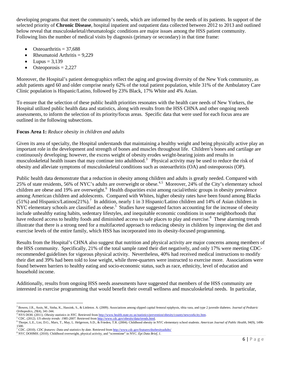developing programs that meet the community's needs, which are informed by the needs of its patients. In support of the selected priority of **Chronic Disease**, hospital inpatient and outpatient data collected between 2012 to 2013 and outlined below reveal that musculoskeletal/rheumatologic conditions are major issues among the HSS patient community. Following lists the number of medical visits by diagnosis (primary or secondary) in that time frame:

- Osteoarthritis  $= 37,688$
- Rheumatoid Arthritis  $= 9,229$
- Lupus  $= 3,139$

l

Osteoporosis  $= 2,227$ 

Moreover, the Hospital's patient demographics reflect the aging and growing diversity of the New York community, as adult patients aged 60 and older comprise nearly 62% of the total patient population, while 31% of the Ambulatory Care Clinic population is Hispanic/Latino, followed by 23% Black, 17% White and 4% Asian.

To ensure that the selection of these public health priorities resonates with the health care needs of New Yorkers, the Hospital utilized public health data and statistics, along with results from the HSS CHNA and other ongoing needs assessments, to inform the selection of its priority/focus areas. Specific data that were used for each focus area are outlined in the following subsections.

## **Focus Area 1:** *Reduce obesity in children and adults*

Given its area of specialty, the Hospital understands that maintaining a healthy weight and being physically active play an important role in the development and strength of bones and muscles throughout life. Children's bones and cartilage are continuously developing; however, the excess weight of obesity erodes weight-bearing joints and results in musculoskeletal health issues that may continue into adulthood.<sup>[3](#page-6-0)</sup> Physical activity may be used to reduce the risk of obesity and alleviate symptoms of musculoskeletal conditions such as osteoarthritis (OA) and osteoporosis (OP).

Public health data demonstrate that a reduction in obesity among children and adults is greatly needed. Compared with 25% of state residents, 56% of NYC's adults are overweight or obese.<sup>[4](#page-6-1),[5](#page-6-2)</sup> Moreover, 24% of the City's elementary school children are obese and 19% are overweight.<sup>[6](#page-6-3)</sup> Health disparities exist among racial/ethnic groups in obesity prevalence among American children and adolescents. Compared with Whites, higher obesity rates have been found among Blacks (51%) and Hispanics/Latinos(21%).<sup>[7](#page-6-4)</sup> In addition, nearly 1 in 3 Hispanic/Latino children and 14% of Asian children in NYC elementary schools are classified as obese.<sup>5</sup> Studies have suggested factors accounting for the increase of obesity include unhealthy eating habits, sedentary lifestyles, and inequitable economic conditions in some neighborhoods that have reduced access to healthy foods and diminished access to safe places to play and exercise.<sup>[8](#page-6-5)</sup> These alarming trends illustrate that there is a strong need for a multifaceted approach to reducing obesity in children by improving the diet and exercise levels of the entire family, which HSS has incorporated into its obesity-focused programming.

Results from the Hospital's CHNA also suggest that nutrition and physical activity are major concerns among members of the HSS community. Specifically, 21% of the total sample rated their diet negatively, and only 17% were meeting CDCrecommended guidelines for vigorous physical activity. Nevertheless, 40% had received medical instructions to modify their diet and 39% had been told to lose weight, while three-quarters were instructed to exercise more. Associations were found between barriers to healthy eating and socio-economic status, such as race, ethnicity, level of education and household income.

Additionally, results from ongoing HSS needs assessments have suggested that members of the HSS community are interested in exercise programming that would benefit their overall wellness and musculoskeletal needs. In particular,

<span id="page-6-0"></span><sup>3</sup> Bowen, J.R., Assis, M., Sinha, K., Hassink, S., & Littleton. A. (2009). Associations among slipped capital femoral epiphysis, tibia vara, and type 2 juvenile diabetes. *Journal of Pediatric*

<sup>&</sup>lt;sup>4</sup> NYS DOH. (2011). *Obesity statistics in NYC*. Retrieved fro[m http://www.health.state.ny.us/statistics/prevention/obesity/county/newyorkcity.htm.](http://www.health.state.ny.us/statistics/prevention/obesity/county/newyorkcity.htm)<br><sup>5</sup> CDC. (2012). *US obesity trends: 1985-2007*. Retrieved from http://ww

<span id="page-6-3"></span><span id="page-6-2"></span><span id="page-6-1"></span>

<sup>1500.</sup>

<span id="page-6-5"></span><span id="page-6-4"></span><sup>&</sup>lt;sup>7</sup> CDC. (2010). CDC features: Data and statistics by date. Retrieved fro[m http://www.cdc.gov/features/dsobesityadults/](http://www.cdc.gov/features/dsobesityadults/)<br><sup>8</sup> NYC DOHMH. (2010). Childhood overweight, physical activity, and "screentime" in NYC. Epi Data Brie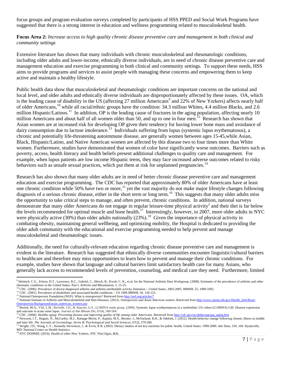focus groups and program evaluation surveys completed by participants of HSS PPED and Social Work Programs have suggested that there is a strong interest in education and wellness programming related to musculoskeletal health.

## **Focus Area 2:** *Increase access to high quality chronic disease preventive care and management in both clinical and community settings*

Extensive literature has shown that many individuals with chronic musculoskeletal and rheumatologic conditions, including older adults and lower-income, ethnically diverse individuals, are in need of chronic disease preventive care and management education and exercise programming in both clinical and community settings. To support these needs, HSS aims to provide programs and services to assist people with managing these concerns and empowering them to keep active and maintain a healthy lifestyle.

Public health data show that musculoskeletal and rheumatologic conditions are important concerns on the national and local level, and older adults and ethnically diverse individuals are disproportionately affected by these issues. OA, which is the leading cause of disability in the US (affecting 27 million Americans<sup>[9](#page-7-0)</sup> and 22% of New Yorkers) affects nearly half of older Americans,[10](#page-7-1) while all racial/ethnic groups have the condition: 34.3 million Whites, 4.4 million Blacks, and 2.6 million Hispanic/Latinos.<sup>[11](#page-7-2)</sup> In addition, OP is the leading cause of fractures in the aging population, affecting nearly 10 million Americans and about half of all women older than 50, and up to one in four men.<sup>12</sup> Research has shown that Asian women are at increased risk for developing OP given their tendency for having lower bone mass and avoidance of dairy consumption due to lactose intolerance.<sup>[13](#page-7-4)</sup> Individuals suffering from lupus (systemic lupus erythematosus), a chronic and potentially life-threatening autoimmune disease, are generally women between ages 15-45,while Asian, Black, Hispanic/Latino, and Native American women are affected by this disease two to four times more than White women. Furthermore, studies have demonstrated that women of color have significantly worse outcomes. Barriers such as poverty, access, health literacy and health beliefs present additional challenges to quality care and management. For example, when lupus patients are low income Hispanic teens, they may face increased adverse outcomes related to risky behaviors such as unsafe sexual practices, which put them at risk for unplanned pregnancies.<sup>[14](#page-7-5)</sup>

Research has also shown that many older adults are in need of better chronic disease preventive care and management education and exercise programming. The CDC has reported that approximately 80% of older Americans have at least one chronic condition while 50% have two or more,<sup>[15](#page-7-6)</sup> yet the vast majority do not make major lifestyle changes following diagnosis of a serious chronic disease, either in the short term or long term.<sup>[16](#page-7-7)</sup> This suggests that many older adults miss the opportunity to take critical steps to manage, and often prevent, chronic conditions. In addition, national surveys demonstrate that many older Americans do not engage in regular leisure-time physical activity<sup>2</sup> and their diet is far below the levels recommended for optimal muscle and bone health.<sup>[17](#page-7-8)</sup> Interestingly, however, in 2007, more older adults in NYC were physically active  $(30\%)$  than older adults nationally  $(23\%)$ .<sup>18</sup> Given the importance of physical activity in combating obesity, maintaining general wellbeing, and optimizing mobility, the Hospital is dedicated to providing the older adult community with the educational and exercise programming needed to help prevent and manage musculoskeletal and rheumatologic issues.

Additionally, the need for culturally-relevant education regarding chronic disease preventive care and management is evident in the literature. Research has suggested that ethnically diverse communities encounter linguistic/cultural barriers to healthcare and therefore may miss opportunities to learn how to prevent and manage their chronic conditions. For example, studies have shown that language and cultural barriers limit satisfactory health care for many Asians, who generally lack access to recommended levels of prevention, counseling, and medical care they need. Furthermore, limited

l

<span id="page-7-0"></span><sup>&</sup>lt;sup>9</sup> Helmick, C.G., Felson, D.T., Lawrence, R.C., Gabriel, C., Hirsch, R., Kwoh, C. K., et al, for the National Arthritis Data Workgroup. (2008). Estimates of the prevalence of arthritis and other rheumatic conditions in the United States: Part I. *Arthritis and Rheumatism*, 5, 15-25.<br><sup>10</sup> CDC. (2006). Prevalence of doctor-diagnosed arthritis and arthritis-attributable activity limitation – United States, 2003-2005.

<span id="page-7-2"></span><span id="page-7-1"></span>

<span id="page-7-4"></span><span id="page-7-3"></span>[Osteoporosis/Background/asian\\_american\\_women.asp](http://www.niams.nih.gov/Health_Info/Bone/%20Osteoporosis/Background/asian_american_women.asp)<br><sup>14</sup> Bertoli, M.A., Vilá, L.M., Reveille, J.D., & Alarcón, G.S., LUMINA study group. (2008). Systemic lupus erythaematosus in a multiethnic US cohort (LUMINA) LIII: Disease

<span id="page-7-5"></span>and outcome in acute onset lupus. Journal of Ann Rheum Dis, 67(4), 500-504.<br><sup>15</sup> CDC. (2004). Healthy aging: Preventing disease and improving quality of life among older Americans. Retrieved from http://cdc.gov/nccdphp/aag

<span id="page-7-6"></span>

<span id="page-7-7"></span>and later life. The Journals of Gerontology, Series B: Psychological and Social Sciences, 67(3), 279-288.<br><sup>17</sup> Wright, J.D., Wang, C.Y., Kennedy-Stevenson, J., & Ervin, R.B. (2003). Dietary intakes of ten key nutrients for

<span id="page-7-8"></span>MD: National Center on Health Statistics.

<span id="page-7-9"></span><sup>18</sup> NYC DOHMH. (2010). Health of older New Yorkers. *NYC Vital Signs, 8*(4).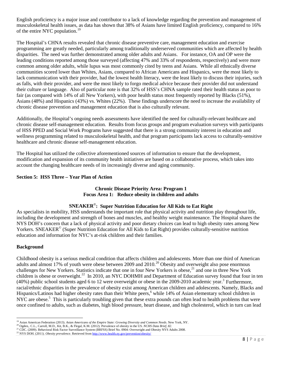English proficiency is a major issue and contributor to a lack of knowledge regarding the prevention and management of musculoskeletal health issues, as data has shown that 38% of Asians have limited English proficiency, compared to 16% of the entire NYC population.<sup>[19](#page-8-0)</sup>

The Hospital's CHNA results revealed that chronic disease preventive care, management education and exercise programming are greatly needed, particularly among traditionally underserved communities which are affected by health disparities. The need was further demonstrated among older adults and Asians. For instance, OA and OP were the leading conditions reported among those surveyed (affecting 47% and 33% of respondents, respectively) and were more common among older adults, while lupus was most commonly cited by teens and Asians. While all ethnically diverse communities scored lower than Whites, Asians, compared to African Americans and Hispanics, were the most likely to lack communication with their provider, had the lowest health literacy, were the least likely to discuss their injuries, such as falls, with their provider, and were the most likely to forgo medical advice because their provider did not understand their culture or language. Also of particular note is that 32% of HSS's CHNA sample rated their health status as poor to fair (as compared with 14% of all New Yorkers), with poor health status most frequently reported by Blacks (51%), Asians (48%) and Hispanics (43%) vs. Whites (22%). These findings underscore the need to increase the availability of chronic disease prevention and management education that is also culturally relevant.

Additionally, the Hospital's ongoing needs assessments have identified the need for culturally-relevant healthcare and chronic disease self-management education. Results from focus groups and program evaluation surveys with participants of HSS PPED and Social Work Programs have suggested that there is a strong community interest in education and wellness programming related to musculoskeletal health, and that program participants lack access to culturally-sensitive healthcare and chronic disease self-management education.

The Hospital has utilized the collective aforementioned sources of information to ensure that the development, modification and expansion of its community health initiatives are based on a collaborative process, which takes into account the changing healthcare needs of its increasingly diverse and aging community.

## **Section 5: HSS Three – Year Plan of Action**

## **Chronic Disease Priority Area: Program 1 Focus Area 1: Reduce obesity in children and adults**

## **SNEAKER©: Super Nutrition Education for All Kids to Eat Right**

As specialists in mobility, HSS understands the important role that physical activity and nutrition play throughout life, including the development and strength of bones and muscles, and healthy weight maintenance. The Hospital shares the NYS DOH's concern that a lack of physical activity and poor dietary choices can lead to high obesity rates among New Yorkers. SNEAKER<sup>©</sup> (Super Nutrition Education for All Kids to Eat Right) provides culturally-sensitive nutrition education and information for NYC's at-risk children and their families.

#### **Background**

Childhood obesity is a serious medical condition that affects children and adolescents. More than one third of American adults and almost 17% of youth were obese between [20](#page-8-1)09 and 2010.<sup>20</sup> Obesity and overweight also pose enormous challenges for New Yorkers. Statistics indicate that one in four New Yorkers is obese,<sup>[21](#page-8-2)</sup> and one in three New York children is obese or overweight.<sup>[22](#page-8-3)</sup> In 2010, an NYC DOHMH and Department of Education survey found that four in ten (40%) public school students aged 6 to 12 were overweight or obese in the 2009-2010 academic year.<sup>3</sup> Furthermore, racial/ethnic disparities in the prevalence of obesity exist among American children and adolescents. Namely, Blacks and Hispanics/Latinos had higher obesity rates than their White peers,<sup>6</sup> while 14% of Asian elementary school children in NYC are obese.<sup>5</sup> This is particularly troubling given that these extra pounds can often lead to health problems that were once confined to adults, such as diabetes, high blood pressure, heart disease, and high cholesterol, which in turn can lead

<sup>&</sup>lt;sup>19</sup> Asian American Federation (2013). Asian Americans of the Empire State: Growing Diversity and Common Needs. New York, NY.

<span id="page-8-1"></span><span id="page-8-0"></span><sup>&</sup>lt;sup>20</sup> Ogden, C.L., Carroll, M.D., Kit, B.K., & Flegal, K.M. (2012). Prevalence of obesity in the US. NCHS Data Brief, 82.

<span id="page-8-3"></span><span id="page-8-2"></span><sup>&</sup>lt;sup>21</sup> CDC. (2009). Behavioral Risk Factor Surveillance System (BRFSS) Brief No. 0904: Overweight and Obesity NYS Adults 2008.<br><sup>22</sup> NYS DOH. (2011). *Obesity prevalence*. Retrieved from http://www.health.ny.gov/prevention/ob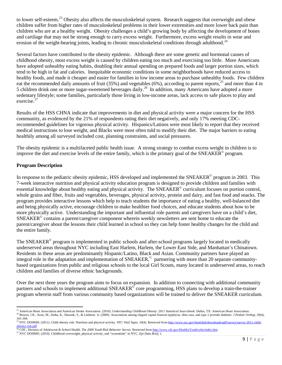to lower self-esteem.<sup>[23](#page-9-0)</sup> Obesity also affects the musculoskeletal system. Research suggests that overweight and obese children suffer from higher rates of musculoskeletal problems in their lower extremities and more lower back pain than children who are at a healthy weight. Obesity challenges a child's growing body by affecting the development of bones and cartilage that may not be strong enough to carry excess weight. Furthermore, excess weight results in wear and erosion of the weight-bearing joints, leading to chronic musculoskeletal conditions through adulthood.<sup>[24](#page-9-1)</sup>

Several factors have contributed to the obesity epidemic. Although there are some genetic and hormonal causes of childhood obesity, most excess weight is caused by children eating too much and exercising too little. More Americans have adopted unhealthy eating habits, doubling their annual spending on prepared foods and larger portion sizes, which tend to be high in fat and calories. Inequitable economic conditions in some neighborhoods have reduced access to healthy foods, and made it cheaper and easier for families in low income areas to purchase unhealthy foods. Few children eat the recommended daily amounts of fruit (35%) and vegetables (6%), according to parent reports,<sup>[25](#page-9-2)</sup> and more than 4 in 5 children drink one or more sugar-sweetened beverages daily.<sup>[26](#page-9-3)</sup> In addition, many Americans have adopted a more sedentary lifestyle; some families, particularly those living in low-income areas, lack access to safe places to play and exercise. $27$ 

Results of the HSS CHNA indicate that improvements in diet and physical activity were a major concern for the HSS community, as evidenced by the 21% of respondents rating their diet negatively, and only 17% meeting CDCrecommended guidelines for vigorous physical activity. Hispanics/Latinos were most likely to report that they received medical instructions to lose weight, and Blacks were most often told to modify their diet. The major barriers to eating healthily among all surveyed included cost, planning constraints, and social pressures.

The obesity epidemic is a multifaceted public health issue. A strong strategy to combat excess weight in children is to improve the diet and exercise levels of the entire family, which is the primary goal of the SNEAKER© program.

## **Program Description**

 $\overline{\phantom{a}}$ 

In response to the pediatric obesity epidemic, HSS developed and implemented the SNEAKER $\degree$  program in 2003. This 7-week interactive nutrition and physical activity education program is designed to provide children and families with essential knowledge about healthy eating and physical activity. The SNEAKER<sup>©</sup> curriculum focuses on portion control, whole grains and fiber, fruits and vegetables, beverages, physical activity, protein and dairy, and fast food and snacks. The program provides interactive lessons which help to teach students the importance of eating a healthy, well-balanced diet and being physically active, encourage children to make healthier food choices, and educate students about how to be more physically active. Understanding the important and influential role parents and caregivers have on a child's diet, SNEAKER© contains a parent/caregiver component wherein weekly newsletters are sent home to educate the parent/caregiver about the lessons their child learned in school so they can help foster healthy changes for the child and the entire family.

The SNEAKER<sup>©</sup> program is implemented in public schools and after-school programs largely located in medically underserved areas throughout NYC including East Harlem, Harlem, the Lower East Side, and Manhattan's Chinatown. Residents in these areas are predominantly Hispanic/Latino, Black and Asian. Community partners have played an integral role in the adaptation and implementation of SNEAKER,<sup>©</sup> partnering with more than 20 separate communitybased organizations from public and religious schools to the local Girl Scouts, many located in underserved areas, to reach children and families of diverse ethnic backgrounds.

Over the next three years the program aims to focus on expansion. In addition to connecting with additional community partners and schools to implement additional SNEAKER<sup>©</sup> core programming, HSS plans to develop a train-the-trainer program wherein staff from various community based organizations will be trained to deliver the SNEAKER curriculum.

<span id="page-9-1"></span><span id="page-9-0"></span><sup>&</sup>lt;sup>23</sup> American Heart Association and American Stroke Association. (2010). *Understanding Childhood Obesity: 2011 Statistical Sourcebook*. Dallas, TX: American Heart Association.<br><sup>24</sup> Bowen, J.R., Assis, M., Sinha, K., Hass

<span id="page-9-2"></span><sup>&</sup>lt;sup>25</sup> NYC DOHMH. (2011). Child obesity risk: Nutrition and physical activity. *NYC Vital Signs, 10*(4). Retrieved fro[m http://www.nyc.gov/html/doh/downloads/pdf/survey/survey-2011-child-](http://www.nyc.gov/html/doh/downloads/pdf/survey/survey-2011-child-obesity-risk.pdf)

[obesity-risk.pdf](http://www.nyc.gov/html/doh/downloads/pdf/survey/survey-2011-child-obesity-risk.pdf)<br><sup>26</sup> CDC, Division of Adolescent & School Health. *The 2009 Youth Risk Behavior Survey*. Retrieved from <u><http://www.cdc.gov/HealthyYouth/yrbs/index.htm></u><br><sup>27</sup> NYC DOHMH. (2010). Childhood overweight, physic

<span id="page-9-4"></span><span id="page-9-3"></span>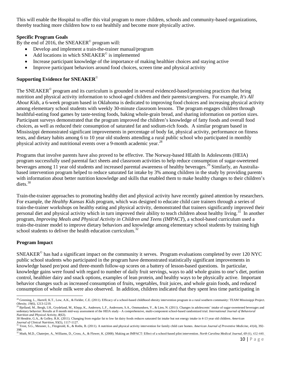This will enable the Hospital to offer this vital program to more children, schools and community-based organizations, thereby teaching more children how to eat healthily and become more physically active.

## **Specific Program Goals**

By the end of 2016, the SNEAKER<sup>®</sup> program will:

- Develop and implement a train-the-trainer manual/program
- Add locations in which  $SNEAKER^{\circ}$  is implemented
- Increase participant knowledge of the importance of making healthier choices and staying active
- Improve participant behaviors around food choices, screen time and physical activity

## **Supporting Evidence for SNEAKER**©

The SNEAKER<sup>©</sup> program and its curriculum is grounded in several evidenced-based/promising practices that bring nutrition and physical activity information to school-aged children and their parents/caregivers. For example, *It's All About Kids,* a 6-week program based in Oklahoma is dedicated to improving food choices and increasing physical activity among elementary school students with weekly 30-minute classroom lessons. The program engages children through healthful-eating food games by taste-testing foods, baking whole-grain bread, and sharing information on portion sizes. Participant surveys demonstrated that the program improved the children's knowledge of fatty foods and overall food choices, as well as reduced their consumption of saturated fat and sodium-rich foods. A similar program based in Mississippi demonstrated significant improvements in percentage of body fat, physical activity, performance on fitness tests, and dietary habits among 6 to 10 year old students attending a rural public school who participated in monthly physical activity and nutritional events over a 9-month academic year.<sup>[28](#page-10-0)</sup>

Programs that involve parents have also proved to be effective. The Norway-based HEalth In Adolescents (HEIA) program successfully used parental fact sheets and classroom activities to help reduce consumption of sugar-sweetened beverages among 11 year old students and increased parental awareness of healthy beverages.<sup>[29](#page-10-1)</sup> Similarly, an Australiabased intervention program helped to reduce saturated fat intake by 3% among children in the study by providing parents with information about better nutrition knowledge and skills that enabled them to make healthy changes to their children's diets. [30](#page-10-2)

Train-the-trainer approaches to promoting healthy diet and physical activity have recently gained attention by researchers. For example, the *Healthy Kansas Kids* program, which was designed to educate child care trainers through a series of train-the-trainer workshops on healthy eating and physical activity, demonstrated that trainers significantly improved their personal diet and physical activity which in turn improved their ability to teach children about healthy living.<sup>[31](#page-10-3)</sup> In another program, *Improving Meals and Physical Activity in Children and Teens (IMPACT*), a school-based curriculum used a train-the-trainer model to improve dietary behaviors and knowledge among elementary school students by training high school students to deliver the health education curriculum.<sup>[32](#page-10-4)</sup>

#### **Program Impact**

SNEAKER© has had a significant impact on the community it serves. Program evaluations completed by over 120 NYC public school students who participated in the program have demonstrated statistically significant improvements in knowledge based pre/post and three-month follow-up scores on a battery of lesson-based questions. In particular, knowledge gains were found with regard to number of daily fruit servings, ways to add whole grains to one's diet, portion control, healthier dairy and snack options, examples of lean protein, and healthy ways to be physically active. Important behavior changes such as increased consumption of fruits, vegetables, fruit juices, and whole grain foods, and reduced consumption of whole milk were also observed. In addition, children indicated that they spent less time participating in

<span id="page-10-0"></span> $\overline{\phantom{a}}$ <sup>28</sup> Greening, L., Harrell, K.T., Low, A.K., & Fielder, C.E. (2011). Efficacy of a school-based childhood obesity intervention program in a rural southern community: TEAM Mississippi Project. *Obesity, 19*(6), 1213-1219.<br><sup>29</sup> Bjelland, M., Bergh, I.H., Grydeland, M., Klepp, K., Andersen, L.F., Anderssen, S.A., Ommundsen, Y., & Lien, N. (2011). Changes in adolescents' intake of sugar-sweetened beverages and

<span id="page-10-1"></span>sedentary behavior: Results at 8 month mid-way assessment of the HEIA study - A comprehensive, multi-component school-based randomized trial. *International Journal of Behavioral Nutrition and Physical Activity, 8*(63).

<span id="page-10-2"></span><sup>30</sup> Hendrie, G.A., & Golley, R.K. (2011). Changing from regular fat to low fat dairy foods reduces saturated fat intake but not energy intake in 4-13 year old children. *American* 

<span id="page-10-3"></span>Journal of Clinical Nutrition, 93(5), 1117-1127.<br><sup>31</sup> Trost, S.G., Messner, L., Fitzgerald, K., & Roths, B. (2011). A nutrition and physical activity intervention for family child care homes. American Journal of Preventive 398.

<span id="page-10-4"></span><sup>32</sup> Muth, M.D., Chaterjee, A., Williams, D., Cross, A., & Flower, K. (2008). Making an IMPACT: Effect of a school-based pilot intervention. *[North Carolina Medical Journal,](javascript:__doLinkPostBack() 69* (6), 432-440.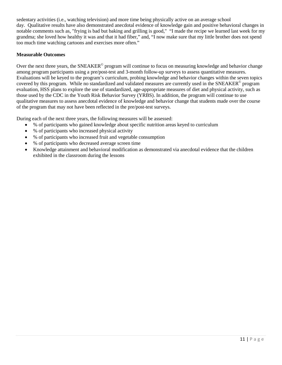sedentary activities (i.e., watching television) and more time being physically active on an average school day. Qualitative results have also demonstrated anecdotal evidence of knowledge gain and positive behavioral changes in notable comments such as, "frying is bad but baking and grilling is good," "I made the recipe we learned last week for my grandma; she loved how healthy it was and that it had fiber," and, "I now make sure that my little brother does not spend too much time watching cartoons and exercises more often."

## **Measurable Outcomes**

Over the next three years, the SNEAKER<sup>©</sup> program will continue to focus on measuring knowledge and behavior change among program participants using a pre/post-test and 3-month follow-up surveys to assess quantitative measures. Evaluations will be keyed to the program's curriculum, probing knowledge and behavior changes within the seven topics covered by this program. While no standardized and validated measures are currently used in the SNEAKER<sup>©</sup> program evaluation, HSS plans to explore the use of standardized, age-appropriate measures of diet and physical activity, such as those used by the CDC in the Youth Risk Behavior Survey (YRBS). In addition, the program will continue to use qualitative measures to assess anecdotal evidence of knowledge and behavior change that students made over the course of the program that may not have been reflected in the pre/post-test surveys.

During each of the next three years, the following measures will be assessed:

- % of participants who gained knowledge about specific nutrition areas keyed to curriculum
- % of participants who increased physical activity
- % of participants who increased fruit and vegetable consumption
- % of participants who decreased average screen time
- Knowledge attainment and behavioral modification as demonstrated via anecdotal evidence that the children exhibited in the classroom during the lessons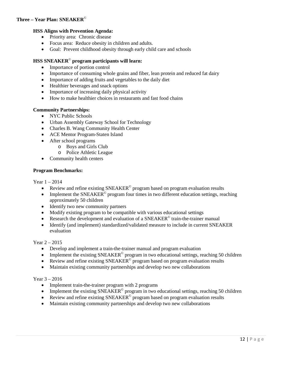## **Three – Year Plan: SNEAKER**©

## **HSS Aligns with Prevention Agenda:**

- Priority area: Chronic disease
- Focus area: Reduce obesity in children and adults.
- Goal: Prevent childhood obesity through early child care and schools

## **HSS SNEAKER**© **program participants will learn:**

- Importance of portion control
- Importance of consuming whole grains and fiber, lean protein and reduced fat dairy
- Importance of adding fruits and vegetables to the daily diet
- Healthier beverages and snack options
- Importance of increasing daily physical activity
- How to make healthier choices in restaurants and fast food chains

#### **Community Partnerships:**

- NYC Public Schools
- Urban Assembly Gateway School for Technology
- Charles B. Wang Community Health Center
- ACE Mentor Program-Staten Island
- After school programs
	- o Boys and Girls Club
	- o Police Athletic League
- Community health centers

#### **Program Benchmarks:**

### Year 1 – 2014

- Review and refine existing  $SNEAKER^{\circ}$  program based on program evaluation results
- Implement the  $SNEAKER^{\circ}$  program four times in two different education settings, reaching approximately 50 children
- Identify two new community partners
- Modify existing program to be compatible with various educational settings
- Research the development and evaluation of a  $SNEAKER^{\circ}$  train-the-trainer manual
- Identify (and implement) standardized/validated measure to include in current SNEAKER evaluation

#### Year 2 – 2015

- Develop and implement a train-the-trainer manual and program evaluation
- Implement the existing  $SNEAKER^{\circ}$  program in two educational settings, reaching 50 children
- Review and refine existing SNEAKER<sup>®</sup> program based on program evaluation results
- Maintain existing community partnerships and develop two new collaborations

#### Year 3 – 2016

- Implement train-the-trainer program with 2 programs
- Implement the existing  $SNEAKER^{\circ}$  program in two educational settings, reaching 50 children
- Review and refine existing  $SNEAKER^{\circ}$  program based on program evaluation results
- Maintain existing community partnerships and develop two new collaborations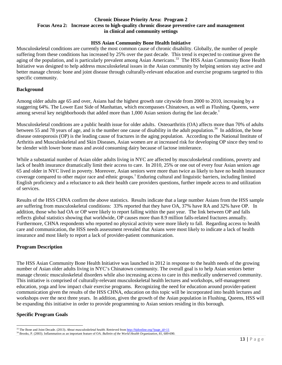#### **Chronic Disease Priority Area: Program 2 Focus Area 2: Increase access to high-quality chronic disease preventive care and management in clinical and community settings**

#### **HSS Asian Community Bone Health Initiative**

Musculoskeletal conditions are currently the most common cause of chronic disability. Globally, the number of people suffering from these conditions has increased by 25% over the past decade. This trend is expected to continue given the aging of the population, and is particularly prevalent among Asian Americans.<sup>33</sup> The HSS Asian Community Bone Health Initiative was designed to help address musculoskeletal issues in the Asian community by helping seniors stay active and better manage chronic bone and joint disease through culturally-relevant education and exercise programs targeted to this specific community.

#### **Background**

Among older adults age 65 and over, Asians had the highest growth rate citywide from 2000 to 2010, increasing by a staggering 64%. The Lower East Side of Manhattan, which encompasses Chinatown, as well as Flushing, Queens, were among several key neighborhoods that added more than 1,000 Asian seniors during the last decade.<sup>1</sup>

Musculoskeletal conditions are a public health issue for older adults. Osteoarthritis (OA) affects more than 70% of adults between 55 and 78 years of age, and is the number one cause of disability in the adult population.<sup>34</sup> In addition, the bone disease osteoporosis (OP) is the leading cause of fractures in the aging population. According to the National Institute of Arthritis and Musculoskeletal and Skin Diseases, Asian women are at increased risk for developing OP since they tend to be slender with lower bone mass and avoid consuming dairy because of lactose intolerance.

While a substantial number of Asian older adults living in NYC are affected by musculoskeletal conditions, poverty and lack of health insurance dramatically limit their access to care. In 2010, 25% or one out of every four Asian seniors age 65 and older in NYC lived in poverty. Moreover, Asian seniors were more than twice as likely to have no health insurance coverage compared to other major race and ethnic groups.<sup>1</sup> Enduring cultural and linguistic barriers, including limited English proficiency and a reluctance to ask their health care providers questions, further impede access to and utilization of services.

Results of the HSS CHNA confirm the above statistics. Results indicate that a large number Asians from the HSS sample are suffering from musculoskeletal conditions: 33% reported that they have OA, 37% have RA and 32% have OP. In addition, those who had OA or OP were likely to report falling within the past year. The link between OP and falls reflects global statistics showing that worldwide, OP causes more than 8.9 million falls-related fractures annually. Furthermore, CHNA respondents who reported no physical activity were more likely to fall. Regarding access to health care and communication, the HSS needs assessment revealed that Asians were most likely to indicate a lack of health insurance and most likely to report a lack of provider-patient communication.

#### **Program Description**

The HSS Asian Community Bone Health Initiative was launched in 2012 in response to the health needs of the growing number of Asian older adults living in NYC's Chinatown community. The overall goal is to help Asian seniors better manage chronic musculoskeletal disorders while also increasing access to care in this medically underserved community. This initiative is comprised of culturally-relevant musculoskeletal health lectures and workshops, self-management education, yoga and low impact chair exercise programs. Recognizing the need for education around provider-patient communication given the results of the HSS CHNA, education on this topic will be incorporated into health lectures and workshops over the next three years. In addition, given the growth of the Asian population in Flushing, Queens, HSS will be expanding this initiative in order to provide programming to Asian seniors residing in this borough.

#### **Specific Program Goals**

<sup>&</sup>lt;sup>33</sup> The Bone and Joint Decade. (2013). About musculoskeletal health. Retrieved from http://bjdonline.org/?page\_id=11

<span id="page-13-1"></span><span id="page-13-0"></span><sup>&</sup>lt;sup>34</sup> Brooks, P. (2003). Inflammation as an important feature of OA. Bulletin of the World Health Organization, 81, 689-690.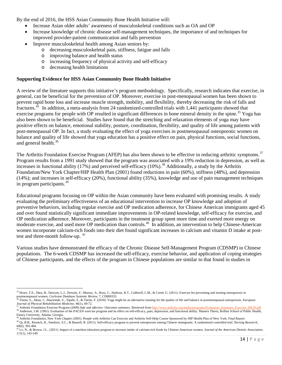By the end of 2016, the HSS Asian Community Bone Health Initiative will:

- Increase Asian older adults' awareness of musculoskeletal conditions such as OA and OP
- Increase knowledge of chronic disease self-management techniques, the importance of and techniques for improved provider-patient communication and falls prevention
- Improve musculoskeletal health among Asian seniors by:
	- o decreasing musculoskeletal pain, stiffness, fatigue and falls
	- o improving balance and health status
	- o increasing frequency of physical activity and self-efficacy
	- o decreasing health limitations

## **Supporting Evidence for HSS Asian Community Bone Health Initiative**

A review of the literature supports this initiative's program methodology. Specifically, research indicates that exercise, in general, can be beneficial for the prevention of OP. Moreover, exercise in post-menopausal women has been shown to prevent rapid bone loss and increase muscle strength, mobility, and flexibility, thereby decreasing the risk of falls and fractures.<sup>10</sup> In addition, a meta-analysis from 24 randomized-controlled trials with 1,441 participants showed that exercise programs for people with OP resulted in significant differences in bone mineral density in the spine.<sup>[35](#page-14-0)</sup> Yoga has also been shown to be beneficial. Studies have found that the stretching and relaxation elements of yoga may have positive effects on balance, emotional stability, posture, coordination, flexibility, and quality of life among patients with post-menopausal OP. In fact, a study evaluating the effect of yoga exercises in postmenopausal osteoporotic women on balance and quality of life showed that yoga education has a positive effect on pain, physical functions, social functions, and general health.<sup>[36](#page-14-1)</sup>

The Arthritis Foundation Exercise Program (AFEP) has also been shown to be effective in reducing arthritic symptoms.<sup>[37](#page-14-2)</sup> Program results from a 1991 study showed that the program was associated with a 19% reduction in depression, as well as increases in functional ability (17%) and perceived self-efficacy (10%).<sup>[38](#page-14-3)</sup> Additionally, a study by the Arthritis Foundation/New York Chapter/HIP Health Plan (2001) found reductions in pain (60%), stiffness (48%), and depression (14%); and increases in self-efficacy (20%), functional ability (35%), knowledge and use of pain management techniques in program participants.<sup>[39](#page-14-4)</sup>

Educational programs focusing on OP within the Asian community have been evaluated with promising results. A study evaluating the preliminary effectiveness of an educational intervention to increase OP knowledge and adoption of preventive behaviors, including regular exercise and OP medication adherence, for Chinese American immigrants aged 45 and over found statistically significant immediate improvements in OP-related knowledge, self-efficacy for exercise, and OP medication adherence. Moreover, participants in the treatment group spent more time and exerted more energy on moderate exercise, and used more OP medication than controls.[40](#page-14-5)In addition, an intervention to help Chinese-American women incorporate calcium-rich foods into their diet found significant increases in calcium and vitamin D intake at post-test and three-month follow-up. <sup>[41](#page-14-6)</sup>

Various studies have demonstrated the efficacy of the Chronic Disease Self-Management Program (CDSMP) in Chinese populations. The 6-week CDSMP has increased the self-efficacy, exercise behavior, and application of coping strategies of Chinese participants, and the effects of the program in Chinese populations are similar to that found in studies in

<span id="page-14-0"></span> $\overline{\phantom{a}}$ <sup>35</sup> Howe, T.E., Shea, B., Dawson, L.J., Downie, F., Murray, A., Ross, C., Harbour, R.T., Caldwell, L.M., & Creed, G. (2011). Exercise for preventing and treating osteoporosis in postmenopausal women. *Cochrane Database Sy* 

[Tüzün,](http://www-ncbi-nlm-nih-gov.proxy.wexler.hunter.cuny.edu/pubmed?term=T%C3%BCz%C3%BCn%20S%5BAuthor%5D&cauthor=true&cauthor_uid=20332729) S., [Aktas,](http://www-ncbi-nlm-nih-gov.proxy.wexler.hunter.cuny.edu/pubmed?term=Aktas%20I%5BAuthor%5D&cauthor=true&cauthor_uid=20332729) I.[, Akarirmak,](http://www-ncbi-nlm-nih-gov.proxy.wexler.hunter.cuny.edu/pubmed?term=Akarirmak%20U%5BAuthor%5D&cauthor=true&cauthor_uid=20332729) U.[, Sipahi,](http://www-ncbi-nlm-nih-gov.proxy.wexler.hunter.cuny.edu/pubmed?term=Sipahi%20S%5BAuthor%5D&cauthor=true&cauthor_uid=20332729) S., [& Tüzün,](http://www-ncbi-nlm-nih-gov.proxy.wexler.hunter.cuny.edu/pubmed?term=T%C3%BCz%C3%BCn%20F%5BAuthor%5D&cauthor=true&cauthor_uid=20332729) F. (2010). Yoga might be an alternative training for the quality of life and balance in postmenopausal osteoporosis. European

<span id="page-14-2"></span><span id="page-14-1"></span>Journal of Physical Rehabilitation Medicine, 46(1), 69-72.<br>
<sup>37</sup> Arthritis Foundation Exercise Program (2009) Safe and effective: Outcomes summary. Retrieved from http://www.arthritis.org/media/programs/Evaluation Summary\_

<span id="page-14-4"></span><span id="page-14-3"></span>Emory University, Atlanta, Georgia.<br><sup>39</sup> Arthritis Foundation, New York Chapter (2001). People with Arthritis Can Exercise and Arthritis Self-Help Course Sponsored by HIP Health Plan of New York. Final Report. 40 [Qi, B.B.,](http://www-ncbi-nlm-nih-gov.proxy.wexler.hunter.cuny.edu/pubmed?term=Qi%20BB%5BAuthor%5D&cauthor=true&cauthor_uid=22048557) [Resnick, B.,](http://www-ncbi-nlm-nih-gov.proxy.wexler.hunter.cuny.edu/pubmed?term=Resnick%20B%5BAuthor%5D&cauthor=true&cauthor_uid=22048557) [Smeltzer, S.C.,](http://www-ncbi-nlm-nih-gov.proxy.wexler.hunter.cuny.edu/pubmed?term=Smeltzer%20SC%5BAuthor%5D&cauthor=true&cauthor_uid=22048557) [& Bausell, B.](http://www-ncbi-nlm-nih-gov.proxy.wexler.hunter.cuny.edu/pubmed?term=Bausell%20B%5BAuthor%5D&cauthor=true&cauthor_uid=22048557) (2011). Self-efficacy program to prevent osteoporosis among Chinese immigrants: A randomized controlled trial. *Nursing Research*, *60*(6), 393-404.

<span id="page-14-6"></span><span id="page-14-5"></span><sup>41</sup> [Lv, N.,](http://www-ncbi-nlm-nih-gov.proxy.wexler.hunter.cuny.edu/pubmed?term=Lv%20N%5BAuthor%5D&cauthor=true&cauthor_uid=21185977) [& Brown, J.L..](http://www-ncbi-nlm-nih-gov.proxy.wexler.hunter.cuny.edu/pubmed?term=Brown%20JL%5BAuthor%5D&cauthor=true&cauthor_uid=21185977) (2011). Impact of a nutrition education program to increase intake of calcium-rich foods by Chinese-American women. *Journal of the American Dietetic Association, 111*(1), 143-149.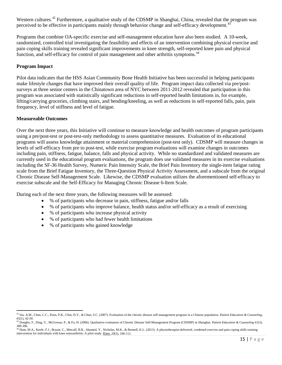Western cultures.<sup>[42](#page-15-0)</sup> Furthermore, a qualitative study of the CDSMP in Shanghai, China, revealed that the program was perceived to be effective in participants mainly through behavior change and self-efficacy development.<sup>4</sup>

Programs that combine OA-specific exercise and self-management education have also been studied. A 10-week, randomized, controlled trial investigating the feasibility and effects of an intervention combining physical exercise and pain coping skills training revealed significant improvements in knee strength, self-reported knee pain and physical function, and self-efficacy for control of pain management and other arthritis symptoms.<sup>[44](#page-15-2)</sup>

## **Program Impact**

Pilot data indicates that the HSS Asian Community Bone Health Initiative has been successful in helping participants make lifestyle changes that have improved their overall quality of life. Program impact data collected via pre/postsurveys at three senior centers in the Chinatown area of NYC between 2011-2012 revealed that participation in this program was associated with statistically significant reductions in self-reported health limitations in, for example, lifting/carrying groceries, climbing stairs, and bending/kneeling, as well as reductions in self-reported falls, pain, pain frequency, level of stiffness and level of fatigue.

#### **Measureable Outcomes**

Over the next three years, this Initiative will continue to measure knowledge and health outcomes of program participants using a pre/post-test or post-test-only methodology to assess quantitative measures. Evaluation of its educational programs will assess knowledge attainment or material comprehension (post-test only). CDSMP will measure changes in levels of self-efficacy from pre to post-test, while exercise program evaluations will examine changes in outcomes including pain, stiffness, fatigue, balance, falls and physical activity. While no standardized and validated measures are currently used in the educational program evaluations, the program does use validated measures in its exercise evaluations including the SF-36 Health Survey, Numeric Pain Intensity Scale, the Brief Pain Inventory the single-item fatigue rating scale from the Brief Fatigue Inventory, the Three-Question Physical Activity Assessment, and a subscale from the original Chronic Disease Self-Management Scale. Likewise, the CDSMP evaluation utilizes the aforementioned self-efficacy to exercise subscale and the Self-Efficacy for Managing Chronic Disease 6-Item Scale.

During each of the next three years, the following measures will be assessed:

- % of participants who decrease in pain, stiffness, fatigue and/or falls
- % of participants who improve balance, health status and/or self-efficacy as a result of exercising
- % of participants who increase physical activity
- % of participants who had fewer health limitations
- % of participants who gained knowledge

<span id="page-15-0"></span>l <sup>42</sup> Siu, [A.M.](http://www.ncbi.nlm.nih.gov/pubmed?term=Siu%20AM%5BAuthor%5D&cauthor=true&cauthor_uid=16872789)[, Chan,](http://www.ncbi.nlm.nih.gov/pubmed?term=Chan%20CC%5BAuthor%5D&cauthor=true&cauthor_uid=16872789) C.C.[, Poon,](http://www.ncbi.nlm.nih.gov/pubmed?term=Poon%20PK%5BAuthor%5D&cauthor=true&cauthor_uid=16872789) P.K.[, Chui,](http://www.ncbi.nlm.nih.gov/pubmed?term=Chui%20DY%5BAuthor%5D&cauthor=true&cauthor_uid=16872789) D.Y., [& Chan,](http://www.ncbi.nlm.nih.gov/pubmed?term=Chan%20SC%5BAuthor%5D&cauthor=true&cauthor_uid=16872789) S.C. (2007). Evaluation of the chronic disease self-management program in a Chinese population. *[Patient Education & Counseling,](http://www.ncbi.nlm.nih.gov/pubmed/16872789?dopt=AbstractPlus) [65](http://www.ncbi.nlm.nih.gov/pubmed/16872789?dopt=AbstractPlus)*(1), 42-50. <sup>43</sup> [Dongbo, F.](http://www.ncbi.nlm.nih.gov/pubmed?term=Dongbo%20F%5BAuthor%5D&cauthor=true&cauthor_uid=15975756)[, Ding, Y.](http://www.ncbi.nlm.nih.gov/pubmed?term=Ding%20Y%5BAuthor%5D&cauthor=true&cauthor_uid=15975756)[, McGowan, P.](http://www.ncbi.nlm.nih.gov/pubmed?term=McGowan%20P%5BAuthor%5D&cauthor=true&cauthor_uid=15975756), [& Fu, H.](http://www.ncbi.nlm.nih.gov/pubmed?term=Fu%20H%5BAuthor%5D&cauthor=true&cauthor_uid=15975756) (2006). Qualitative evaluation of Chronic Disease Self-Management Program (CDSMP) in Shanghai. *[Patient Education & Counseling](http://www.ncbi.nlm.nih.gov/pubmed/16859871?dopt=AbstractPlus) <sup>61</sup>*(3),

<sup>389-396.</sup>

<span id="page-15-2"></span><span id="page-15-1"></span><sup>44</sup> Hunt, M.A., Keefe, F.J., Bryant, C., Metcalf, B.R., Ahamed, Y., Nicholas, M.K., & Bennell, K.L. (2013). A physiotherapist-delivered, combined exercise and pain coping skills training intervention for individuals with knee osteoarthritis: A pilot study. *[Knee.](http://www-ncbi-nlm-nih-gov.proxy.wexler.hunter.cuny.edu/pubmed/22921688) 20*(2), 106-112.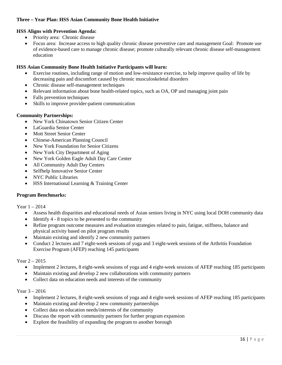## **Three – Year Plan: HSS Asian Community Bone Health Initiative**

## **HSS Aligns with Prevention Agenda:**

- Priority area: Chronic disease
- Focus area: Increase access to high quality chronic disease preventive care and management Goal: Promote use of evidence-based care to manage chronic disease; promote culturally relevant chronic disease self-management education

## **HSS Asian Community Bone Health Initiative Participants will learn:**

- Exercise routines, including range of motion and low-resistance exercise, to help improve quality of life by decreasing pain and discomfort caused by chronic musculoskeletal disorders
- Chronic disease self-management techniques
- Relevant information about bone health-related topics, such as OA, OP and managing joint pain
- Falls prevention techniques
- Skills to improve provider-patient communication

#### **Community Partnerships:**

- New York Chinatown Senior Citizen Center
- LaGuardia Senior Center
- **Mott Street Senior Center**
- Chinese-American Planning Council
- New York Foundation for Senior Citizens
- New York City Department of Aging
- New York Golden Eagle Adult Day Care Center
- All Community Adult Day Centers
- Selfhelp Innovative Senior Center
- NYC Public Libraries
- HSS International Learning & Training Center

#### **Program Benchmarks:**

Year 1 – 2014

- Assess health disparities and educational needs of Asian seniors living in NYC using local DOH community data
- Identify 4 8 topics to be presented to the community
- Refine program outcome measures and evaluation strategies related to pain, fatigue, stiffness, balance and physical activity based on pilot program results
- Maintain existing and identify 2 new community partners
- Conduct 2 lectures and 7 eight-week sessions of yoga and 3 eight-week sessions of the Arthritis Foundation Exercise Program (AFEP) reaching 145 participants

#### Year 2 – 2015

- Implement 2 lectures, 8 eight-week sessions of yoga and 4 eight-week sessions of AFEP reaching 185 participants
- Maintain existing and develop 2 new collaborations with community partners
- Collect data on education needs and interests of the community

#### Year 3 – 2016

- Implement 2 lectures, 8 eight-week sessions of yoga and 4 eight-week sessions of AFEP reaching 185 participants
- Maintain existing and develop 2 new community partnerships
- Collect data on education needs/interests of the community
- Discuss the report with community partners for further program expansion
- Explore the feasibility of expanding the program to another borough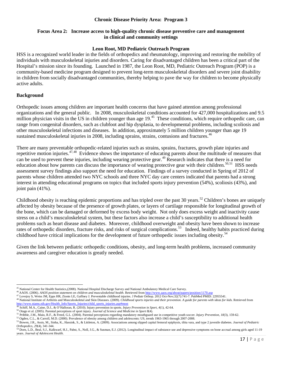#### **Chronic Disease Priority Area: Program 3**

#### **Focus Area 2: Increase access to high-quality chronic disease preventive care and management in clinical and community settings**

#### **Leon Root, MD Pediatric Outreach Program**

HSS is a recognized world leader in the fields of orthopedics and rheumatology, improving and restoring the mobility of individuals with musculoskeletal injuries and disorders. Caring for disadvantaged children has been a critical part of the Hospital's mission since its founding. Launched in 1987, the Leon Root, MD, Pediatric Outreach Program (POP) is a community-based medicine program designed to prevent long-term musculoskeletal disorders and severe joint disability in children from socially disadvantaged communities, thereby helping to pave the way for children to become physically active adults.

#### **Background**

Orthopedic issues among children are important health concerns that have gained attention among professional organizations and the general public. In 2008, musculoskeletal conditions accounted for 427,000 hospitalizations and 9.5 million physician visits in the US in children younger than age  $19<sup>45</sup>$  These conditions, which require orthopedic care, can range from congenital disorders, such as clubfoot and hip dysplasia, to developmental problems, including scoliosis and other musculoskeletal infections and diseases. In addition, approximately 5 million children younger than age 19 sustained musculoskeletal injuries in 2008, including sprains, strains, contusions and fractures.<sup>[46](#page-17-1)</sup>

There are many preventable orthopedic-related injuries such as strains, sprains, fractures, growth plate injuries and repetitive motion injuries. $47,48$  $47,48$  Evidence shows the importance of educating parents about the multitude of measures that can be used to prevent these injuries, including wearing protective gear.<sup>[49](#page-17-4)</sup> Research indicates that there is a need for education about how parents can discuss the importance of wearing protective gear with their children.<sup>[50,](#page-17-5)[51](#page-17-6)</sup> HSS needs assessment survey findings also support the need for education. Findings of a survey conducted in Spring of 2012 of parents whose children attended two NYC schools and three NYC day care centers indicated that parents had a strong interest in attending educational programs on topics that included sports injury prevention (54%), scoliosis (43%), and joint pain (41%).

Childhood obesity is reaching epidemic proportions and has tripled over the past 30 years.<sup>[52](#page-17-7)</sup> Children's bones are uniquely affected by obesity because of the presence of growth plates, or layers of cartilage responsible for longitudinal growth of the bone, which can be damaged or deformed by excess body weight. Not only does excess weight and inactivity cause stress on a child's musculoskeletal system, but these factors also increase a child's susceptibility to additional health problems such as heart disease and diabetes. Moreover, childhood overweight and obesity have been shown to increase rates of orthopedic disorders, fracture risks, and risks of surgical complications.<sup>53</sup> Indeed, healthy habits practiced during childhood have critical implications for the development of future orthopedic issues including obesity.<sup>[54](#page-17-9)</sup>

Given the link between pediatric orthopedic conditions, obesity, and long-term health problems, increased community awareness and caregiver education is greatly needed.

<span id="page-17-0"></span><sup>&</sup>lt;sup>45</sup> National Center for Health Statistics,(2008). National Hospital Discharge Survey and National Ambulatory Medical Care Survey.

<span id="page-17-2"></span><span id="page-17-1"></span>

<sup>&</sup>lt;sup>46</sup> AAOS. (2006). *AAOS position statement on children and musculoskeletal health*. Retrieved fro[m http://www.aaos.org/about/papers/position/1170.asp](http://www.aaos.org/about/papers/position/1170.asp)<br><sup>47</sup> Lovejoy S, Weiss JM, Epps HR, Zionts LE, Gaffney J. Preventable ch

<sup>&</sup>lt;sup>48</sup> National Institute of Arthritis and Musculoskeletal and Skin Diseases. (2009). *Childhood sports injuries and their prevention*. A guide for parents with ideas for kids. Retrieved from [http://www.niams.nih.gov/Health\\_Info/Sports\\_Injuries/child\\_sports\\_injuries.asp#most](http://www.niams.nih.gov/Health_Info/Sports_Injuries/child_sports_injuries.asp#most)<br><sup>49</sup> Schiff, M.A., Caine, D.J., & O'Halloran, R. (2010). Injury prevention in sports. *Injury Prevention in Sport*, 4(1), 42-64.

<span id="page-17-4"></span><span id="page-17-3"></span>

<span id="page-17-7"></span><span id="page-17-6"></span>

<span id="page-17-8"></span>

<span id="page-17-5"></span><sup>&</sup>lt;sup>50</sup> Otago et al. (2005). Parental perceptions of sport injury. Journal of Science and Medicine in Sport 8(4).<br><sup>51</sup> Pribble, J.M., Maio, R.F., & Freed, G.L. (2004). Parental perceptions regarding mandatory mouthguard use i

<span id="page-17-9"></span><sup>&</sup>lt;sup>54</sup> Dorn, L.D., Beal, S.J., Kalkwarf, H.J., Pabst, S., Noll, J.G., & Susman, E.J. (2012). Longitudinal impact of substance use and depressive symptoms on bone accrual among girls aged 11-19 years. *Journal of Adolescent Health*.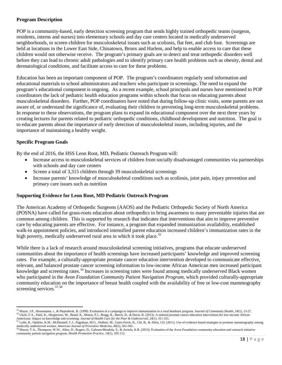## **Program Description**

POP is a community-based, early detection screening program that sends highly trained orthopedic teams (surgeon, residents, interns and nurses) into elementary schools and day care centers located in medically underserved neighborhoods, to screen children for musculoskeletal issues such as scoliosis, flat feet, and club foot. Screenings are held at locations in the Lower East Side, Chinatown, Bronx and Harlem, and help to enable access to care that these children would not otherwise receive. The program's primary goals are to detect and treat orthopedic disorders well before they can lead to chronic adult pathologies and to identify primary care health problems such as obesity, dental and dermatological conditions, and facilitate access to care for these problems.

Education has been an important component of POP. The program's coordinators regularly send information and educational materials to school administrators and teachers who participate in screenings. The need to expand the program's educational component is ongoing. As a recent example, school principals and nurses have mentioned to POP coordinators the lack of pediatric health education programs within schools that focus on educating parents about musculoskeletal disorders. Further, POP coordinators have noted that during follow-up clinic visits, some parents are not aware of, or understand the significance of, evaluating their children in preventing long-term musculoskeletal problems. In response to these observations, the program plans to expand its educational component over the next three years by creating lectures for parents related to pediatric orthopedic conditions, childhood development and nutrition. The goal is to educate parents about the importance of early detection of musculoskeletal issues, including injuries, and the importance of maintaining a healthy weight.

## **Specific Program Goals**

 $\overline{\phantom{a}}$ 

By the end of 2016, the HSS Leon Root, MD, Pediatric Outreach Program will:

- Increase access to musculoskeletal services of children from socially disadvantaged communities via partnerships with schools and day care centers
- Screen a total of 3,315 children through 39 musculoskeletal screenings
- Increase parents' knowledge of musculoskeletal conditions such as scoliosis, joint pain, injury prevention and primary care issues such as nutrition

#### **Supporting Evidence for Leon Root, MD Pediatric Outreach Program**

The American Academy of Orthopedic Surgeons (AAOS) and the Pediatric Orthopedic Society of North America (POSNA) have called for grass-roots education about orthopedics to bring awareness to many preventable injuries that are common among children. This is supported by research that indicates that interventions that aim to improve preventive care by educating parents are effective. For instance, a program that expanded immunization availability, established walk-in appointment policies, and introduced intensified parent education increased children's immunization rates in the high poverty, medically underserved rural area in which it took place.<sup>[55](#page-18-0)</sup>

While there is a lack of research around musculoskeletal screening initiatives, programs that educate underserved communities about the importance of health screenings have increased participants' knowledge and improved screening rates. For example, a culturally-appropriate prostate cancer education intervention developed to communicate effective, relevant, and balanced prostate cancer screening information to low-income African American men increased participant knowledge and screening rates.<sup>[56](#page-18-1)</sup> Increases in screening rates were found among medically underserved Black women who participated in the *Avon Foundation Community Patient Navigation Program,* which provided culturally-appropriate community education on the importance of breast health coupled with the availability of free or low-cost mammography screening services.<sup>[57,](#page-18-2)[58](#page-18-3)</sup>

<span id="page-18-0"></span><sup>&</sup>lt;sup>55</sup> Mayer, J.P., Housemann, r., & Piepenbrok, B. (1999). Evaluation of a campaign to improve immunization in a rural headstart program. *Journal of Community Health*, 24(1), 13-27.<br><sup>56</sup> Ukoli, F.A., Patel, K., Hargreaves,

<span id="page-18-1"></span>Americans: Impact on knowledge and screening. Journal of Health [Care for the Poor & Underserved, 24](http://www-ncbi-nlm-nih-gov.proxy.wexler.hunter.cuny.edu/pubmed/23377736)(1), 311-331.<br><sup>57</sup> Lobb, R., Opdyke, K.M., McDonnell, C.J., Pagaduan, M.G., Hulbert, M., Gates-Ferris, K., Chi, B., & Allen medically underserved women. *American Journal of Preventive [Medicine, 40](http://www-ncbi-nlm-nih-gov.proxy.wexler.hunter.cuny.edu/pubmed/21496756)*(5), 561-565.

<span id="page-18-3"></span><span id="page-18-2"></span><sup>58</sup> Mason, T.A., Thompson, W.W., Allen, D., Rogers, D., Gabram-Mendola, S., & Arriola, K.R. (2013). Evaluation of the Avon Foundation community education and outreach initiative community patient navigation program. *Health [Promotion Prac](http://www-ncbi-nlm-nih-gov.proxy.wexler.hunter.cuny.edu/pubmed/21478369)*tice, 14(1), 105-112.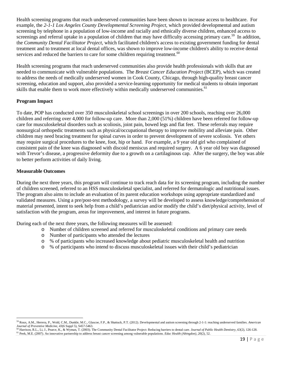Health screening programs that reach underserved communities have been shown to increase access to healthcare. For example, the *2-1-1 Los Angeles County Developmental Screening Project*, which provided developmental and autism screening by telephone in a population of low-income and racially and ethnically diverse children, enhanced access to screenings and referral uptake in a population of children that may have difficulty accessing primary care.<sup>59</sup> In addition, the *Community Dental Facilitator Project,* which facilitated children's access to existing government funding for dental treatment and to treatment at local dental offices, was shown to improve low-income children's ability to receive dental services and reduced the barriers to care for some children requiring treatment.<sup>[60](#page-19-1)</sup>

Health screening programs that reach underserved communities also provide health professionals with skills that are needed to communicate with vulnerable populations. The *Breast Cancer Education Project* (BCEP), which was created to address the needs of medically underserved women in Cook County, Chicago, through high-quality breast cancer screening, education and support, also provided a service-learning opportunity for medical students to obtain important skills that enable them to work more effectively within medically underserved communities.<sup>[61](#page-19-2)</sup>

## **Program Impact**

To date, POP has conducted over 350 musculoskeletal school screenings in over 200 schools, reaching over 26,000 children and referring over 4,000 for follow-up care. More than 2,000 (51%) children have been referred for follow-up care for musculoskeletal disorders such as scoliosis, joint pain, bowed legs and flat feet. These referrals may require nonsurgical orthopedic treatments such as physical/occupational therapy to improve mobility and alleviate pain. Other children may need bracing treatment for spinal curves in order to prevent development of severe scoliosis. Yet others may require surgical procedures to the knee, foot, hip or hand. For example, a 9 year old girl who complained of consistent pain of the knee was diagnosed with discoid meniscus and required surgery. A 6 year old boy was diagnosed with Trevor's disease, a progressive deformity due to a growth on a cartilaginous cap. After the surgery, the boy was able to better perform activities of daily living.

## **Measurable Outcomes**

l

During the next three years, this program will continue to track reach data for its screening program, including the number of children screened, referred to an HSS musculoskeletal specialist, and referred for dermatologic and nutritional issues. The program also aims to include an evaluation of its parent education workshops using appropriate standardized and validated measures. Using a pre/post-test methodology, a survey will be developed to assess knowledge/comprehension of material presented, intent to seek help from a child's pediatrician and/or modify the child's diet/physical activity, level of satisfaction with the program, areas for improvement, and interest in future programs.

During each of the next three years, the following measures will be assessed:

- o Number of children screened and referred for musculoskeletal conditions and primary care needs
- o Number of participants who attended the lectures
- o % of participants who increased knowledge about pediatric musculoskeletal health and nutrition
- o % of participants who intend to discuss musculoskeletal issues with their child's pediatrician

<span id="page-19-0"></span><sup>59</sup> Roux, A.M., Herrera, P., Wold, C.M., Dunkle, M.C., Glascoe, F.P., & Shattuck, P.T. (2012). Developmental and autism screening through 2-1-1: reaching underserved families. *[American](http://www-ncbi-nlm-nih-gov.proxy.wexler.hunter.cuny.edu/pubmed/23157765)*

<span id="page-19-2"></span><span id="page-19-1"></span><sup>&</sup>lt;sup>[60](http://www-ncbi-nlm-nih-gov.proxy.wexler.hunter.cuny.edu/pubmed/23157765)</sup> Harrison, R.L., Li, J., Pearce, K., & Wyman, T. (2003). The Community Dental Facilitator Project: Reducing barriers to dental care. Journal of Public Health Dentistry, 63(2), 126-128.<br><sup>61</sup> Peek, M.E. (2007). An innov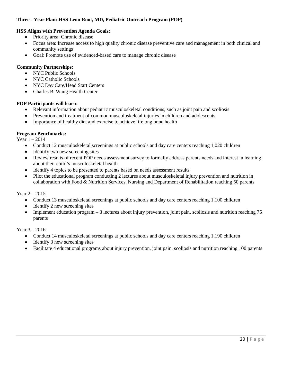## **Three - Year Plan: HSS Leon Root, MD, Pediatric Outreach Program (POP)**

## **HSS Aligns with Prevention Agenda Goals:**

- Priority area: Chronic disease
- Focus area: Increase access to high quality chronic disease preventive care and management in both clinical and community settings
- Goal: Promote use of evidenced-based care to manage chronic disease

## **Community Partnerships:**

- NYC Public Schools
- NYC Catholic Schools
- NYC Day Care/Head Start Centers
- Charles B. Wang Health Center

#### **POP Participants will learn:**

- Relevant information about pediatric musculoskeletal conditions, such as joint pain and scoliosis
- Prevention and treatment of common musculoskeletal injuries in children and adolescents
- Importance of healthy diet and exercise to achieve lifelong bone health

#### **Program Benchmarks:**

Year 1 – 2014

- Conduct 12 musculoskeletal screenings at public schools and day care centers reaching 1,020 children
- Identify two new screening sites
- Review results of recent POP needs assessment survey to formally address parents needs and interest in learning about their child's musculoskeletal health
- Identify 4 topics to be presented to parents based on needs assessment results
- Pilot the educational program conducting 2 lectures about musculoskeletal injury prevention and nutrition in collaboration with Food & Nutrition Services, Nursing and Department of Rehabilitation reaching 50 parents

Year 2 – 2015

- Conduct 13 musculoskeletal screenings at public schools and day care centers reaching 1,100 children
- Identify 2 new screening sites
- Implement education program 3 lectures about injury prevention, joint pain, scoliosis and nutrition reaching 75 parents

Year 3 – 2016

- Conduct 14 musculoskeletal screenings at public schools and day care centers reaching 1,190 children
- Identify 3 new screening sites
- Facilitate 4 educational programs about injury prevention, joint pain, scoliosis and nutrition reaching 100 parents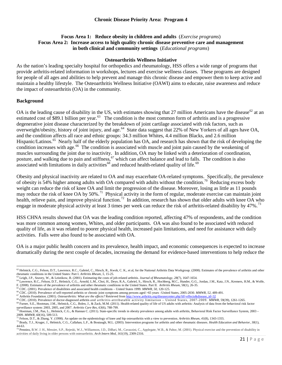## **Focus Area 1: Reduce obesity in children and adults** (*Exercise programs*) **Focus Area 2: Increase access to high quality chronic disease preventive care and management in both clinical and community settings** (*Educational programs*)

#### **Osteoarthritis Wellness Initiative**

As the nation's leading specialty hospital for orthopedics and rheumatology, HSS offers a wide range of programs that provide arthritis-related information in workshops, lectures and exercise wellness classes. These programs are designed for people of all ages and abilities to help prevent and manage this chronic disease and empower them to keep active and maintain a healthy lifestyle. The Osteoarthritis Wellness Initiative (OAWI) aims to educate, raise awareness and reduce the impact of osteoarthritis (OA) in the community.

#### **Background**

OA is the leading cause of disability in the US, with estimates showing that 27 million Americans have the disease<sup>[62](#page-21-0)</sup> at an estimated cost of \$89.1 billion per year.<sup>[63](#page-21-1)</sup> The condition is the most common form of arthritis and is a progressive degenerative joint disease characterized by the breakdown of joint cartilage associated with risk factors, such as overweight/obesity, history of joint injury, and age.<sup>64</sup> State data suggest that 22% of New Yorkers of all ages have OA, and the condition affects all race and ethnic groups: 34.3 million Whites, 4.4 million Blacks, and 2.6 million Hispanic/Latinos.<sup>[65](#page-21-3)</sup> Nearly half of the elderly population has OA, and research has shown that the risk of developing the condition increases with age.<sup>[66](#page-21-4)</sup> The condition is associated with muscle and joint pain caused by the weakening of muscles surrounding the joint due to inactivity. In addition, OA may be linked with a deterioration of coordination, posture, and walking due to pain and stiffness, <sup>[67](#page-21-5)</sup> which can affect balance and lead to falls. The condition is also associated with limitations in daily activities<sup>[68](#page-21-6)</sup> and reduced health-related quality of life.<sup>[69](#page-21-7)</sup>

Obesity and physical inactivity are related to OA and may exacerbate OA-related symptoms. Specifically, the prevalence of obesity is 54% higher among adults with OA compared with adults without the condition.<sup>70</sup> Reducing excess body weight can reduce the risk of knee OA and limit the progression of the disease. Moreover, losing as little as 11 pounds may reduce the risk of knee OA by 50%.<sup>[71](#page-21-9)</sup> Physical activity in the form of regular, moderate exercise can maintain joint health, relieve pain, and improve physical function.<sup>72</sup> In addition, research has shown that older adults with knee OA who engage in moderate physical activity at least 3 times per week can reduce the risk of arthritis-related disability by 47%.<sup>[73](#page-21-11)</sup>

HSS CHNA results showed that OA was the leading condition reported, affecting 47% of respondents, and the condition was more common among women, Whites, and older participants. OA was also found to be associated with reduced quality of life, as it was related to poorer physical health, increased pain limitations, and need for assistance with daily activities. Falls were also found to be associated with OA.

OA is a major public health concern and its prevalence, health impact, and economic consequences is expected to increase dramatically during the next couple of decades, increasing the demand for evidence-based interventions to help reduce the

<span id="page-21-0"></span> $\overline{\phantom{a}}$  $^{62}$  Helmick, C.G., Felson, D.T., Lawrence, R.C., Gabriel, C., Hirsch, R., Kwoh, C. K., et al, for the National Arthritis Data Workgroup. (2008). Estimates of the prevalence of arthritis and other rheumatic conditions i

<span id="page-21-1"></span><sup>&</sup>lt;sup>63</sup> Leigh, J.P., Seavey, W., & Leistikow, B. (2001). Estimating the costs of job-related arthritis. Journal of Rheumatology, 28(7), 1647-1654.

<span id="page-21-2"></span>Experies R.C.[, Felson, D.T.](http://www.ncbi.nlm.nih.gov/pubmed?term=Felson%20DT%5BAuthor%5D&cauthor=true&cauthor_uid=18163497)[, Helmick, C.G.,](http://www.ncbi.nlm.nih.gov/pubmed?term=Helmick%20CG%5BAuthor%5D&cauthor=true&cauthor_uid=18163497) [Arnold, L.M.](http://www.ncbi.nlm.nih.gov/pubmed?term=Arnold%20LM%5BAuthor%5D&cauthor=true&cauthor_uid=18163497)[, Choi, H.,](http://www.ncbi.nlm.nih.gov/pubmed?term=Choi%20H%5BAuthor%5D&cauthor=true&cauthor_uid=18163497) [Deyo, R.A.](http://www.ncbi.nlm.nih.gov/pubmed?term=Deyo%20RA%5BAuthor%5D&cauthor=true&cauthor_uid=18163497)[, Gabriel, S.,](http://www.ncbi.nlm.nih.gov/pubmed?term=Gabriel%20S%5BAuthor%5D&cauthor=true&cauthor_uid=18163497) [Hirsch, R.,](http://www.ncbi.nlm.nih.gov/pubmed?term=Hirsch%20R%5BAuthor%5D&cauthor=true&cauthor_uid=18163497) [Hochberg, M.C.,](http://www.ncbi.nlm.nih.gov/pubmed?term=Hochberg%20MC%5BAuthor%5D&cauthor=true&cauthor_uid=18163497) [Hunder, G.G.](http://www.ncbi.nlm.nih.gov/pubmed?term=Hunder%20GG%5BAuthor%5D&cauthor=true&cauthor_uid=18163497)[, Jordan, J.M.](http://www.ncbi.nlm.nih.gov/pubmed?term=Jordan%20JM%5BAuthor%5D&cauthor=true&cauthor_uid=18163497)[, Katz, J.N.](http://www.ncbi.nlm.nih.gov/pubmed?term=Katz%20JN%5BAuthor%5D&cauthor=true&cauthor_uid=18163497)[, Kremers, H.M.,](http://www.ncbi.nlm.nih.gov/pubmed?term=Kremers%20HM%5BAuthor%5D&cauthor=true&cauthor_uid=18163497) & Wolfe,<br>F. (2008). Estimates of the prevalenc

<span id="page-21-3"></span>

<span id="page-21-6"></span><span id="page-21-5"></span><span id="page-21-4"></span>

<span id="page-21-7"></span>

<sup>&</sup>lt;sup>65</sup> CDC. (2010). Prevalence of disabilities and associated health conditions – United States 1999. MMWR[,](http://www.ncbi.nlm.nih.gov/pubmed/18163497) 50, 120-125.<br><sup>66</sup> CDC. (2010). Prevalence of self-reported arthritis or chronic joint symptoms among persons aged > and 2003, 2005, and 2007. Arthritis Care Res, 63(6), 788-799.<br><sup>70</sup> Hootman, J.M., Pan, L., Helmick, C.G., & Hannan C. (2011). State-specific trends in obesity prevalence among adults with arthritis, Behavioral Risk Factor

<span id="page-21-8"></span><sup>2009.</sup> MMWR, 60(16), 509-513.<br><sup>71</sup> Felson, D.T., & Zhang, Y. (1998). An update on the epidemiology of knee and hip osteoarthritis with a view to prevention. Arthritis Rheum, 41(8), 1343-1355.<br><sup>71</sup> Felson, D.T., & Zhang, Y.

<span id="page-21-11"></span><span id="page-21-10"></span><span id="page-21-9"></span><sup>44-63.&</sup>lt;br><sup>73</sup> Penninx, B.W. J. H., Messier, S.P., Rejeski, W.J., Williamson, J.D., DiBari, M., Cavazzini, C., Applegate, W.B., & Pahor, M. (2001). Physical exercise and the prevention of disability in

[activities of daily living in older persons with osteoarthritis.](http://archinte.jamanetwork.com/article.aspx?articleid=649285) *Arch Intern Med, 161*(19), 2309-2316.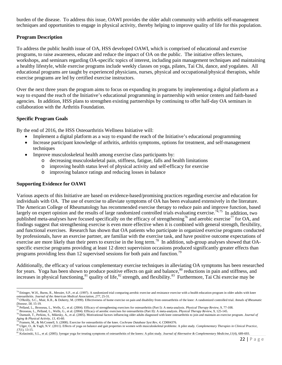burden of the disease. To address this issue, OAWI provides the older adult community with arthritis self-management techniques and opportunities to engage in physical activity, thereby helping to improve quality of life for this population.

## **Program Description**

To address the public health issue of OA, HSS developed OAWI, which is comprised of educational and exercise programs, to raise awareness, educate and reduce the impact of OA on the public. The initiative offers lectures, workshops, and seminars regarding OA-specific topics of interest, including pain management techniques and maintaining a healthy lifestyle, while exercise programs include weekly classes on yoga, pilates, Tai Chi, dance, and yogalates. All educational programs are taught by experienced physicians, nurses, physical and occupational/physical therapists, while exercise programs are led by certified exercise instructors.

Over the next three years the program aims to focus on expanding its programs by implementing a digital platform as a way to expand the reach of the Initiative's educational programming in partnership with senior centers and faith-based agencies. In addition, HSS plans to strengthen existing partnerships by continuing to offer half-day OA seminars in collaboration with the Arthritis Foundation.

## **Specific Program Goals**

By the end of 2016, the HSS Osteoarthritis Wellness Initiative will:

- Implement a digital platform as a way to expand the reach of the Initiative's educational programming
- Increase participant knowledge of arthritis, arthritis symptoms, options for treatment, and self-management techniques
- Improve musculoskeletal health among exercise class participants by:
	- o decreasing musculoskeletal pain, stiffness, fatigue, falls and health limitations
	- o improving health status level of physical activity and self-efficacy for exercise
	- o improving balance ratings and reducing losses in balance

## **Supporting Evidence for OAWI**

Various aspects of this Initiative are based on evidence-based/promising practices regarding exercise and education for individuals with OA. The use of exercise to alleviate symptoms of OA has been evaluated extensively in the literature. The American College of Rheumatology has recommended exercise therapy to reduce pain and improve function, based largely on expert opinion and the results of large randomized controlled trials evaluating exercise.<sup>[74](#page-22-0),[75](#page-22-1)</sup> In addition, two published meta-analyses have focused specifically on the efficacy of strengthening<sup>[76](#page-22-2)</sup> and aerobic exercise<sup>[77](#page-22-3)</sup> for OA, and findings suggest that strengthening exercise is even more effective when it is combined with general strength, flexibility, and functional exercises. Research has shown that OA patients who participate in organized exercise programs conducted by professionals, have an exercise partner, are familiar with the exercise task, and have positive outcome expectations of exercise are more likely than their peers to exercise in the long term.<sup>[78](#page-22-4)</sup> In addition, sub-group analyses showed that OAspecific exercise programs providing at least 12 direct supervision occasions produced significantly greater effects than programs providing less than 12 supervised sessions for both pain and function.<sup>[79](#page-22-5)</sup>

Additionally, the efficacy of various complementary exercise techniques in alleviating OA symptoms has been researched for years. Yoga has been shown to produce positive effects on gait and balance,<sup>[80](#page-22-6)</sup> reductions in pain and stiffness, and increases in physical functioning,  $81 \text{ quality of life}, 82 \text{ strength},$  $81 \text{ quality of life}, 82 \text{ strength},$  $81 \text{ quality of life}, 82 \text{ strength},$  $81 \text{ quality of life}, 82 \text{ strength},$  and flexibility. $83 \text{ Furthermore, Tai Chi exercise may be}$  $83 \text{ Furthermore, Tai Chi exercise may be}$ 

<span id="page-22-8"></span><span id="page-22-0"></span> $\overline{\phantom{a}}$ <sup>74</sup> Ettinger, W.H., Burns, R., Messier, S.P., et al. (1997). A randomized trial comparing aerobic exercise and resistance exercise with a health education program in older adults with knee osteoarthritis. Journal of the American Medical Association, 277, 25-31.<br><sup>75</sup> O'Reilly, S.C., Muir, K.R., & Doherty, M. (1999). Effectiveness of home exercise on pain and disability from osteoarthritis of the knee: A rando

<span id="page-22-2"></span>

<span id="page-22-4"></span><span id="page-22-3"></span>

<span id="page-22-1"></span>Disease, 58, 15-19.<br><sup>76</sup> Pelland, L., Brosseau, L., Wells, G., et al. (2004). Efficacy of strengthening exercises for osteoarthritis (Part I): A meta-analysis. *Physical Therapy Review*, 9, 77-108.<br><sup>76</sup> Pelland, L., Brosse

<span id="page-22-6"></span><span id="page-22-5"></span><sup>&</sup>lt;sup>79</sup> Fransen, M., & McConnell, S. (2008). Exercise for osteoarthritis of the knee. Cochrane Database Syst Rev, 4, CD004376.<br><sup>80</sup> Ulger, O., & Yagli, N.V. (2011). Effects of yoga on balance and gait properties in women with

<span id="page-22-7"></span><sup>&</sup>lt;sup>81</sup> Kolasinski, S.L., et al. (2005). Iyengar yoga for treating symptoms of osteoarthritis of the knees: A pilot study. *Journal of Alternative & Complementary Medicine*, *I1*(4), 689-693.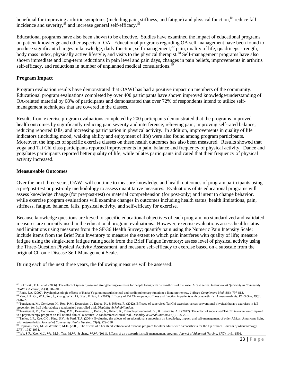beneficial for improving arthritic symptoms (including pain, stiffness, and fatigue) and physical function.<sup>[84](#page-23-0)</sup> reduce fall incidence and severity,  $\frac{85}{6}$  $\frac{85}{6}$  $\frac{85}{6}$  and increase general self-efficacy.<sup>8</sup>

Educational programs have also been shown to be effective. Studies have examined the impact of educational programs on patient knowledge and other aspects of OA. Educational programs regarding OA self-management have been found to produce significant changes in knowledge, daily function, self-management,<sup>[87](#page-23-3)</sup> pain, quality of life, quadriceps strength, body mass index, physically active lifestyle, and visits to the physical therapist.<sup>[88](#page-23-4)</sup> Self-management programs have also shown immediate and long-term reductions in pain level and pain days, changes in pain beliefs, improvements in arthritis self-efficacy, and reductions in number of unplanned medical consultations.<sup>[89](#page-23-5)</sup>

#### **Program Impact**

Program evaluation results have demonstrated that OAWI has had a positive impact on members of the community. Educational program evaluations completed by over 400 participants have shown improved knowledge/understanding of OA-related material by 68% of participants and demonstrated that over 72% of respondents intend to utilize selfmanagement techniques that are covered in the classes.

Results from exercise program evaluations completed by 200 participants demonstrated that the programs improved health outcomes by significantly reducing pain severity and interference; relieving pain; improving self-rated balance; reducing reported falls, and increasing participation in physical activity. In addition, improvements in quality of life indicators (including mood, walking ability and enjoyment of life) were also found among program participants. Moreover, the impact of specific exercise classes on these health outcomes has also been measured. Results showed that yoga and Tai Chi class participants reported improvements in pain, balance and frequency of physical activity. Dance and yogalates participants reported better quality of life, while pilates participants indicated that their frequency of physical activity increased.

#### **Measureable Outcomes**

 $\overline{\phantom{a}}$ 

Over the next three years, OAWI will continue to measure knowledge and health outcomes of program participants using a pre/post-test or post-only methodology to assess quantitative measures. Evaluations of its educational programs will assess knowledge change (for pre/post-test) or material comprehension (for post-only) and intent to change behavior, while exercise program evaluations will examine changes in outcomes including health status, health limitations, pain, stiffness, fatigue, balance, falls, physical activity, and self-efficacy for exercise.

Because knowledge questions are keyed to specific educational objectives of each program, no standardized and validated measures are currently used in the educational program evaluations. However, exercise evaluations assess health status and limitations using measures from the SF-36 Health Survey; quantify pain using the Numeric Pain Intensity Scale; include items from the Brief Pain Inventory to measure the extent to which pain interferes with quality of life; measure fatigue using the single-item fatigue rating scale from the Brief Fatigue Inventory; assess level of physical activity using the Three-Question Physical Activity Assessment, and measure self-efficacy to exercise based on a subscale from the original Chronic Disease Self-Management Scale.

During each of the next three years, the following measures will be assessed:

<sup>&</sup>lt;sup>82</sup> Bukowski, E.L., et al. (2006). The effect of iyengar yoga and strengthening exercises for people living with osteoarthritis of the knee: A case series. *International Quarterly in Community Health Education.* 26(3),

<span id="page-23-0"></span><sup>&</sup>lt;sup>83</sup> Raub, J.A. (2002). Psychophysiologic effects of Hatha Yoga on musculoskeletal and cardiopulmonary function: a literature review. *J Altern Complement Med*, 8(6), 797-812.<br><sup>84</sup> Yan, J.H., Gu, W.J., Sun, J., Zhang, W.X. e61672.<br><sup>85</sup> Tousignant, M.[, Corriveau, H.,](http://www-ncbi-nlm-nih-gov.proxy.wexler.hunter.cuny.edu/pubmed?term=Corriveau%20H%5BAuthor%5D&cauthor=true&cauthor_uid=23167499) [Roy, P.M.,](http://www-ncbi-nlm-nih-gov.proxy.wexler.hunter.cuny.edu/pubmed?term=Roy%20PM%5BAuthor%5D&cauthor=true&cauthor_uid=23167499) [Desrosiers, J.,](http://www-ncbi-nlm-nih-gov.proxy.wexler.hunter.cuny.edu/pubmed?term=Desrosiers%20J%5BAuthor%5D&cauthor=true&cauthor_uid=23167499) [Dubuc, N.,](http://www-ncbi-nlm-nih-gov.proxy.wexler.hunter.cuny.edu/pubmed?term=Dubuc%20N%5BAuthor%5D&cauthor=true&cauthor_uid=23167499) [& Hébert, R.](http://www-ncbi-nlm-nih-gov.proxy.wexler.hunter.cuny.edu/pubmed?term=H%C3%A9bert%20R%5BAuthor%5D&cauthor=true&cauthor_uid=23167499) (2012). Efficacy of supervised Tai Chi exercises versus conventional physical therapy exercises in fall

<span id="page-23-1"></span>prevention for frail older adults: a randomized controlled trial. Disability & Rehabilitation.<br><sup>86</sup> [Tousignant, M.](http://www-ncbi-nlm-nih-gov.proxy.wexler.hunter.cuny.edu/pubmed?term=Tousignant%20M%5BAuthor%5D&cauthor=true&cauthor_uid=21958377)[, Corriveau, H.,](http://www-ncbi-nlm-nih-gov.proxy.wexler.hunter.cuny.edu/pubmed?term=Corriveau%20H%5BAuthor%5D&cauthor=true&cauthor_uid=21958377) [Roy, P.M.,](http://www-ncbi-nlm-nih-gov.proxy.wexler.hunter.cuny.edu/pubmed?term=Roy%20PM%5BAuthor%5D&cauthor=true&cauthor_uid=21958377) [Desrosiers, J.,](http://www-ncbi-nlm-nih-gov.proxy.wexler.hunter.cuny.edu/pubmed?term=Desrosiers%20J%5BAuthor%5D&cauthor=true&cauthor_uid=21958377) [Dubuc, N.](http://www-ncbi-nlm-nih-gov.proxy.wexler.hunter.cuny.edu/pubmed?term=Dubuc%20N%5BAuthor%5D&cauthor=true&cauthor_uid=21958377)[, Hébert, R.,](http://www-ncbi-nlm-nih-gov.proxy.wexler.hunter.cuny.edu/pubmed?term=H%C3%A9bert%20R%5BAuthor%5D&cauthor=true&cauthor_uid=21958377) [Tremblay-Boudreault, V.,](http://www-ncbi-nlm-nih-gov.proxy.wexler.hunter.cuny.edu/pubmed?term=Tremblay-Boudreault%20V%5BAuthor%5D&cauthor=true&cauthor_uid=21958377) & Beaudoin, A.J.

<span id="page-23-2"></span>to a physiotherapy program on fall-related clinical outcomes: A randomized clinical trial. Disability & Rehabilitation.34(3), 196-201.<br><sup>87</sup> [Taylor, L.F.,](http://www.ncbi.nlm.nih.gov.proxy.wexler.hunter.cuny.edu/pubmed?term=%22Taylor%20LF%22%5BAuthor%5D) [Kee, C.C.](http://www.ncbi.nlm.nih.gov.proxy.wexler.hunter.cuny.edu/pubmed?term=%22Kee%20CC%22%5BAuthor%5D)[, King, S.V.,](http://www.ncbi.nlm.nih.gov.proxy.wexler.hunter.cuny.edu/pubmed?term=%22King%20SV%22%5BAuthor%5D) [& Ford, T.A.](http://www.ncbi.nlm.nih.gov.proxy.wexler.hunter.cuny.edu/pubmed?term=%22Ford%20TA%22%5BAuthor%5D) (2004). Evaluating the effects o

<span id="page-23-3"></span>with osteoarthritis. Journal of Community Health Nursing, 21(4), 229–238.<br><sup>88</sup> Hopman-Rock, M., & Westhoff, M.H. (2000). The effects of a health educational and exercise program for older adults with osteoarthritis for the

<span id="page-23-5"></span><span id="page-23-4"></span>

*<sup>27</sup>*(8), 1947-1954. <sup>89</sup> Wu, S.F., Kao, M.J., Wu, M.P., Tsai, M.W., & chang, W.W. (2011). Effects of an osteoarthritis self-management program. *Journal of Advanced Nursing, 67*(7), 1491-1501.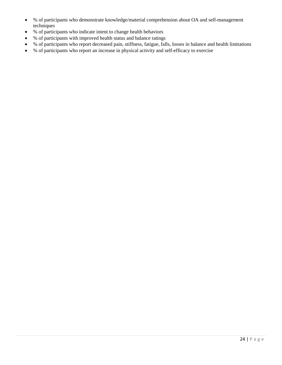- % of participants who demonstrate knowledge/material comprehension about OA and self-management techniques
- % of participants who indicate intent to change health behaviors
- % of participants with improved health status and balance ratings
- % of participants who report decreased pain, stiffness, fatigue, falls, losses in balance and health limitations
- % of participants who report an increase in physical activity and self-efficacy to exercise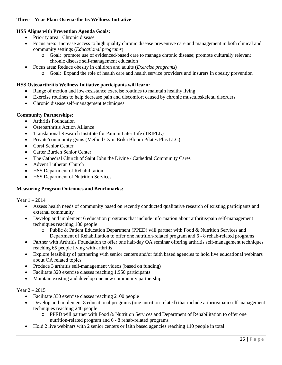## **Three – Year Plan: Osteoarthritis Wellness Initiative**

## **HSS Aligns with Prevention Agenda Goals:**

- Priority area: Chronic disease
- Focus area: Increase access to high quality chronic disease preventive care and management in both clinical and community settings (*Educational programs*)
	- o Goal: promote use of evidenced-based care to manage chronic disease; promote culturally relevant chronic disease self-management education
- Focus area: Reduce obesity in children and adults (*Exercise programs*)
	- o Goal: Expand the role of health care and health service providers and insurers in obesity prevention

#### **HSS Osteoarthritis Wellness Initiative participants will learn:**

- Range of motion and low-resistance exercise routines to maintain healthy living
- Exercise routines to help decrease pain and discomfort caused by chronic musculoskeletal disorders
- Chronic disease self-management techniques

## **Community Partnerships:**

- Arthritis Foundation
- Osteoarthritis Action Alliance
- Translational Research Institute for Pain in Later Life (TRIPLL)
- Private/community gyms (Method Gym, Erika Bloom Pilates Plus LLC)
- Corsi Senior Center
- Carter Burden Senior Center
- The Cathedral Church of Saint John the Divine / Cathedral Community Cares
- Advent Lutheran Church
- HSS Department of Rehabilitation
- **HSS Department of Nutrition Services**

#### **Measuring Program Outcomes and Benchmarks:**

Year 1 – 2014

- Assess health needs of community based on recently conducted qualitative research of existing participants and external community
- Develop and implement 6 education programs that include information about arthritis/pain self-management techniques reaching 180 people
	- o Public & Patient Education Department (PPED) will partner with Food & Nutrition Services and Department of Rehabilitation to offer one nutrition-related program and 6 - 8 rehab-related programs
- Partner with Arthritis Foundation to offer one half-day OA seminar offering arthritis self-management techniques reaching 65 people living with arthritis
- Explore feasibility of partnering with senior centers and/or faith based agencies to hold live educational webinars about OA related topics
- Produce 3 arthritis self-management videos (based on funding)
- Facilitate 320 exercise classes reaching 1,950 participants
- Maintain existing and develop one new community partnership

#### Year 2 – 2015

- Facilitate 330 exercise classes reaching 2100 people
- Develop and implement 8 educational programs (one nutrition-related) that include arthritis/pain self-management techniques reaching 240 people
	- o PPED will partner with Food & Nutrition Services and Department of Rehabilitation to offer one nutrition-related program and 6 - 8 rehab-related programs
- Hold 2 live webinars with 2 senior centers or faith based agencies reaching 110 people in total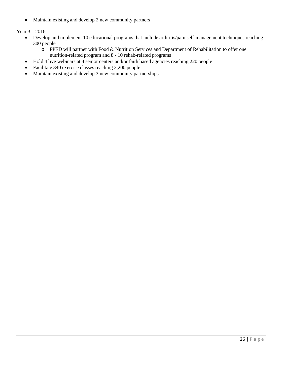• Maintain existing and develop 2 new community partners

Year 3 – 2016

- Develop and implement 10 educational programs that include arthritis/pain self-management techniques reaching 300 people
	- o PPED will partner with Food & Nutrition Services and Department of Rehabilitation to offer one nutrition-related program and 8 - 10 rehab-related programs
- Hold 4 live webinars at 4 senior centers and/or faith based agencies reaching 220 people
- Facilitate 340 exercise classes reaching 2,200 people
- Maintain existing and develop 3 new community partnerships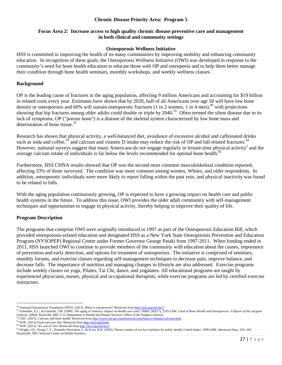#### **Chronic Disease Priority Area: Program 5**

#### **Focus Area 2: Increase access to high quality chronic disease preventive care and management in both clinical and community settings**

#### **Osteoporosis Wellness Initiative**

HSS is committed to improving the health of its many communities by improving mobility and enhancing community education. In recognition of these goals, the Osteoporosis Wellness Initiative (OWI) was developed in response to the community's need for bone health education to educate those with OP and osteopenia and to help them better manage their condition through bone health seminars, monthly workshops, and weekly wellness classes.

#### **Background**

OP is the leading cause of fractures in the aging population, affecting 9 million Americans and accounting for \$19 billion in related costs every year. Estimates have shown that by 2020, half of all Americans over age 50 will have low bone density or osteoporosis and 60% will sustain osteoporotic fractures (1 in 2 women, 1 in 4 men),  $90$  with projections showing that hip fractures among older adults could double or triple by  $2040$ .<sup>[91](#page-27-1)</sup> Often termed the silent disease due to its lack of symptoms, OP ("porous bone") is a disease of the skeletal system characterized by low bone mass and deterioration of bone tissue. $^{92}$  $^{92}$  $^{92}$ 

Research has shown that physical activity, a well-balanced diet, avoidance of excessive alcohol and caffeinated drinks such as soda and coffee,  $93$  and calcium and vitamin D intake may reduce the risk of OP and fall-related fractures.  $94$ However, national surveys suggest that many Americans do not engage regularly in leisure-time physical activity<sup>2</sup> and the average calcium intake of individuals is far below the levels recommended for optimal bone health.<sup>[95](#page-27-5)</sup>

Furthermore, HSS CHNA results showed that OP was the second most common musculoskeletal condition reported, affecting 33% of those surveyed. The condition was more common among women, Whites, and older respondents. In addition, osteoporotic individuals were more likely to report falling within the past year, and physical inactivity was found to be related to falls.

With the aging population continuously growing, OP is expected to have a growing impact on health care and public health systems in the future. To address this issue, OWI provides the older adult community with self-management techniques and opportunities to engage in physical activity, thereby helping to improve their quality of life.

#### **Program Description**

The programs that comprise OWI were originally introduced in 1997 as part of the Osteoporosis Education Bill, which provided osteoporosis-related education and designated HSS as a New York State Osteoporosis Prevention and Education Program (NYSOPEP) Regional Center under Former Governor George Pataki from 1997-2011. When funding ended in 2011, HSS launched OWI to continue to provide members of the community with education about the causes, importance of prevention and early detection, and options for treatment of osteoporosis. The initiative is comprised of seminars, monthly forums, and exercise classes regarding self-management techniques to decrease pain, improve balance, and decrease falls. The importance of nutrition and managing changes in lifestyle are also addressed. Exercise programs include weekly classes on yoga, Pilates, Tai Chi, dance, and yogalates. All educational programs are taught by experienced physicians, nurses, physical and occupational therapists, while exercise programs are led by certified exercise instructors.

l

<span id="page-27-1"></span><span id="page-27-0"></span><sup>&</sup>lt;sup>90</sup> National Osteoporosis Foundation (NOF). (2013). What is osteoporosis? Retrieved fro[m http://nof.org/articles/7](http://nof.org/articles/7)<br><sup>91</sup> Schneider, E.L., & Guralnik, J.M. (1990). The aging of America: Impact on health care costs. JAMA, 26 General. (2004). Rockville, MD: U.S. Department of Health and Human Services, Office of the Surgeon General. (2004). Rockville, MD: U.S. Department of Health and Human Services, Office of the Surgeon General. <sup>92</sup> CDC. (20

<span id="page-27-2"></span>

<span id="page-27-3"></span>

<span id="page-27-5"></span><span id="page-27-4"></span><sup>95</sup> Wright, J.D., Wang, C.Y., Kennedy-Stevenson, J., & Ervin, R.B. (2003). Dietary intakes of ten key nutrients for public health, United States: 1999-2000. *Advanced Data, 334,* 104. Hyattsville, MD: National Center on Health Statistics.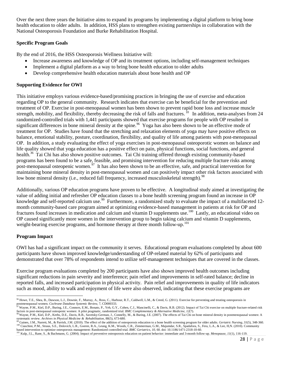Over the next three years the Initiative aims to expand its programs by implementing a digital platform to bring bone health education to older adults. In addition, HSS plans to strengthen existing partnerships in collaboration with the National Osteoporosis Foundation and Burke Rehabilitation Hospital.

## **Specific Program Goals**

By the end of 2016, the HSS Osteoporosis Wellness Initiative will:

- Increase awareness and knowledge of OP and its treatment options, including self-management techniques
- Implement a digital platform as a way to bring bone health education to older adults
- Develop comprehensive health education materials about bone health and OP

## **Supporting Evidence for OWI**

This initiative employs various evidence-based/promising practices in bringing the use of exercise and education regarding OP to the general community. Research indicates that exercise can be beneficial for the prevention and treatment of OP. Exercise in post-menopausal women has been shown to prevent rapid bone loss and increase muscle strength, mobility, and flexibility, thereby decreasing the risk of falls and fractures. <sup>10</sup> In addition, meta-analyses from 24 randomized-controlled trials with 1,441 participants showed that exercise programs for people with OP resulted in significant differences in bone mineral density at the spine.<sup>[96](#page-28-0)</sup> Yoga has also been shown to be an effective mode of treatment for OP. Studies have found that the stretching and relaxation elements of yoga may have positive effects on balance, emotional stability, posture, coordination, flexibility, and quality of life among patients with post-menopausal OP. In addition, a study evaluating the effect of yoga exercises in post-menopausal osteoporotic women on balance and life quality showed that yoga education has a positive effect on pain, physical functions, social functions, and general health.<sup>36</sup> Tai Chi has also shown positive outcomes. Tai Chi training offered through existing community-based programs has been found to be a safe, feasible, and promising intervention for reducing multiple fracture risks among post-menopausal osteopenic women.<sup>97</sup> It has also been shown to be an effective, safe, and practical intervention for maintaining bone mineral density in post-menopausal women and can positively impact other risk factors associated with low bone mineral density (i.e., reduced fall frequency, increased musculoskeletal strength).<sup>[98](#page-28-2)</sup>

Additionally, various OP education programs have proven to be effective. A longitudinal study aimed at investigating the value of adding initial and refresher OP education classes to a bone health screening program found an increase in OP knowledge and self-reported calcium use.<sup>[99](#page-28-3)</sup> Furthermore, a randomized study to evaluate the impact of a multifaceted 12month community-based care program aimed at optimizing evidence-based management in patients at risk for OP and fractures found increases in medication and calcium and vitamin D supplements use.<sup>100</sup> Lastly, an educational video on OP caused significantly more women in the intervention group to begin taking calcium and vitamin D supplements, weight-bearing exercise programs, and hormone therapy at three month follow-up.<sup>[101](#page-28-5)</sup>

# **Program Impact**

OWI has had a significant impact on the community it serves. Educational program evaluations completed by about 600 participants have shown improved knowledge/understanding of OP-related material by 62% of participants and demonstrated that over 78% of respondents intend to utilize self-management techniques that are covered in the classes.

Exercise program evaluations completed by 200 participants have also shown improved health outcomes including significant reductions in pain severity and interference; pain relief and improvements in self-rated balance; decline in reported falls, and increased participation in physical activity. Pain relief and improvements in quality of life indicators such as mood, ability to walk and enjoyment of life were also observed, indicating that these exercise programs are

<span id="page-28-0"></span> $\overline{\phantom{a}}$ <sup>96</sup> Howe, T.E., Shea, B., Dawson, L.J., Downie, F., Murray, A., Ross, C., Harbour, R.T., Caldwell, L.M., & Creed, G. (2011). Exercise for preventing and treating osteoporosis in postmenopausal women. Cochrane Database Systemic Review, 7, CD000333.<br><sup>97</sup> [Wayne,](http://www-ncbi-nlm-nih-gov.proxy.wexler.hunter.cuny.edu/pubmed?term=Wayne%20PM%5BAuthor%5D&cauthor=true&cauthor_uid=22289280) P.M.[, Kiel,](http://www-ncbi-nlm-nih-gov.proxy.wexler.hunter.cuny.edu/pubmed?term=Kiel%20DP%5BAuthor%5D&cauthor=true&cauthor_uid=22289280) D.P.[, Buring,](http://www-ncbi-nlm-nih-gov.proxy.wexler.hunter.cuny.edu/pubmed?term=Buring%20JE%5BAuthor%5D&cauthor=true&cauthor_uid=22289280) J.E.[, Connors,](http://www-ncbi-nlm-nih-gov.proxy.wexler.hunter.cuny.edu/pubmed?term=Connors%20EM%5BAuthor%5D&cauthor=true&cauthor_uid=22289280) E.M.[, Bonato,](http://www-ncbi-nlm-nih-gov.proxy.wexler.hunter.cuny.edu/pubmed?term=Bonato%20P%5BAuthor%5D&cauthor=true&cauthor_uid=22289280) P., Yeh, [G.Y.](http://www-ncbi-nlm-nih-gov.proxy.wexler.hunter.cuny.edu/pubmed?term=Yeh%20GY%5BAuthor%5D&cauthor=true&cauthor_uid=22289280)[, Cohen,](http://www-ncbi-nlm-nih-gov.proxy.wexler.hunter.cuny.edu/pubmed?term=Cohen%20CJ%5BAuthor%5D&cauthor=true&cauthor_uid=22289280) C.J.[, Mancinelli,](http://www-ncbi-nlm-nih-gov.proxy.wexler.hunter.cuny.edu/pubmed?term=Mancinelli%20C%5BAuthor%5D&cauthor=true&cauthor_uid=22289280) C., [& Davis,](http://www-ncbi-nlm-nih-gov.proxy.wexler.hunter.cuny.edu/pubmed?term=Davis%20RB%5BAuthor%5D&cauthor=true&cauthor_uid=22289280) R.B. (2012). Impact of Tai Chi e

<span id="page-28-1"></span>ray and the particular content of the complementary & Alternative Medicine, 12(7).<br>
"[Wayne, P.M.](http://www-ncbi-nlm-nih-gov.proxy.wexler.hunter.cuny.edu/pubmed?term=Wayne%20PM%5BAuthor%5D&cauthor=true&cauthor_uid=17466739)[, Kiel, D.P.](http://www-ncbi-nlm-nih-gov.proxy.wexler.hunter.cuny.edu/pubmed?term=Kiel%20DP%5BAuthor%5D&cauthor=true&cauthor_uid=17466739)[, Krebs, D.E.](http://www-ncbi-nlm-nih-gov.proxy.wexler.hunter.cuny.edu/pubmed?term=Krebs%20DE%5BAuthor%5D&cauthor=true&cauthor_uid=17466739)[, Davis, R.B.](http://www-ncbi-nlm-nih-gov.proxy.wexler.hunter.cuny.edu/pubmed?term=Davis%20RB%5BAuthor%5D&cauthor=true&cauthor_uid=17466739)[, Savetsky-German, J.,](http://www-ncbi-nlm-nih-gov.proxy.wexler.hunter.cuny.edu/pubmed?term=Savetsky-German%20J%5BAuthor%5D&cauthor=true&cauthor_uid=17466739) [Connelly, M.,](http://www-ncbi-nlm-nih-gov.proxy.wexler.hunter.cuny.edu/pubmed?term=Connelly%20M%5BAuthor%5D&cauthor=true&cauthor_uid=17466739) [& Buring, J.E.](http://www-ncbi-nlm-nih-gov.proxy.wexler.hunter.cuny.edu/pubmed?term=Buring%20JE%5BAuthor%5D&cauthor=true&cauthor_uid=17466739) (2007). The effects of Tai Chi on bo

<span id="page-28-2"></span>

<span id="page-28-3"></span>systematic review. [Archives in Physical Medicine & Rehabilitation,](http://www-ncbi-nlm-nih-gov.proxy.wexler.hunter.cuny.edu/pubmed/17466739) 88(5), 673-680.<br><sup>99</sup> Gaines, J.M., Narrett, M., & Parrish, J.M. (2010). The effect of the addition of osteoporosis education to a bone health screening pro

<span id="page-28-5"></span><span id="page-28-4"></span><sup>&</sup>lt;sup>101</sup> Kulp, J.L., Rane, S., & Bachmann, G. (2004). Impact of preventive osteoporosis education on patient behavior: immediate and 3-month follow-up. Menopause, 11(1), 116-119.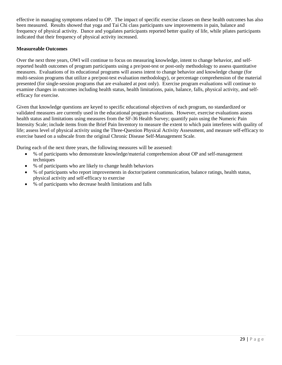effective in managing symptoms related to OP. The impact of specific exercise classes on these health outcomes has also been measured. Results showed that yoga and Tai Chi class participants saw improvements in pain, balance and frequency of physical activity. Dance and yogalates participants reported better quality of life, while pilates participants indicated that their frequency of physical activity increased.

## **Measureable Outcomes**

Over the next three years, OWI will continue to focus on measuring knowledge, intent to change behavior, and selfreported health outcomes of program participants using a pre/post-test or post-only methodology to assess quantitative measures. Evaluations of its educational programs will assess intent to change behavior and knowledge change (for multi-session programs that utilize a pre/post-test evaluation methodology), or percentage comprehension of the material presented (for single-session programs that are evaluated at post only). Exercise program evaluations will continue to examine changes in outcomes including health status, health limitations, pain, balance, falls, physical activity, and selfefficacy for exercise.

Given that knowledge questions are keyed to specific educational objectives of each program, no standardized or validated measures are currently used in the educational program evaluations. However, exercise evaluations assess health status and limitations using measures from the SF-36 Health Survey; quantify pain using the Numeric Pain Intensity Scale; include items from the Brief Pain Inventory to measure the extent to which pain interferes with quality of life; assess level of physical activity using the Three-Question Physical Activity Assessment, and measure self-efficacy to exercise based on a subscale from the original Chronic Disease Self-Management Scale.

During each of the next three years, the following measures will be assessed:

- % of participants who demonstrate knowledge/material comprehension about OP and self-management techniques
- % of participants who are likely to change health behaviors
- % of participants who report improvements in doctor/patient communication, balance ratings, health status, physical activity and self-efficacy to exercise
- % of participants who decrease health limitations and falls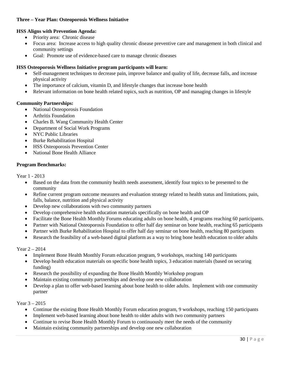## **Three – Year Plan: Osteoporosis Wellness Initiative**

## **HSS Aligns with Prevention Agenda:**

- Priority area: Chronic disease
- Focus area: Increase access to high quality chronic disease preventive care and management in both clinical and community settings
- Goal: Promote use of evidence-based care to manage chronic diseases

## **HSS Osteoporosis Wellness Initiative program participants will learn:**

- Self-management techniques to decrease pain, improve balance and quality of life, decrease falls, and increase physical activity
- The importance of calcium, vitamin D, and lifestyle changes that increase bone health
- Relevant information on bone health related topics, such as nutrition, OP and managing changes in lifestyle

## **Community Partnerships:**

- National Osteoporosis Foundation
- Arthritis Foundation
- Charles B. Wang Community Health Center
- Department of Social Work Programs
- NYC Public Libraries
- Burke Rehabilitation Hospital
- HSS Osteoporosis Prevention Center
- National Bone Health Alliance

#### **Program Benchmarks:**

Year 1 - 2013

- Based on the data from the community health needs assessment, identify four topics to be presented to the community
- Refine current program outcome measures and evaluation strategy related to health status and limitations, pain, falls, balance, nutrition and physical activity
- Develop new collaborations with two community partners
- Develop comprehensive health education materials specifically on bone health and OP
- Facilitate the Bone Health Monthly Forums educating adults on bone health, 4 programs reaching 60 participants.
- Partner with National Osteoporosis Foundation to offer half day seminar on bone health, reaching 65 participants
- Partner with Burke Rehabilitation Hospital to offer half day seminar on bone health, reaching 80 participants
- Research the feasibility of a web-based digital platform as a way to bring bone health education to older adults

#### Year 2 – 2014

- Implement Bone Health Monthly Forum education program, 9 workshops, reaching 140 participants
- Develop health education materials on specific bone health topics, 3 education materials (based on securing funding)
- Research the possibility of expanding the Bone Health Monthly Workshop program
- Maintain existing community partnerships and develop one new collaboration
- Develop a plan to offer web-based learning about bone health to older adults. Implement with one community partner

#### Year 3 – 2015

- Continue the existing Bone Health Monthly Forum education program, 9 workshops, reaching 150 participants
- Implement web-based learning about bone health to older adults with two community partners
- Continue to revise Bone Health Monthly Forum to continuously meet the needs of the community
- Maintain existing community partnerships and develop one new collaboration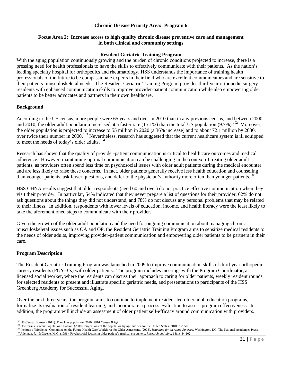## **Chronic Disease Priority Area: Program 6**

#### **Focus Area 2: Increase access to high quality chronic disease preventive care and management in both clinical and community settings**

#### **Resident Geriatric Training Program**

With the aging population continuously growing and the burden of chronic conditions projected to increase, there is a pressing need for health professionals to have the skills to effectively communicate with their patients. As the nation's leading specialty hospital for orthopedics and rheumatology, HSS understands the importance of training health professionals of the future to be compassionate experts in their field who are excellent communicators and are sensitive to their patients' musculoskeletal needs. The Resident Geriatric Training Program provides third-year orthopedic surgery residents with enhanced communication skills to improve provider-patient communication while also empowering older patients to be better advocates and partners in their own healthcare.

#### **Background**

According to the US census, more people were 65 years and over in 2010 than in any previous census, and between 2000 and 2010, the older adult population increased at a faster rate (15.1%) than the total US population  $(9.7\%)$ .<sup>[102](#page-31-0)</sup> Moreover, the older population is projected to increase to 55 million in 2020 (a 36% increase) and to about 72.1 million by 2030, over twice their number in 2000.<sup>[103](#page-31-1)</sup> Nevertheless, research has suggested that the current healthcare system is ill equipped to meet the needs of today's older adults.<sup>[104](#page-31-2)</sup>

Research has shown that the quality of provider-patient communication is critical to health care outcomes and medical adherence. However, maintaining optimal communication can be challenging in the context of treating older adult patients, as providers often spend less time on psychosocial issues with older adult patients during the medical encounter and are less likely to raise these concerns. In fact, older patients generally receive less health education and counseling than younger patients, ask fewer questions, and defer to the physician's authority more often than younger patients.<sup>[105](#page-31-3)</sup>

HSS CHNA results suggest that older respondents (aged 60 and over) do not practice effective communication when they visit their provider. In particular, 54% indicated that they never prepare a list of questions for their provider, 62% do not ask questions about the things they did not understand, and 78% do not discuss any personal problems that may be related to their illness. In addition, respondents with lower levels of education, income, and health literacy were the least likely to take the aforementioned steps to communicate with their provider.

Given the growth of the older adult population and the need for ongoing communication about managing chronic musculoskeletal issues such as OA and OP, the Resident Geriatric Training Program aims to sensitize medical residents to the needs of older adults, improving provider-patient communication and empowering older patients to be partners in their care.

#### **Program Description**

The Resident Geriatric Training Program was launched in 2009 to improve communication skills of third-year orthopedic surgery residents (PGY-3's) with older patients. The program includes meetings with the Program Coordinator, a licensed social worker, where the residents can discuss their approach to caring for older patients, weekly resident rounds for selected residents to present and illustrate specific geriatric needs, and presentations to participants of the HSS Greenberg Academy for Successful Aging.

Over the next three years, the program aims to continue to implement resident-led older adult education programs, formalize its evaluation of resident learning, and incorporate a process evaluation to assess program effectiveness. In addition, the program will include an assessment of older patient self-efficacy around communication with providers.

<span id="page-31-0"></span><sup>&</sup>lt;sup>102</sup> US Census Bureau. (2011). The older population: 2010. 2010 Census Briefs.

<sup>103</sup> US Census Bureau: Population Division. (2008). Projections of the population by age and sex for the United States: 2010 to 2050.

<span id="page-31-3"></span><span id="page-31-2"></span><span id="page-31-1"></span><sup>104</sup> Enstitute of Medicine. Committee on the Future Health Care Workforce for Older Americans. (2008). Retooling for an Aging America. Washington, DC: The National Academies Press.<br><sup>105</sup> Adelman. R., & Greene, M.G. (1996).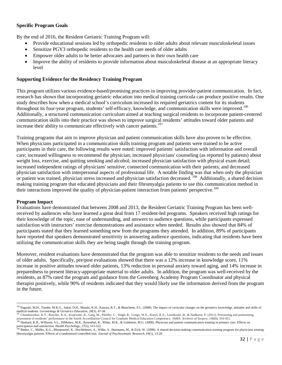## **Specific Program Goals**

By the end of 2016, the Resident Geriatric Training Program will:

- Provide educational sessions led by orthopedic residents to older adults about relevant musculoskeletal issues
- Sensitize PGY3 orthopedic residents to the health care needs of older adults
- Empower older adults to be better advocates and partners in their own health care
- Improve the ability of residents to provide information about musculoskeletal disease at an appropriate literacy level

#### **Supporting Evidence for the Residency Training Program**

This program utilizes various evidence-based/promising practices in improving provider-patient communication. In fact, research has shown that incorporating geriatric education into medical training curricula can produce positive results. One study describes how when a medical school's curriculum increased its required geriatrics content for its students throughout its four-year program, students' self-efficacy, knowledge, and communication skills were improved.<sup>[106](#page-32-0)</sup> Additionally, a structured communication curriculum aimed at teaching surgical residents to incorporate patient-centered communication skills into their practice was shown to improve surgical residents' attitudes toward older patients and increase their ability to communicate effectively with cancer patients.<sup>[107](#page-32-1)</sup>

Training programs that aim to improve physician and patient communication skills have also proven to be effective. When physicians participated in a communication skills training program and patients were trained to be active participants in their care, the following results were noted: improved patients' satisfaction with information and overall care; increased willingness to recommend the physician; increased physicians' counseling (as reported by patients) about weight loss, exercise, and quitting smoking and alcohol; increased physician satisfaction with physical exam detail; increased independent ratings of physicians' sensitive, connected communication with their patients; and decreased physician satisfaction with interpersonal aspects of professional life. A notable finding was that when only the physician or patient was trained, physician stress increased and physician satisfaction decreased. <sup>[108](#page-32-2)</sup> Additionally, a shared decision making training program that educated physicians and their fibromyalgia patients to use this communication method in their interactions improved the quality of physician-patient interaction from patients' perspective.<sup>[109](#page-32-3)</sup>

#### **Program Impact**

l

Evaluations have demonstrated that between 2008 and 2013, the Resident Geriatric Training Program has been wellreceived by audiences who have learned a great deal from 17 resident-led programs. Speakers received high ratings for their knowledge of the topic, ease of understanding, and answers to audience questions, while participants expressed satisfaction with instructors' exercise demonstrations and assistance when needed. Results also showed that 84% of participants stated that they learned something new from the programs they attended. In addition, 89% of participants have reported that speakers demonstrated sensitivity in answering audience questions, indicating that residents have been utilizing the communication skills they are being taught through the training program.

Moreover, resident evaluations have demonstrated that the program was able to sensitize residents to the needs and issues of older adults. Specifically, pre/post evaluations showed that there was a 12% increase in knowledge score, 11% increase in positive attitudes toward older patients, 13% reduction in personal anxiety toward aging, and 14% increase in preparedness to present literacy-appropriate material to older adults. In addition, the program was well-received by the residents, as 87% rated the program and guidance from the Greenberg Academy Program Coordinator and physical therapist positively, while 90% of residents indicated that they would likely use the information derived from the program in the future.

<span id="page-32-0"></span><sup>&</sup>lt;sup>106</sup> Nagoski, M.H., Tanabe, M.K.G., Sakai, D.H., Masaki, K.H., Kasuya, R.T., & Blanchette, P.L. (2008). The impact of curricular changes on the geriatrics knowledge, attitudes and skills of medical students. Gerontology & Geriatrics Education, 28(3), 47-58.<br>Impact of the input of called students. Gerontology & Geriatrics Education, 28(3), 47-58.<br><sup>107</sup> Chandawarkar, R.Y., Ruscher, K.A., Krajewski, K., Garg, M.

<span id="page-32-1"></span>assessment of residents' performance in the fourth Accreditation Council for Graduate Medical Education Competency. JAMA: Archives of Surgery, 146(8), 916-921.<br><sup>108</sup> [Haskard,](http://www.ncbi.nlm.nih.gov/pubmed?term=Haskard%20KB%5BAuthor%5D&cauthor=true&cauthor_uid=18823177) K.B.[, Williams,](http://www.ncbi.nlm.nih.gov/pubmed?term=Williams%20SL%5BAuthor%5D&cauthor=true&cauthor_uid=18823177) S.L.[, DiMatteo,](http://www.ncbi.nlm.nih.gov/pubmed?term=DiMatteo%20MR%5BAuthor%5D&cauthor=true&cauthor_uid=18823177) M.R., Rosenthal

<span id="page-32-3"></span><span id="page-32-2"></span>participation and satisfaction. *[Health Psycholo](http://www.ncbi.nlm.nih.gov/pubmed/18823177)gy, 27*(5), 513-522.<br><sup>109</sup> [Bieber, C.](http://www.ncbi.nlm.nih.gov/pubmed?term=Bieber%20C%5BAuthor%5D&cauthor=true&cauthor_uid=18157994)[, Müller, K.G.](http://www.ncbi.nlm.nih.gov/pubmed?term=M%C3%BCller%20KG%5BAuthor%5D&cauthor=true&cauthor_uid=18157994)[, Blumenstiel, K.,](http://www.ncbi.nlm.nih.gov/pubmed?term=Blumenstiel%20K%5BAuthor%5D&cauthor=true&cauthor_uid=18157994) [Hochlehnert, A.](http://www.ncbi.nlm.nih.gov/pubmed?term=Hochlehnert%20A%5BAuthor%5D&cauthor=true&cauthor_uid=18157994)[, Wilke, S.,](http://www.ncbi.nlm.nih.gov/pubmed?term=Wilke%20S%5BAuthor%5D&cauthor=true&cauthor_uid=18157994) [Hartmann, M.,](http://www.ncbi.nlm.nih.gov/pubmed?term=Hartmann%20M%5BAuthor%5D&cauthor=true&cauthor_uid=18157994) [& Eich, W.](http://www.ncbi.nlm.nih.gov/pubmed?term=Eich%20W%5BAuthor%5D&cauthor=true&cauthor_uid=18157994) (2008). A shared decision-making communication trai fibromyalgia patients: Effects of a randomized controlled trial. *Journal of [Psychosomatic](http://www.ncbi.nlm.nih.gov/pubmed/18157994) Research, 64*(1), 13-20.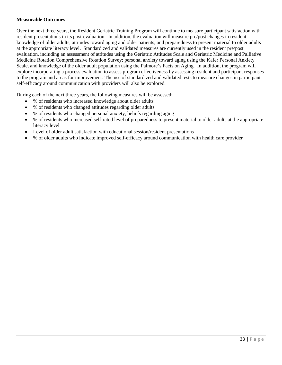## **Measurable Outcomes**

Over the next three years, the Resident Geriatric Training Program will continue to measure participant satisfaction with resident presentations in its post-evaluation. In addition, the evaluation will measure pre/post changes in resident knowledge of older adults, attitudes toward aging and older patients, and preparedness to present material to older adults at the appropriate literacy level. Standardized and validated measures are currently used in the resident pre/post evaluation, including an assessment of attitudes using the Geriatric Attitudes Scale and Geriatric Medicine and Palliative Medicine Rotation Comprehensive Rotation Survey; personal anxiety toward aging using the Kafer Personal Anxiety Scale, and knowledge of the older adult population using the Palmore's Facts on Aging. In addition, the program will explore incorporating a process evaluation to assess program effectiveness by assessing resident and participant responses to the program and areas for improvement. The use of standardized and validated tests to measure changes in participant self-efficacy around communication with providers will also be explored.

During each of the next three years, the following measures will be assessed:

- % of residents who increased knowledge about older adults
- % of residents who changed attitudes regarding older adults
- % of residents who changed personal anxiety, beliefs regarding aging
- % of residents who increased self-rated level of preparedness to present material to older adults at the appropriate literacy level
- Level of older adult satisfaction with educational session/resident presentations
- % of older adults who indicate improved self-efficacy around communication with health care provider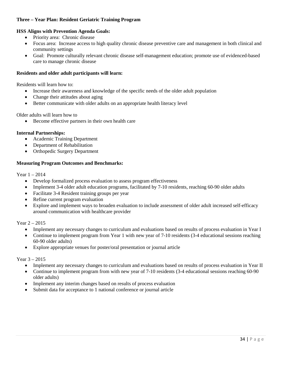## **Three – Year Plan: Resident Geriatric Training Program**

#### **HSS Aligns with Prevention Agenda Goals:**

- Priority area: Chronic disease
- Focus area: Increase access to high quality chronic disease preventive care and management in both clinical and community settings
- Goal: Promote culturally relevant chronic disease self-management education; promote use of evidenced-based care to manage chronic disease

#### **Residents and older adult participants will learn:**

Residents will learn how to:

- Increase their awareness and knowledge of the specific needs of the older adult population
- Change their attitudes about aging
- Better communicate with older adults on an appropriate health literacy level

Older adults will learn how to

• Become effective partners in their own health care

#### **Internal Partnerships:**

- Academic Training Department
- Department of Rehabilitation
- Orthopedic Surgery Department

#### **Measuring Program Outcomes and Benchmarks:**

Year 1 – 2014

- Develop formalized process evaluation to assess program effectiveness
- Implement 3-4 older adult education programs, facilitated by 7-10 residents, reaching 60-90 older adults
- Facilitate 3-4 Resident training groups per year
- Refine current program evaluation
- Explore and implement ways to broaden evaluation to include assessment of older adult increased self-efficacy around communication with healthcare provider

Year 2 – 2015

- Implement any necessary changes to curriculum and evaluations based on results of process evaluation in Year I
- Continue to implement program from Year 1 with new year of 7-10 residents (3-4 educational sessions reaching 60-90 older adults)
- Explore appropriate venues for poster/oral presentation or journal article

Year 3 – 2015

- Implement any necessary changes to curriculum and evaluations based on results of process evaluation in Year II
- Continue to implement program from with new year of 7-10 residents (3-4 educational sessions reaching 60-90 older adults)
- Implement any interim changes based on results of process evaluation
- Submit data for acceptance to 1 national conference or journal article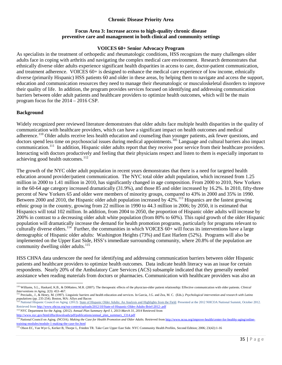## **Chronic Disease Priority Area**

## **Focus Area 3: Increase access to high-quality chronic disease preventive care and management in both clinical and community settings**

### **VOICES 60+ Senior Advocacy Program**

As specialists in the treatment of orthopedic and rheumatologic conditions, HSS recognizes the many challenges older adults face in coping with arthritis and navigating the complex medical care environment. Research demonstrates that ethnically diverse older adults experience significant health disparities in access to care, doctor-patient communication, and treatment adherence. VOICES 60+ is designed to enhance the medical care experience of low income, ethnically diverse (primarily Hispanic) HSS patients 60 and older in these areas, by helping them to navigate and access the support, education and communication resources they need to manage their rheumatologic or musculoskeletal disorders to improve their quality of life. In addition, the program provides services focused on identifying and addressing communication barriers between older adult patients and healthcare providers to optimize health outcomes, which will be the main program focus for the 2014 – 2016 CSP.

## **Background**

Widely recognized peer reviewed literature demonstrates that older adults face multiple health disparities in the quality of communication with healthcare providers, which can have a significant impact on health outcomes and medical adherence.<sup>[110](#page-35-0)</sup> Older adults receive less health education and counseling than younger patients, ask fewer questions, and doctors spend less time on psychosocial issues during medical appointments.105 Language and cultural barriers also impact communication.<sup>[111](#page-35-1)</sup> In addition, Hispanic older adults report that they receive poor service from their healthcare providers. Interacting with doctors productively and feeling that their physicians respect and listen to them is especially important to achieving good health outcomes. $112$ 

The growth of the NYC older adult population in recent years demonstrates that there is a need for targeted health education around provider/patient communication. The NYC total older adult population, which increased from 1.25 million in 2000 to 1.41 million in 2010, has significantly changed in age composition. From 2000 to 2010, New Yorkers in the 60-64 age category increased dramatically (31.9%), and those 85 and older increased by 16.2%. In 2010, fifty-three percent of New Yorkers 65 and older were members of minority groups, compared to 43% in 2000 and 35% in 1990. Between 2000 and 2010, the Hispanic older adult population increased by  $42\%$ .<sup>[113](#page-35-3)</sup> Hispanics are the fastest growing ethnic group in the country, growing from 22 million in 1990 to 44.3 million in 2006; by 2050, it is estimated that Hispanics will total 102 million. In addition, from 2004 to 2050, the proportion of Hispanic older adults will increase by 200% in contrast to a decreasing older adult white population (from 80% to 60%). This rapid growth of the older Hispanic population will dramatically increase the demand for health promotion programs, particularly for programs relevant to culturally diverse elders.<sup>[114](#page-35-4)</sup> Further, the communities in which VOICES  $60+$  will focus its interventions have a large demographic of Hispanic older adults: Washington Heights (73%) and East Harlem (52%). Programs will also be implemented on the Upper East Side, HSS's immediate surrounding community, where 20.8% of the population are community dwelling older adults.<sup>[115](#page-35-5)</sup>

HSS CHNA data underscore the need for identifying and addressing communication barriers between older Hispanic patients and healthcare providers to optimize health outcomes. Data indicate health literacy was an issue for certain respondents. Nearly 20% of the Ambulatory Care Services (ACS) subsample indicated that they generally needed assistance when reading materials from doctors or pharmacies. Communication with healthcare providers was also an

<span id="page-35-3"></span><sup>113</sup> NYC Department for the Aging. (2012). *Annual Plan Summary April 1, 2013-March 31, 2014* Retrieved from

 $\overline{\phantom{a}}$ <sup>110</sup> Williams, S.L., Haskard, K.B., & DiMatteo, M.R. (2007). The therapeutic effects of the physician-older patient relationship: Effective communication with older patients. *Clinical* 

<span id="page-35-1"></span><span id="page-35-0"></span>merventions in Aging, 2(3): 453-467.<br>
Interventions in Aging, 2(3): 453-467.<br>
<sup>111</sup> Preciado, J., & Henry, M. (1997). Linguistic barriers and health education and services. In Garcia, J.G. and Zea, M. C. (Eds.). *Psycholog* 

<span id="page-35-2"></span>National Hispanic Council on Aging. (2012)[. State of Hispanic Older Adults: An Analysis and Highlights from the Field.](http://www.nhcoa.org/wp-content/uploads/2012/10/State-of-Hispanic-Older-Adults-Brief-2012-.pdf) Presented at the 2012 NHCOA National Summit, October 2012. Retrieved fro[m http://www.nhcoa.org/wp-content/uploads/2012/10/State-of-Hispanic-Older-Adults-Brief-2012-.pdf](http://www.nhcoa.org/wp-content/uploads/2012/10/State-of-Hispanic-Older-Adults-Brief-2012-.pdf)

<span id="page-35-4"></span>http://www.nyc.gov/html/dfta/downloads/pdf/publications/annual\_plan\_summary\_1314.pdf<br>
114 National Council on Aging. (NCOA). Making the Case for Health Promotion and Older Adults. Retrieved from http://www.ncoa.org/improve [training-modules/module-1-making-the-case-for.html](http://www.ncoa.org/improve-health/center-for-healthy-aging/online-training-modules/module-1-making-the-case-for.html)

<span id="page-35-5"></span><sup>&</sup>lt;sup>115</sup> Olson EC, Van Wye G, Kerker B, Thorpe L, Frieden TR. Take Care Upper East Side. NYC Community Health Profiles, Second Edition; 2006; 23(42):1-16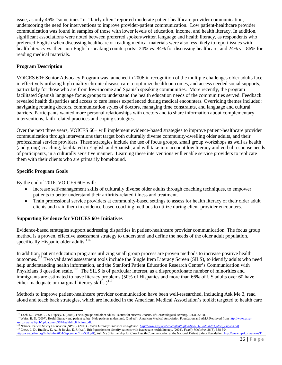issue, as only 46% "sometimes" or "fairly often" reported moderate patient-healthcare provider communication, underscoring the need for interventions to improve provider-patient communication. Low patient-healthcare provider communication was found in samples of those with lower levels of education, income, and health literacy. In addition, significant associations were noted between preferred spoken/written language and health literacy, as respondents who preferred English when discussing healthcare or reading medical materials were also less likely to report issues with health literacy vs. their non-English-speaking counterparts: 24% vs. 84% for discussing healthcare, and 24% vs. 86% for reading medical materials.

## **Program Description**

VOICES 60+ Senior Advocacy Program was launched in 2006 in recognition of the multiple challenges older adults face in effectively utilizing high quality chronic disease care to optimize health outcomes, and access needed social supports, particularly for those who are from low-income and Spanish speaking communities. More recently, the program facilitated Spanish language focus groups to understand the health education needs of the communities served. Feedback revealed health disparities and access to care issues experienced during medical encounters. Overriding themes included: navigating rotating doctors, communication styles of doctors, managing time constraints, and language and cultural barriers. Participants wanted more personal relationships with doctors and to share information about complementary interventions, faith-related practices and coping strategies.

Over the next three years, VOICES 60+ will implement evidence-based strategies to improve patient-healthcare provider communication through interventions that target both culturally diverse community-dwelling older adults, and their professional service providers. These strategies include the use of focus groups, small group workshops as well as health (and group) coaching, facilitated in English and Spanish, and will take into account low literacy and verbal response needs of participants, in a culturally sensitive manner. Learning these interventions will enable service providers to replicate them with their clients who are primarily homebound.

## **Specific Program Goals**

By the end of 2016, VOICES 60+ will:

- Increase self-management skills of culturally diverse older adults through coaching techniques, to empower patients to better understand their arthritis-related illness and treatment.
- Train professional service providers at community-based settings to assess for health literacy of their older adult clients and train them in evidence-based coaching methods to utilize during client-provider encounters.

## **Supporting Evidence for VOICES 60+ Initiatives**

Evidence-based strategies support addressing disparities in patient-healthcare provider communication. The focus group method is a proven, effective assessment strategy to understand and define the needs of the older adult population, specifically Hispanic older adults.<sup>[116](#page-36-0)</sup>

In addition, patient education programs utilizing small group process are proven methods to increase positive health outcomes.[117](#page-36-1) Two validated assessment tools include the Single Item Literacy Screen (SILS), to identify adults who need help understanding health information, and the Stanford Patient Education Research Center's Communication with Physicians 3 question scale.<sup>118</sup> The SILS is of particular interest, as a disproportionate number of minorities and immigrants are estimated to have literacy problems (50% of Hispanics and more than 66% of US adults over 60 have either inadequate or marginal literacy skills.)<sup>[119](#page-36-3)</sup>

Methods to improve patient-healthcare provider communication have been well-researched, including Ask Me 3, read aloud and teach back strategies, which are included in the American Medical Association's toolkit targeted to health care

<span id="page-36-3"></span><span id="page-36-2"></span>119 Chew, L. D., Bradley, K. A., & Boyko, E. J. (n.d.). Brief questions to identify patients with inadequate health literacy. (2004). *Family Medicine*, 36(8), 588-594. [http://www.stfm.org/fmhub/fm2004/September/Lisa588.pdf\),](http://www.stfm.org/fmhub/fm2004/September/Lisa588.pdf) Ask Me 3 Partnership for Clear Health Communication at the National Patient Safety Foundation[. http://www.npsf.org/askme3/](http://www.npsf.org/askme3/)

<span id="page-36-0"></span><sup>&</sup>lt;sup>116</sup> Loeb, S., Penrod, J., & Hupcey, J. (2006). Focus groups and older adults: Tactics for success. Journal of Gerontological Nursing, 32(3), 32-38.

<span id="page-36-1"></span><sup>117</sup> Weiss, B. D. (2007). Health literacy and patient safety: Help patients understand. (2nd ed.). American Medical Association Foundation and AMA Retrieved fro[m http://www.ama](http://www.ama-assn.org/ama1/pub/upload/mm/367/healthlitclinicians.pdf)assn.org/ama1/pub/upload/mm/367/healthlitclinicians.pdf.<br><sup>118</sup> National Patient Safety Foundation (NPSF). (2011). *Health Literacy: Statistics at-a-glance.* http://www.npsf.org/wp-content/uploads/2011/12/AskMe3\_Stats\_Engli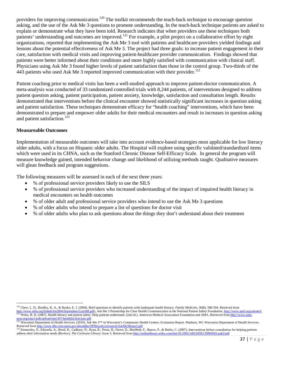providers for improving communication.<sup>[120](#page-37-0)</sup> The toolkit recommends the teach-back technique to encourage question asking, and the use of the Ask Me 3 questions to promote understanding. In the teach-back technique patients are asked to explain or demonstrate what they have been told. Research indicates that when providers use these techniques both patients' understanding and outcomes are improved.<sup>[121](#page-37-1)</sup> For example, a pilot project on a collaborative effort by eight organizations, reported that implementing the Ask Me 3 tool with patients and healthcare providers yielded findings and lessons about the potential effectiveness of Ask Me 3. The project had three goals: to increase patient engagement in their care, satisfaction with medical visits and improving patient-healthcare provider communication. Findings showed that patients were better informed about their conditions and more highly satisfied with communication with clinical staff. Physicians using Ask Me 3 found higher levels of patient satisfaction than those in the control group. Two-thirds of the 443 patients who used Ask Me 3 reported improved communication with their provider.<sup>122</sup>

Patient coaching prior to medical visits has been a well-studied approach to improve patient-doctor communication. A meta-analysis was conducted of 33 randomized controlled trials with 8,244 patients, of interventions designed to address patient question asking, patient participation, patient anxiety, knowledge, satisfaction and consultation length. Results demonstrated that interventions before the clinical encounter showed statistically significant increases in question asking and patient satisfaction. These techniques demonstrate efficacy for "health coaching" interventions, which have been demonstrated to prepare and empower older adults for their medical encounters and result in increases in question asking and patient satisfaction.<sup>[123](#page-37-3)</sup>

#### **Measureable Outcomes**

l

Implementation of measurable outcomes will take into account evidence-based strategies most applicable for low literacy older adults, with a focus on Hispanic older adults. The Hospital will explore using specific validated/standardized items which were used in its CHNA, such as the Stanford Chronic Disease Self-Efficacy Scale. In general the program will measure knowledge gained, intended behavior change and likelihood of utilizing methods taught. Qualitative measures will glean feedback and program suggestions.

The following measures will be assessed in each of the next three years:

- % of professional service providers likely to use the SILS
- % of professional service providers who increased understanding of the impact of impaired health literacy in medical encounters on health outcomes
- % of older adult and professional service providers who intend to use the Ask Me 3 questions
- % of older adults who intend to prepare a list of questions for doctor visit
- % of older adults who plan to ask questions about the things they don't understand about their treatment

<span id="page-37-0"></span><sup>120</sup> Chew, L. D., Bradley, K. A., & Boyko, E. J. (2004). Brief questions to identify patients with inadequate health literacy. *Family Medicine, 36*(8), 588-594. Retrieved from

[http://www.stfm.org/fmhub/fm2004/September/Lisa588.pdf\),](http://www.stfm.org/fmhub/fm2004/September/Lisa588.pdf) Ask Me 3 Partnership for Clear Health Communication at the National Patient Safety Foundation. http://www.npsf.org/a<br><sup>121</sup> Weiss, B. D. (2007). Health literacy and p

<span id="page-37-2"></span><span id="page-37-1"></span>assn.org/ama1/pub/upload/mm/367/healthlitclinicians.pdf.<br>
<sup>122</sup> Wisconsin Department of Health Services. (2010). Ask Me 3<sup>TM</sup> in Wisconsin's Community Health Centers: Evaluation Report. Madison, WI: Wisconsin Department of Retrieved from http://www.dhs.wiscon

<span id="page-37-3"></span><sup>&</sup>lt;sup>123</sup> Kinnersley, P., Edwards, A., Hood, K., Cadbury, N., Ryan, R., Prout, H., Owen, D., MacBeth, F., Butow, P., & Butler, C. (2007). Interventions before consultation for helping patients address their information needs (Review). *The Cochrane Library*: Issue 3. Retrieved fro[m http://onlinelibrary.wiley.com/doi/10.1002/14651858.CD004565.pub2/pdf](http://onlinelibrary.wiley.com/doi/10.1002/14651858.CD004565.pub2/pdf)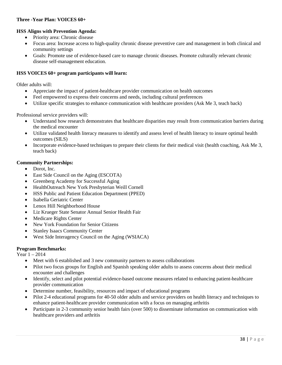## **Three -Year Plan: VOICES 60+**

## **HSS Aligns with Prevention Agenda:**

- Priority area: Chronic disease
- Focus area: Increase access to high-quality chronic disease preventive care and management in both clinical and community settings
- Goals: Promote use of evidence-based care to manage chronic diseases. Promote culturally relevant chronic disease self-management education.

#### **HSS VOICES 60+ program participants will learn:**

Older adults will:

- Appreciate the impact of patient-healthcare provider communication on health outcomes
- Feel empowered to express their concerns and needs, including cultural preferences
- Utilize specific strategies to enhance communication with healthcare providers (Ask Me 3, teach back)

Professional service providers will:

- Understand how research demonstrates that healthcare disparities may result from communication barriers during the medical encounter
- Utilize validated health literacy measures to identify and assess level of health literacy to insure optimal health outcomes (SILS)
- Incorporate evidence-based techniques to prepare their clients for their medical visit (health coaching, Ask Me 3, teach back)

#### **Community Partnerships:**

- Dorot, Inc.
- East Side Council on the Aging (ESCOTA)
- Greenberg Academy for Successful Aging
- HealthOutreach New York Presbyterian Weill Cornell
- HSS Public and Patient Education Department (PPED)
- Isabella Geriatric Center
- Lenox Hill Neighborhood House
- Liz Krueger State Senator Annual Senior Health Fair
- Medicare Rights Center
- New York Foundation for Senior Citizens
- Stanley Isaacs Community Center
- West Side Interagency Council on the Aging (WSIACA)

#### **Program Benchmarks:**

Year 1 – 2014

- Meet with 6 established and 3 new community partners to assess collaborations
- Pilot two focus groups for English and Spanish speaking older adults to assess concerns about their medical encounter and challenges
- Identify, select and pilot potential evidence-based outcome measures related to enhancing patient-healthcare provider communication
- Determine number, feasibility, resources and impact of educational programs
- Pilot 2-4 educational programs for 40-50 older adults and service providers on health literacy and techniques to enhance patient-healthcare provider communication with a focus on managing arthritis
- Participate in 2-3 community senior health fairs (over 500) to disseminate information on communication with healthcare providers and arthritis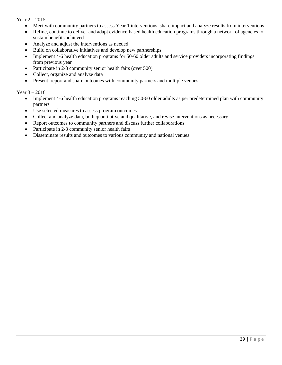Year 2 – 2015

- Meet with community partners to assess Year 1 interventions, share impact and analyze results from interventions
- Refine, continue to deliver and adapt evidence-based health education programs through a network of agencies to sustain benefits achieved
- Analyze and adjust the interventions as needed
- Build on collaborative initiatives and develop new partnerships
- Implement 4-6 health education programs for 50-60 older adults and service providers incorporating findings from previous year
- Participate in 2-3 community senior health fairs (over 500)
- Collect, organize and analyze data
- Present, report and share outcomes with community partners and multiple venues

## Year 3 – 2016

- Implement 4-6 health education programs reaching 50-60 older adults as per predetermined plan with community partners
- Use selected measures to assess program outcomes
- Collect and analyze data, both quantitative and qualitative, and revise interventions as necessary
- Report outcomes to community partners and discuss further collaborations
- Participate in 2-3 community senior health fairs
- Disseminate results and outcomes to various community and national venues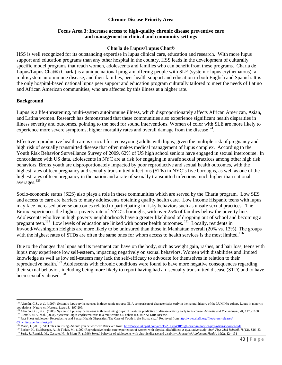## **Chronic Disease Priority Area**

## **Focus Area 3: Increase access to high-quality chronic disease preventive care and management in clinical and community settings**

#### **Charla de Lupus/Lupus Chat®**

HSS is well recognized for its outstanding expertise in lupus clinical care, education and research. With more lupus support and education programs than any other hospital in the country, HSS leads in the development of culturally specific model programs that reach women, adolescents and families who can benefit from these programs. Charla de Lupus/Lupus Chat® (Charla) is a unique national program offering people with SLE (systemic lupus erythematous), a multisystem autoimmune disease, and their families, peer health support and education in both English and Spanish. It is the only hospital-based national lupus peer support and education program culturally tailored to meet the needs of Latino and African American communities, who are affected by this illness at a higher rate.

#### **Background**

Lupus is a life-threatening, multi-system autoimmune illness, which disproportionately affects African American, Asian, and Latina women. Research has demonstrated that these communities also experience significant health disparities in illness severity and outcomes, pointing to the need for sound interventions. Women of color with SLE are more likely to experience more severe symptoms, higher mortality rates and overall damage from the disease  $124$ .

Effective reproductive health care is crucial for teens/young adults with lupus, given the multiple risk of pregnancy and high risk of sexually transmitted disease that often makes medical management of lupus complex. According to the Youth Risk Behavior Surveillance Survey of 2009, 62% of US high school seniors have engaged in sexual intercourse. In concordance with US data, adolescents in NYC are at risk for engaging in unsafe sexual practices among other high risk behaviors. Bronx youth are disproportionately impacted by poor reproductive and sexual health outcomes, with the highest rates of teen pregnancy and sexually transmitted infections (STIs) in NYC's five boroughs, as well as one of the highest rates of teen pregnancy in the nation and a rate of sexually transmitted infections much higher than national averages. [125](#page-40-1)

Socio-economic status (SES) also plays a role in these communities which are served by the Charla program. Low SES and access to care are barriers to many adolescents obtaining quality health care. Low income Hispanic teens with lupus may face increased adverse outcomes related to participating in risky behaviors such as unsafe sexual practices. The Bronx experiences the highest poverty rate of NYC's boroughs, with over 25% of families below the poverty line. Adolescents who live in high poverty neighborhoods have a greater likelihood of dropping out of school and becoming a pregnant teen.<sup>131</sup> Low levels of education are linked with poorer health outcomes.<sup>131</sup> Locally, residents in Inwood/Washington Heights are more likely to be uninsured than those in Manhattan overall (20% vs. 13%). The groups with the highest rates of STDs are often the same ones for whom access to health services is the most limited.<sup>[126](#page-40-2)</sup>

Due to the changes that lupus and its treatment can have on the body, such as weight gain, rashes, and hair loss, teens with lupus may experience low self-esteem, impacting negatively on sexual behaviors. Women with disabilities and limited knowledge as well as low self-esteem may lack the self-efficacy to advocate for themselves in relation to their reproductive health.<sup>[127](#page-40-3)</sup> Adolescents with chronic conditions were found to have more negative consequences regarding their sexual behavior, including being more likely to report having had an sexually transmitted disease (STD) and to have been sexually abused.<sup>[128](#page-40-4)</sup>

 $\overline{\phantom{a}}$ <sup>124</sup> Alarcón, G.S., et al. (1999). Systemic lupus erythematosus in three ethnic groups: III. A comparison of characteristics early in the natural history of the LUMINA cohort. Lupus in minority

<span id="page-40-0"></span>populations: Nature vs. Nurture. *Lupus* 3, 197-209.<br><sup>124</sup> Alarcón, G.S., et al. (1988). Systemic lupus erythematosus in three ethnic groups: II. Features predictive of disease activity early in its course. Arthritis and R

<span id="page-40-1"></span>[<sup>03</sup>\\_whitepaperfactsheet.pdf](http://www.clafh.org/files/press-releases/%2003_whitepaperfactsheet.pdf)<br><sup>126</sup> Marie, J. (2013). STD rates are rising –Should you be worried? Retrieved from: <u>http://www.takepart.com/article/2013/04/10/high-price-minorities-pay-when-it-comes-stds</u>

<span id="page-40-4"></span><span id="page-40-3"></span><span id="page-40-2"></span>The State, H., Stuitbergen, A., & Tinkle, M., (1997) Reproductive health care experiences of women with physical disabilities: A qualitative study. Arch Phys Med Rehabil, 78(12), S26-33.<br><sup>128</sup> Suris, J., Resnick, M., Cassu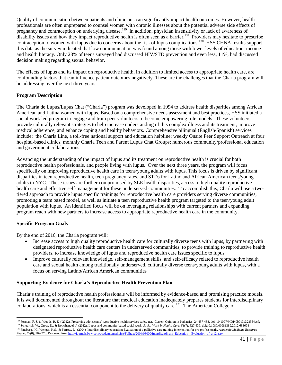Quality of communication between patients and clinicians can significantly impact health outcomes. However, health professionals are often unprepared to counsel women with chronic illnesses about the potential adverse side effects of pregnancy and contraception on underlying disease.<sup>[129](#page-41-0)</sup> In addition, physician insensitivity or lack of awareness of disability issues and how they impact reproductive health is often seen as a barrier.<sup>134</sup> Providers may hesitate to prescribe contraception to women with lupus due to concerns about the risk of lupus complications.<sup>[130](#page-41-1)</sup> HSS CHNA results support this data as the survey indicated that low communication was found among those with lower levels of education, income and health literacy. Only 28% of teens surveyed had discussed HIV/STD prevention and even less, 11%, had discussed decision making regarding sexual behavior.

The effects of lupus and its impact on reproductive health, in addition to limited access to appropriate health care, are confounding factors that can influence patient outcomes negatively. These are the challenges that the Charla program will be addressing over the next three years.

## **Program Description**

The Charla de Lupus/Lupus Chat ("Charla") program was developed in 1994 to address health disparities among African American and Latina women with lupus. Based on a comprehensive needs assessment and best practices, HSS initiated a social work led program to engage and train peer volunteers to become empowering role models. These volunteers provide culturally relevant strategies to help increase understanding of this complex illness and its treatment, improve medical adherence, and enhance coping and healthy behaviors. Comprehensive bilingual (English/Spanish) services include: the Charla Line, a toll-free national support and education helpline; weekly Onsite Peer Support Outreach at four hospital-based clinics, monthly Charla Teen and Parent Lupus Chat Groups; numerous community/professional education and government collaborations.

Advancing the understanding of the impact of lupus and its treatment on reproductive health is crucial for both reproductive health professionals, and people living with lupus. Over the next three years, the program will focus specifically on improving reproductive health care in teens/young adults with lupus. This focus is driven by significant disparities in teen reproductive health, teen pregnancy rates, and STDs for Latino and African American teens/young adults in NYC. These issues are further compromised by SLE health disparities, access to high quality reproductive health care and effective self-management for these underserved communities. To accomplish this, Charla will use a twotiered approach to provide lupus specific trainings for reproductive health care providers serving diverse communities, promoting a team based model, as well as initiate a teen reproductive health program targeted to the teen/young adult population with lupus. An identified focus will be on leveraging relationships with current partners and expanding program reach with new partners to increase access to appropriate reproductive health care in the community.

## **Specific Program Goals**

By the end of 2016, the Charla program will:

- Increase access to high quality reproductive health care for culturally diverse teens with lupus, by partnering with designated reproductive health care centers in underserved communities, to provide training to reproductive health providers, to increase knowledge of lupus and reproductive health care issues specific to lupus
- Improve culturally relevant knowledge, self-management skills, and self-efficacy related to reproductive health care and sexual health among traditionally underserved, culturally diverse teens/young adults with lupus, with a focus on serving Latino/African American communities

## **Supporting Evidence for Charla's Reproductive Health Prevention Plan**

Charla's training of reproductive health professionals will be informed by evidence-based and promising practice models. It is well documented throughout the literature that medical education inadequately prepares students for interdisciplinary collaborations, which is an essential component to the delivery of quality care.<sup>131</sup> The American College of

<span id="page-41-1"></span><span id="page-41-0"></span><sup>&</sup>lt;sup>129</sup> Forman, F. S. & Woods, R. E. (2012). Preserving adolescents' reproductive health services safety net. Current Opinion in Pediatrics, 24:437-438. doi: 10.1097/MOP.0b013e328354ccfg <sup>130</sup> Schudrich, W., Gross, D., & Rowshandel, J. (2012). Lupus and community-based social work. Social Work In Health Care, 51(7), 627-639. doi:10.1080/00981389.2012.683694 <sup>131</sup> Fineberg, I.C.,Wenger, N.S., & Forrow, L., (2004). Interdisciplinary education: Evaluation of a palliative care training intervention for pre-professionals. *Academic Medicine Research* 

<span id="page-41-2"></span>*Report, 79*(8), 769-776. Retrieved fro[m http://journals.lww.com/academicmedicine/Fulltext/2004/08000/Interdisciplinary\\_Education\\_\\_Evaluation\\_of\\_a.12.aspx](http://journals.lww.com/academicmedicine/Fulltext/2004/08000/Interdisciplinary_Education__Evaluation_of_a.12.aspx)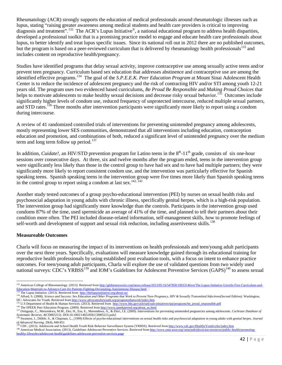Rheumatology (ACR) strongly supports the education of medical professionals around rheumatologic illnesses such as lupus, stating "raising greater awareness among medical students and health care providers is critical to improving diagnosis and treatment".<sup>[132](#page-42-0)</sup> The ACR's Lupus Initiative®, a national educational program to address health disparities, developed a professional toolkit that is a promising practice model to engage and educate health care professionals about lupus, to better identify and treat lupus specific issues. Since its national roll out in 2012 there are no published outcomes, but the program is based on a peer-reviewed curriculum that is delivered by rheumatology health professionals<sup>[133](#page-42-1)</sup> and includes content on reproductive health/pregnancy.

Studies have identified programs that delay sexual activity, improve contraceptive use among sexually active teens and/or prevent teen pregnancy. Curriculum based sex education that addresses abstinence and contraceptive use are among the identified effective programs. [134](#page-42-2) The goal of the *S.P.E.E.K. Peer Education Program* at Mount Sinai Adolescent Health Center is to reduce the incidence of adolescent pregnancy and the risk of contracting HIV and/or STI among youth 12-21 years old. The program uses two evidenced based curriculums, *Be Proud Be Responsible* and *Making Proud Choices* that helps to motivate adolescents to make healthy sexual decisions and decrease risky sexual behavior.<sup>135</sup> Outcomes include significantly higher levels of condom use, reduced frequency of unprotected intercourse, reduced multiple sexual partners, and STD rates.<sup>[136](#page-42-4)</sup> Three months after intervention participants were significantly more likely to report using a condom during intercourse.

A review of 41 randomized controlled trials of interventions for preventing unintended pregnancy among adolescents, mostly representing lower SES communities, demonstrated that all interventions including education, contraception education and promotion, and combinations of both, reduced a significant level of unintended pregnancy over the medium term and long term follow up period.<sup>[137](#page-42-5)</sup>

In addition, *Cuidate!*, an HIV/STD prevention program for Latino teens in the 8<sup>th</sup>-11<sup>th</sup> grade, consists of six one-hour sessions over consecutive days. At three, six and twelve months after the program ended, teens in the intervention group were significantly less likely than those in the control group to have had sex and to have had multiple partners; they were significantly more likely to report consistent condom use, and the intervention was particularly effective for Spanish speaking teens. Spanish speaking teens in the intervention group were five times more likely than Spanish speaking teens in the control group to report using a condom at last sex.  $\frac{142, 143}{2}$ 

Another study tested outcomes of a group psycho-educational intervention (PEI) by nurses on sexual health risks and psychosocial adaptation in young adults with chronic illness, specifically genital herpes, which is a high-risk population. The intervention group had significantly more knowledge than the controls. Participants in the intervention group used condoms 87% of the time, used spermicide an average of 41% of the time, and planned to tell their partners about their condition more often. The PEI included disease-related information, self-management skills, how to promote feelings of self-worth and development of support and sexual risk reduction, including assertiveness skills.<sup>[138](#page-42-6)</sup>

#### **Measureable Outcomes**

Charla will focus on measuring the impact of its interventions on health professionals and teen/young adult participants over the next three years. Specifically, evaluations will measure knowledge gained through its educational training for reproductive health professionals by using established post evaluation tools, with a focus on intent to enhance practice outcomes. For teen/young adult participants, Charla will explore the use of validated questions from two widely used national surveys: CDC's YRBSS<sup>[139](#page-42-7)</sup> and IOM's Guidelines for Adolescent Preventive Services (GAPS)<sup>[140](#page-42-8)</sup> to assess sexual

 $\overline{\phantom{a}}$ <sup>132</sup> American College of Rheumatology. (2013). Retrieved fro[m http://globenewswire.com/news-release/2013/05/16/547858/10033146/en/The-Lupus-Initiative-Unveils-Free-Curriculum-and-](http://globenewswire.com/news-release/2013/05/16/547858/10033146/en/The-Lupus-Initiative-Unveils-Free-Curriculum-and-Education-Materials-to-Advance-Care-for-Patients-Fighting-Devastating-Autoimmune-Disease.html)

<span id="page-42-1"></span><span id="page-42-0"></span>[Education-Materials-to-Advance-Care-for-Patients-Fighting-Devastating-Autoimmune-Disease.html](http://globenewswire.com/news-release/2013/05/16/547858/10033146/en/The-Lupus-Initiative-Unveils-Free-Curriculum-and-Education-Materials-to-Advance-Care-for-Patients-Fighting-Devastating-Autoimmune-Disease.html)<br>
<sup>133</sup> The Lupus Initiative. (2013). Retrieved from<http://thelupusinitiative.org/about-us/><br>
<sup>134</sup> Alford, S. (2008). Science an

<span id="page-42-5"></span>

<span id="page-42-4"></span><span id="page-42-3"></span><span id="page-42-2"></span><sup>155</sup> U.S Department of Health & Human Services. (2013). Retrieved from http://www.hhs.gov/ash/oah-initiatives/tpp/programs/be\_proud\_responsible.pdf<br>
<sup>136</sup> U.S Department of Health & Human Services. (2013). Retrieved from ht

<span id="page-42-6"></span>Swanson, J., Dibble, S., & Chapman, L., (1999) Effects of psycho-educational interventions on sexual health risks and psychosocial adaptation in young adults with genital herpes. Journal *of Advanced Nursing*, 29(4), 840-851<br><sup>139</sup> CDC. (2013). Adolescent and School Health Youth Risk Behavior Surveillance System (YRBSS). Retrieved fro[m http://www.cdc.gov/HealthyYouth/yrbs/index.htm](http://www.cdc.gov/HealthyYouth/yrbs/index.htm)

<span id="page-42-8"></span><span id="page-42-7"></span><sup>140</sup> American Medical Association. (2013). Guidelines Adolescent Preventive Services. Retrieved from http://www.ama-assn.org//ama/pub/physician-resources/public-health/promoting-<br>
140 American Medical Association. (2013). G [healthy-lifestyles/adolescent-health/guidelines-adolescent-preventive-services.page](http://www.ama-assn.org/ama/pub/physician-resources/public-health/promoting-healthy-lifestyles/adolescent-health/guidelines-adolescent-preventive-services.page)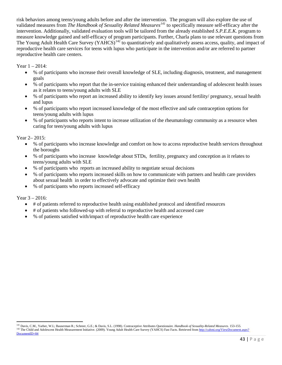risk behaviors among teens/young adults before and after the intervention. The program will also explore the use of validated measures from *The Handbook of Sexuality Related Measures[141](#page-43-0)* to specifically measure self-efficacy after the intervention. Additionally, validated evaluation tools will be tailored from the already established *S.P.E.E.K.* program to measure knowledge gained and self-efficacy of program participants. Further, Charla plans to use relevant questions from The Young Adult Health Care Survey (YAHCS)<sup>[142](#page-43-1)</sup> to quantitatively and qualitatively assess access, quality, and impact of reproductive health care services for teens with lupus who participate in the intervention and/or are referred to partner reproductive health care centers.

Year 1 – 2014:

- % of participants who increase their overall knowledge of SLE, including diagnosis, treatment, and management goals
- % of participants who report that the in-service training enhanced their understanding of adolescent health issues as it relates to teens/young adults with SLE
- % of participants who report an increased ability to identify key issues around fertility/ pregnancy, sexual health and lupus
- % of participants who report increased knowledge of the most effective and safe contraception options for teens/young adults with lupus
- % of participants who reports intent to increase utilization of the rheumatology community as a resource when caring for teen/young adults with lupus

Year 2– 2015:

- % of participants who increase knowledge and comfort on how to access reproductive health services throughout the boroughs
- % of participants who increase knowledge about STDs, fertility, pregnancy and conception as it relates to teens/young adults with SLE
- % of participants who reports an increased ability to negotiate sexual decisions
- % of participants who reports increased skills on how to communicate with partners and health care providers about sexual health in order to effectively advocate and optimize their own health
- % of participants who reports increased self-efficacy

Year 3 – 2016:

- # of patients referred to reproductive health using established protocol and identified resources
- # of patients who followed-up with referral to reproductive health and accessed care
- % of patients satisfied with/impact of reproductive health care experience

<span id="page-43-1"></span><span id="page-43-0"></span> $\overline{\phantom{a}}$ <sup>141</sup> Davis, C.M., Yarber, W.L; Bauserman R.; Schreer, G.E.; & Davis, S.L. (1998). Contraceptive Attributes Questionaire. *Handbook of Sexuality-Related Measures*. 153-155. 142 The Child and Adolescent Health Measurement Initiative. (2009). Young Adult Health Care Survey (YAHCS) Fast Facts. Retrieved from http://cahmi.org/ViewDocument.aspx? [DocumentID=84](http://cahmi.org/ViewDocument.aspx?%20DocumentID=84)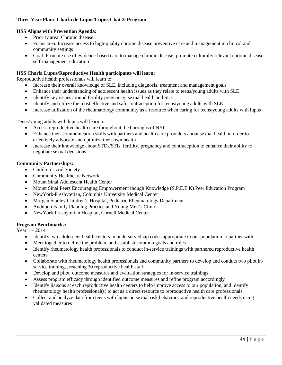## **Three Year Plan: Charla de Lupus/Lupus Chat ® Program**

## **HSS Aligns with Prevention Agenda:**

- Priority area: Chronic disease
- Focus area: Increase access to high-quality chronic disease preventive care and management in clinical and community settings
- Goal: Promote use of evidence-based care to manage chronic disease; promote culturally relevant chronic disease self-management education

## **HSS Charla Lupus/Reproductive Health participants will learn:**

Reproductive health professionals will learn to:

- Increase their overall knowledge of SLE, including diagnosis, treatment and management goals
- Enhance their understanding of adolescent health issues as they relate to teens/young adults with SLE
- Identify key issues around fertility pregnancy, sexual health and SLE
- Identify and utilize the most effective and safe contraception for teens/young adults with SLE
- Increase utilization of the rheumatology community as a resource when caring for teens/young adults with lupus

Teens/young adults with lupus will learn to:

- Access reproductive health care throughout the boroughs of NYC
- Enhance their communication skills with partners and health care providers about sexual health in order to effectively advocate and optimize their own health
- Increase their knowledge about STDs/STIs, fertility, pregnancy and contraception to enhance their ability to negotiate sexual decisions

## **Community Partnerships:**

- Children's Aid Society
- Community Healthcare Network
- Mount Sinai Adolescent Health Center
- Mount Sinai Peers Encouraging Empowerment though Knowledge (S.P.E.E.K) Peer Education Program
- NewYork-Presbyterian, Columbia University Medical Center
- Morgan Stanley Children's Hospital, Pediatric Rheumatology Department
- Audubon Family Planning Practice and Young Men's Clinic
- NewYork-Presbyterian Hospital, Cornell Medical Center

#### **Program Benchmarks:**

Year 1 – 2014

- Identify two adolescent health centers in underserved zip codes appropriate to our population to partner with.
- Meet together to define the problem, and establish common goals and roles
- Identify rheumatology health professionals to conduct in-service trainings with partnered reproductive health centers
- Collaborate with rheumatology health professionals and community partners to develop and conduct two pilot inservice trainings, reaching 30 reproductive health staff
- Develop and pilot outcome measures and evaluation strategies for in-service trainings
- Assess program efficacy through identified outcome measures and refine program accordingly
- Identify liaisons at each reproductive health centers to help improve access to our population, and identify rheumatology health professional(s) to act as a direct resource to reproductive health care professionals
- Collect and analyze data from teens with lupus on sexual risk behaviors, and reproductive health needs using validated measures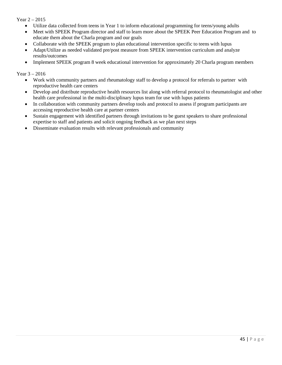## Year 2 – 2015

- Utilize data collected from teens in Year 1 to inform educational programming for teens/young adults
- Meet with SPEEK Program director and staff to learn more about the SPEEK Peer Education Program and to educate them about the Charla program and our goals
- Collaborate with the SPEEK program to plan educational intervention specific to teens with lupus
- Adapt/Utilize as needed validated pre/post measure from SPEEK intervention curriculum and analyze results/outcomes
- Implement SPEEK program 8 week educational intervention for approximately 20 Charla program members

Year 3 – 2016

- Work with community partners and rheumatology staff to develop a protocol for referrals to partner with reproductive health care centers
- Develop and distribute reproductive health resources list along with referral protocol to rheumatologist and other health care professional in the multi-disciplinary lupus team for use with lupus patients
- In collaboration with community partners develop tools and protocol to assess if program participants are accessing reproductive health care at partner centers
- Sustain engagement with identified partners through invitations to be guest speakers to share professional expertise to staff and patients and solicit ongoing feedback as we plan next steps
- Disseminate evaluation results with relevant professionals and community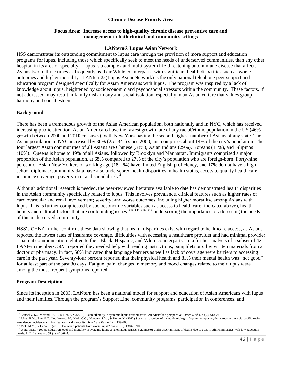## **Chronic Disease Priority Area**

## **Focus Area: Increase access to high-quality chronic disease preventive care and management in both clinical and community settings**

#### **LANtern® Lupus Asian Network**

HSS demonstrates its outstanding commitment to lupus care through the provision of more support and education programs for lupus, including those which specifically seek to meet the needs of underserved communities, than any other hospital in its area of specialty. Lupus is a complex and multi-system life-threatening autoimmune disease that affects Asians two to three times as frequently as their White counterparts, with significant health disparities such as worse outcomes and higher mortality. LANtern® (Lupus Asian Network) is the only national telephone peer support and education program designed specifically for Asian Americans with lupus. The program was inspired by a lack of knowledge about lupus, heightened by socioeconomic and psychosocial stressors within the community. These factors, if not addressed, may result in family disharmony and social isolation, especially in an Asian culture that values group harmony and social esteem.

## **Background**

There has been a tremendous growth of the Asian American population, both nationally and in NYC, which has received increasing public attention. Asian Americans have the fastest growth rate of any racial/ethnic population in the US (46% growth between 2000 and 2010 censuses), with New York having the second highest number of Asians of any state. The Asian population in NYC increased by 30% (251,341) since 2000, and comprises about 14% of the city's population. The four largest Asian communities of all Asians are Chinese (33%), Asian Indians (29%), Koreans (11%), and Filipinos (10%). Queens is home to 49% of all Asians, followed by Brooklyn and Manhattan. Immigrants comprised a major proportion of the Asian population, at 68% compared to 27% of the city's population who are foreign-born. Forty-nine percent of Asian New Yorkers of working age (18 - 64) have limited English proficiency, and 17% do not have a high school diploma. Community data have also underscored health disparities in health status, access to quality health care, insurance coverage, poverty rate, and suicidal risk. $2$ 

Although additional research is needed, the peer-reviewed literature available to date has demonstrated health disparities in the Asian community specifically related to lupus. This involves prevalence, clinical features such as higher rates of cardiovascular and renal involvement; severity; and worse outcomes, including higher mortality, among Asians with lupus. This is further complicated by socioeconomic variables such as access to health care (indicated above), health beliefs and cultural factors that are confounding issues <sup>[143](#page-46-0) [144](#page-46-1) [145](#page-46-2) [146](#page-46-3)</sup> underscoring the importance of addressing the needs of this underserved community.

HSS's CHNA further confirms these data showing that health disparities exist with regard to healthcare access, as Asians reported the lowest rates of insurance coverage, difficulties with accessing a healthcare provider and had minimal provider – patient communication relative to their Black, Hispanic, and White counterparts. In a further analysis of a subset of 42 LANtern members, 58% reported they needed help with reading instructions, pamphlets or other written materials from a doctor or pharmacy. In fact, 50% indicated that language barriers as well as lack of coverage were barriers to accessing care in the past year. Seventy-four percent reported that their physical health and 81% their mental health was "not good" for at least part of the past 30 days. Fatigue, pain, changes in memory and mood changes related to their lupus were among the most frequent symptoms reported.

## **Program Description**

Since its inception in 2003, LANtern has been a national model for support and education of Asian Americans with lupus and their families. Through the program's Support Line, community programs, participation in conferences, and

<sup>&</sup>lt;sup>143</sup> Connelly, K.., Morand, E.,F., & Hoi, A.Y.(2013) Asian ethnicity in systemic lupus erythematous: An Australian perspective. Intern Med J. 43(6), 618-24.

<span id="page-46-1"></span><span id="page-46-0"></span><sup>144</sup> Jakes, R.W., Bae, S.C., Louthrenoo, W., Mok, C.C., Navarra, S.V., & Kwon, N. (2012) Systematic review of the epidemiology of systemic lupus erythematous in the Asia-pacific region: Prevalence, incidence, clinical features, and mortality. *Arth Care Res, <sup>64</sup>*(2), 159-168. <sup>145</sup> Mok, M.Y., & Li, W.L. (2010). Do Asian patients have worse lupus? *Lupus. 19,* 1384-1390.

<span id="page-46-3"></span><span id="page-46-2"></span> $^{146}$  Ward, M.M. (2004). Education level and mortality in systemic lupus erythematous (SLE): Evidence of under ascertainment of deaths due to SLE in ethnic minorities with low education  $^{146}$  Ward, M.M. (2004). Educat levels. *Arthritis Rheum. 51* (4), 616-624.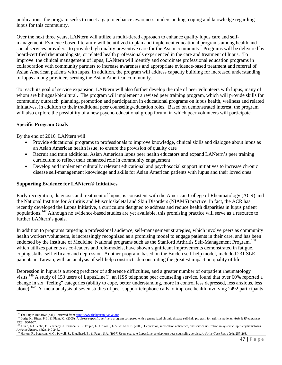publications, the program seeks to meet a gap to enhance awareness, understanding, coping and knowledge regarding lupus for this community.

Over the next three years, LANtern will utilize a multi-tiered approach to enhance quality lupus care and selfmanagement. Evidence based literature will be utilized to plan and implement educational programs among health and social services providers, to provide high quality preventive care for the Asian community. Programs will be delivered by board-certified rheumatologists, or related health professionals experienced in the care and treatment of lupus. To improve the clinical management of lupus, LANtern will identify and coordinate professional education programs in collaboration with community partners to increase awareness and appropriate evidence-based treatment and referral of Asian American patients with lupus. In addition, the program will address capacity building for increased understanding of lupus among providers serving the Asian American community.

To reach its goal of service expansion, LANtern will also further develop the role of peer volunteers with lupus, many of whom are bilingual/bicultural. The program will implement a revised peer training program, which will provide skills for community outreach, planning, promotion and participation in educational programs on lupus health, wellness and related initiatives, in addition to their traditional peer counseling/education roles. Based on demonstrated interest, the program will also explore the possibility of a new psycho-educational group forum, in which peer volunteers will participate.

## **Specific Program Goals**

By the end of 2016, LANtern will:

- Provide educational programs to professionals to improve knowledge, clinical skills and dialogue about lupus as an Asian American health issue, to ensure the provision of quality care
- Recruit and train additional Asian American lupus peer health educators and expand LANtern's peer training curriculum to reflect their enhanced role in community engagement
- Develop and implement culturally relevant educational and psychosocial support initiatives to increase chronic disease self-management knowledge and skills for Asian American patients with lupus and their loved ones

## **Supporting Evidence for LANtern® Initiatives**

Early recognition, diagnosis and treatment of lupus, is consistent with the American College of Rheumatology (ACR) and the National Institute for Arthritis and Musculoskeletal and Skin Disorders (NIAMS) practice. In fact, the ACR has recently developed the Lupus Initiative, a curriculum designed to address and reduce health disparities in lupus patient populations.[147](#page-47-0) Although no evidence-based studies are yet available, this promising practice will serve as a resource to further LANtern's goals.

In addition to programs targeting a professional audience, self-management strategies, which involve peers as community health workers/volunteers, is increasingly recognized as a promising model to engage patients in their care, and has been endorsed by the Institute of Medicine. National programs such as the Stanford Arthritis Self-Management Program, <sup>[148](#page-47-1)</sup> which utilizes patients as co-leaders and role-models, have shown significant improvements demonstrated in fatigue, coping skills, self-efficacy and depression. Another program, based on the Braden self-help model, included 231 SLE patients in Taiwan, with an analysis of self-help constructs demonstrating the greatest impact on quality of life.

Depression in lupus is a strong predictor of adherence difficulties, and a greater number of outpatient rheumatology visits.[149](#page-47-2) A study of 153 users of LupusLine®**,** an HSS telephone peer counseling service, found that over 60% reported a change in six "feeling" categories (ability to cope, better understanding, more in control less depressed, less anxious, less alone).<sup>[150](#page-47-3)</sup> A meta-analysis of seven studies of peer support telephone calls to improve health involving 2492 participants

<span id="page-47-0"></span> $147$  The Lupus Initiative (n.d.) Retrieved from  $\frac{http://www.thelupusinitiative.org}{http://www.thelupusinitiative.org}$ 

<span id="page-47-1"></span><sup>148</sup> Lorig, K., Ritter, P.L., & Plant, K. (2005). A disease-specific self-help program compared with a generalized chronic disease self-help program for arthritis patients. Arth & Rheumatism,

<span id="page-47-2"></span><sup>53(6), 950-957.&</sup>lt;br><sup>149</sup> Julian, L.J., Yelin, E., Yazdany, J., Panopalis, P., Trupin, L., Criswell, L.A., & Katz, P. (2009). Depression, medication adherence, and service utilization in systemic lupus erythematosus.<br>Arthritis

<span id="page-47-3"></span><sup>&</sup>lt;sup>150</sup> Horton, R., Peterson, M.G., Powell, S., Engelhard, E., & Paget, S.A. (1997) Users evaluate LupusLine, a telephone peer counseling service. Arthritis Care Res, 10(4), 257-263.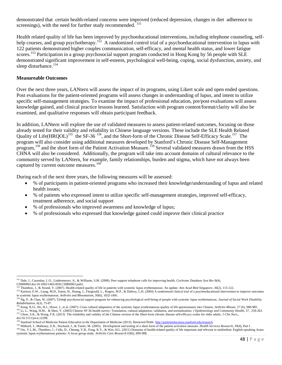demonstrated that certain health-related concerns were improved (reduced depression, changes in diet adherence to screenings), with the need for further study recommended. <sup>[151](#page-48-0)</sup>

Health related quality of life has been improved by psychoeducational interventions, including telephone counseling, self-help courses, and group psychotherapy.<sup>[152](#page-48-1)</sup> A randomized control trial of a psychoeducational intervention in lupus with 122 patients demonstrated higher couples communication, self-efficacy, and mental health status, and lower fatigue scores.<sup>[153](#page-48-2)</sup> Participation in a group psychosocial support program conducted in Hong Kong by 56 people with SLE demonstrated significant improvement in self-esteem, psychological well-being, coping, social dysfunction, anxiety, and sleep disturbance.<sup>[154](#page-48-3)</sup>

#### **Measureable Outcomes**

Over the next three years, LANtern will assess the impact of its programs, using Likert scale and open ended questions. Post evaluations for the patient-oriented programs will assess changes in understanding of lupus, and intent to utilize specific self-management strategies. To examine the impact of professional education, pre/post evaluations will assess knowledge gained, and clinical practice lessons learned. Satisfaction with program content/format/clarity will also be examined, and qualitative responses will obtain participant feedback.

In addition, LANtern will explore the use of validated measures to assess patient-related outcomes, focusing on those already tested for their validity and reliability in Chinese language versions. These include the SLE Health Related Quality of Life(HRQOL)<sup>[155](#page-48-4)</sup> the SF-36<sup>[156](#page-48-5)</sup>, and the Short-form of the Chronic Disease Self-Efficacy Scale.<sup>[157](#page-48-6)</sup> The program will also consider using additional measures developed by Stanford's Chronic Disease Self-Management program, <sup>[158](#page-48-7)</sup> and the short form of the Patient Activation Measure. <sup>[159](#page-48-8)</sup> Several validated measures drawn from the HSS CHNA will also be considered. Additionally, the program will take into account domains of cultural relevance to the community served by LANtern, for example, family relationships, burden and stigma, which have not always been captured by current outcome measures.<sup>[160](#page-48-9)</sup>

During each of the next three years, the following measures will be assessed:

- % of participants in patient-oriented programs who increased their knowledge/understanding of lupus and related health issues;
- % of patients who expressed intent to utilize specific self-management strategies, improved self-efficacy, treatment adherence, and social support
- % of professionals who improved awareness and knowledge of lupus;
- % of professionals who expressed that knowledge gained could improve their clinical practice

 $\overline{\phantom{a}}$ 

<span id="page-48-0"></span><sup>151</sup> Dale, J., Caramlau, I..O., Lindenmeyer, A., & Williams, S.M. (2008). Peer support telephone calls for improving health. *Cochrane Database Syst Rev* 8(4),

<span id="page-48-1"></span>CD006903.doi:10.1002/14651858.CD006903.pub2.<br><sup>152</sup> Thumboo, J., & Strand, V. (2007). Health-related quality of life in patients with systemic lupus erythematosus: An update. Ann Acad Med Singapore, 36(2), 115-122. 153 Karlson, E.W., Liang, M.H., Eaton, H., Huang, J., Fitzgerald, L., Rogers, M.P., & Daltroy, L.H. (2004) A randomized clinical trial of a psychoeducational intervention to improve outcomes

<span id="page-48-2"></span>in systemic lupus erythematosus. Arthritis and Rheumatism, 50(6), 1832-1841.<br><sup>154</sup> Ng, P., & Chan, W. (2007). Group psychosocial support program for enhancing psychological well-being of people with systemic lupus erythema

<span id="page-48-4"></span><span id="page-48-3"></span>Rehabilitation, 6(3), 75-87.<br><sup>155</sup> Kong. K.O., Ho, H.J., Howe, J., et al. (2007). Cross cultural adaptation of the systemic lupus erythematosus quality of life questionnaire into Chinese. *Arthritis Rheum*, 57 (6), 980-985

<span id="page-48-5"></span><sup>&</sup>lt;sup>156</sup> Li, L., Wang, H.M., & Shen, Y. (2003) Chinese SF-36 health survey: Translation, cultural adaptation, validation, and normalization. *J Epidemiology and Community Health*, 57, 259-263.<br><sup>157</sup> Chow, S.K., & Wong, F.K. (

<span id="page-48-6"></span>doi:10.1111/jocn.12298.<br><sup>158</sup> Stanford School of Medicine Patient Education in the Department of Medicine (2013). Retrieved from http://patienteducation.stanford.edu/research

<span id="page-48-9"></span><span id="page-48-8"></span><span id="page-48-7"></span><sup>159</sup> Hibbard, J., Mahoney, E.R., Stockard, J., & Tusler, M. (2005). Development and testing of a short form of the patient activation measure. *Health Services Research*, 39(4), Part I. <sup>160</sup> Ow, Y.L.M., Thumboo, J., Cella, D., Cheung, Y.B., Fong, K.Y., & Wee, H.L. (2011) Domains of health-related quality of life important and relevant to multiethnic English-speaking Asian systemic lupus erythematosus patients: A focus group study. *Arthritis Care Research 63*(6), 899-908.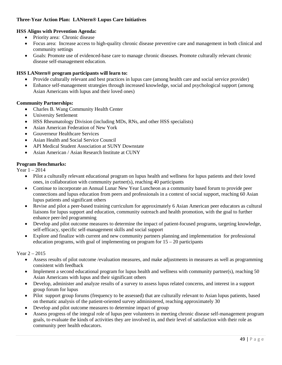## **Three-Year Action Plan: LANtern® Lupus Care Initiatives**

## **HSS Aligns with Prevention Agenda:**

- Priority area: Chronic disease
- Focus area: Increase access to high-quality chronic disease preventive care and management in both clinical and community settings
- Goals: Promote use of evidenced-base care to manage chronic diseases. Promote culturally relevant chronic disease self-management education.

## **HSS LANtern® program participants will learn to:**

- Provide culturally relevant and best practices in lupus care (among health care and social service provider)
- Enhance self-management strategies through increased knowledge, social and psychological support (among Asian Americans with lupus and their loved ones)

## **Community Partnerships:**

- Charles B. Wang Community Health Center
- University Settlement
- HSS Rheumatology Division (including MDs, RNs, and other HSS specialists)
- Asian American Federation of New York
- Gouverneur Healthcare Services
- Asian Health and Social Service Council
- API Medical Student Association at SUNY Downstate
- Asian American / Asian Research Institute at CUNY

#### **Program Benchmarks:**

Year 1 – 2014

- Pilot a culturally relevant educational program on lupus health and wellness for lupus patients and their loved ones, in collaboration with community partner(s), reaching 40 participants
- Continue to incorporate an Annual Lunar New Year Luncheon as a community based forum to provide peer connections and lupus education from peers and professionals in a context of social support, reaching 60 Asian lupus patients and significant others
- Revise and pilot a peer-based training curriculum for approximately 6 Asian American peer educators as cultural liaisons for lupus support and education, community outreach and health promotion, with the goal to further enhance peer-led programming
- Develop and pilot outcome measures to determine the impact of patient-focused programs, targeting knowledge, self-efficacy, specific self-management skills and social support
- Explore and finalize with current and new community partners planning and implementation for professional education programs, with goal of implementing on program for  $15 - 20$  participants

Year 2 – 2015

- Assess results of pilot outcome /evaluation measures, and make adjustments in measures as well as programming consistent with feedback
- Implement a second educational program for lupus health and wellness with community partner(s), reaching 50 Asian Americans with lupus and their significant others
- Develop, administer and analyze results of a survey to assess lupus related concerns, and interest in a support group forum for lupus
- Pilot support group forums (frequency to be assessed) that are culturally relevant to Asian lupus patients, based on thematic analysis of the patient-oriented survey administered, reaching approximately 30
- Develop and pilot outcome measures to determine impact of group
- Assess progress of the integral role of lupus peer volunteers in meeting chronic disease self-management program goals, to evaluate the kinds of activities they are involved in, and their level of satisfaction with their role as community peer health educators.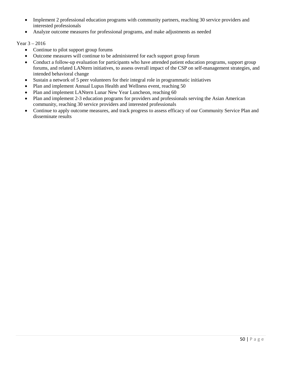- Implement 2 professional education programs with community partners, reaching 30 service providers and interested professionals
- Analyze outcome measures for professional programs, and make adjustments as needed

## Year 3 – 2016

- Continue to pilot support group forums
- Outcome measures will continue to be administered for each support group forum
- Conduct a follow-up evaluation for participants who have attended patient education programs, support group forums, and related LANtern initiatives, to assess overall impact of the CSP on self-management strategies, and intended behavioral change
- Sustain a network of 5 peer volunteers for their integral role in programmatic initiatives
- Plan and implement Annual Lupus Health and Wellness event, reaching 50
- Plan and implement LANtern Lunar New Year Luncheon, reaching 60
- Plan and implement 2-3 education programs for providers and professionals serving the Asian American community, reaching 30 service providers and interested professionals
- Continue to apply outcome measures, and track progress to assess efficacy of our Community Service Plan and disseminate results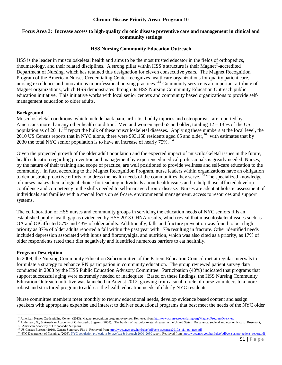#### **Chronic Disease Priority Area: Program 10**

## **Focus Area 3: Increase access to high-quality chronic disease preventive care and management in clinical and community settings**

#### **HSS Nursing Community Education Outreach**

HSS is the leader in musculoskeletal health and aims to be the most trusted educator in the fields of orthopedics, rheumatology, and their related disciplines. A strong pillar within HSS's structure is their Magnet®-accredited Department of Nursing, which has retained this designation for eleven consecutive years. The Magnet Recognition Program of the American Nurses Credentialing Center recognizes healthcare organizations for quality patient care, nursing excellence and innovations in professional nursing practices.<sup>[161](#page-51-0)</sup> Community service is an important attribute of Magnet organizations, which HSS demonstrates through its HSS Nursing Community Education Outreach public education initiative. This initiative works with local senior centers and community based organizations to provide selfmanagement education to older adults.

#### **Background**

Musculoskeletal conditions, which include back pain, arthritis, bodily injuries and osteoporosis, are reported by Americans more than any other health condition. Men and women aged 65 and older, totaling 12 – 13 % of the US population as of  $2011$ ,  $162$  report the bulk of these musculoskeletal diseases. Applying these numbers at the local level, the 2010 US Census reports that in NYC alone, there were 993,158 residents aged 65 and older,<sup>[163](#page-51-2)</sup> with estimates that by 2030 the total NYC senior population is to have an increase of nearly  $75\%$ . <sup>[164](#page-51-3)</sup>

Given the projected growth of the older adult population and the expected impact of musculoskeletal issues in the future, health education regarding prevention and management by experienced medical professionals is greatly needed. Nurses, by the nature of their training and scope of practice, are well positioned to provide wellness and self-care education to the community. In fact, according to the Magnet Recognition Program, nurse leaders within organizations have an obligation to demonstrate proactive efforts to address the health needs of the communities they serve.<sup>161</sup> The specialized knowledge of nurses makes them a logical choice for teaching individuals about health issues and to help those afflicted develop confidence and competency in the skills needed to self-manage chronic disease. Nurses are adept at holistic assessment of individuals and families with a special focus on self-care, environmental management, access to resources and support systems.

The collaboration of HSS nurses and community groups in servicing the education needs of NYC seniors fills an established public health gap as evidenced by HSS 2013 CHNA results, which reveal that musculoskeletal issues such as OA and OP affected 57% and 43% of older adults. Additionally, falls and fracture prevention was found to be a high priority as 37% of older adults reported a fall within the past year with 17% resulting in fracture. Other identified needs included depression associated with lupus and fibromyalgia, and nutrition, which was also cited as a priority, as 17% of older respondents rated their diet negatively and identified numerous barriers to eat healthily.

#### **Program Description**

In 2009, the Nursing Community Education Subcommittee of the Patient Education Council met at regular intervals to formulate a strategy to enhance RN participation in community education. The group reviewed patient survey data conducted in 2008 by the HSS Public Education Advisory Committee. Participation (40%) indicated that programs that support successful aging were extremely needed or inadequate. Based on these findings, the HSS Nursing Community Education Outreach initiative was launched in August 2012, growing from a small circle of nurse volunteers to a more robust and structured program to address the health education needs of elderly NYC residents.

Nurse committee members meet monthly to review educational needs, develop evidence based content and assign speakers with appropriate expertise and interest to deliver educational programs that best meet the needs of the NYC older

<sup>161</sup> American Nurses Credentialing Center. (2013). Magnet recognition program overview. Retrieved from http://www.nursecredentialing.org/Magnet/ProgramOverview

<span id="page-51-1"></span><span id="page-51-0"></span>Andersson, G., & American Academy of Orthopaedic Sugeons (2008). The burden of musculoskeletal diseases in the United States: Prevalence, societal and economic cost. Rosemont, IL: American Academy of Orthopaedic Surgeons.<br><sup>163</sup> US Census Bureau. (2010). Census Summary File 1. Retrieved from http://www.nyc.gov/html/dcp/pdf/census/census2010/t sf1\_p1\_nyc.pdf

<span id="page-51-2"></span>

<span id="page-51-3"></span><sup>164</sup> NYC Department of Planning. (2006). NYC population projections by age/sex & borough 2000-2030 report. Retrieved fro[m http://www.nyc.gov/html/dcp/pdf/census/projections\\_report.pdf](http://www.nyc.gov/html/dcp/pdf/census/projections_report.pdf)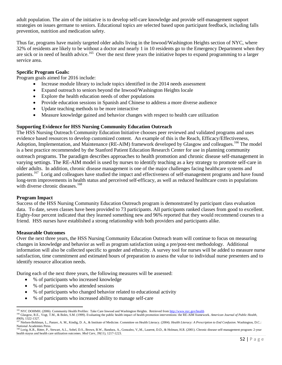adult population. The aim of the initiative is to develop self-care knowledge and provide self-management support strategies on issues germane to seniors. Educational topics are selected based upon participant feedback, including falls prevention, nutrition and medication safety.

Thus far, programs have mainly targeted older adults living in the Inwood/Washington Heights section of NYC, where 32% of residents are likely to be without a doctor and nearly 1 in 10 residents go to the Emergency Department when they are sick or in need of health advice.<sup>[165](#page-52-0)</sup> Over the next three years the initiative hopes to expand programming to a larger service area.

## **Specific Program Goals:**

Program goals aimed for 2016 include:

- Increase module library to include topics identified in the 2014 needs assessment
- Expand outreach to seniors beyond the Inwood/Washington Heights locale
- Explore the health education needs of other populations
- Provide education sessions in Spanish and Chinese to address a more diverse audience
- Update teaching methods to be more interactive
- Measure knowledge gained and behavior changes with respect to health care utilization

#### **Supporting Evidence for HSS Nursing Community Education Outreach**

The HSS Nursing Outreach Community Education Initiative chooses peer reviewed and validated programs and uses evidence based resources to develop customized content. An example of this is the Reach, Efficacy/Effectiveness, Adoption, Implementation, and Maintenance (RE-AIM) framework developed by Glasgow and colleagues.<sup>[166](#page-52-1)</sup> The model is a best practice recommended by the Stanford Patient Education Research Center for use in planning community outreach programs. The paradigm describes approaches to health promotion and chronic disease self-management in varying settings. The RE-AIM model is used by nurses to identify teaching as a key strategy to promote self-care in older adults. In addition, chronic disease management is one of the major challenges facing healthcare systems and patients.<sup>167</sup> Lorig and colleagues have studied the impact and effectiveness of self-management programs and have found long-term improvements in health status and perceived self-efficacy, as well as reduced healthcare costs in populations with diverse chronic diseases.<sup>[168](#page-52-3)</sup>

#### **Program Impact**

Success of the HSS Nursing Community Education Outreach program is demonstrated by participant class evaluation data. To date, seven classes have been provided to 73 participants. All participants ranked classes from good to excellent. Eighty-four percent indicated that they learned something new and 96% reported that they would recommend courses to a friend. HSS nurses have established a strong relationship with both providers and participants alike.

#### **Measurable Outcomes**

Over the next three years, the HSS Nursing Community Education Outreach team will continue to focus on measuring changes in knowledge and behavior as well as program satisfaction using a pre/post-test methodology. Additional information will also be collected specific to gender and ethnicity. A survey tool for nurses will be added to measure nurse satisfaction, time commitment and estimated hours of preparation to assess the value to individual nurse presenters and to identify resource allocation needs.

During each of the next three years, the following measures will be assessed:

- % of participants who increased knowledge
- % of participants who attended sessions
- % of participants who changed behavior related to educational activity
- % of participants who increased ability to manage self-care

 $\overline{\phantom{a}}$ 

<span id="page-52-1"></span><span id="page-52-0"></span><sup>&</sup>lt;sup>165</sup> NYC DOHMH. (2006). Community Health Profiles: Take Care Inwood and Washington Heights. Retrieved fro[m http://www.nyc.gov/health](http://www.nyc.gov/health)<br><sup>166</sup> Glasgow, R.E., Vogt, T.M., & Boles, S.M. (1999). Evaluating the public health impa

<span id="page-52-2"></span>*<sup>89</sup>*(9), 1322-1327. <sup>167</sup> Nielsen-Bohlman, L., Panzer, A. M., Kindig, D. A., & Institute of Medicine. Committee on Health Literacy. (2004). *Health Literacy: A Prescription to End Confusion*. Washington, D.C.: National Academies Press.<br><sup>168</sup> Lorig, K.R., Ritter, P., Stewart, A.L., Sobel, D.S., Brown, B.W., Bandura, A., Gonzalez, V,.M., Laurent, D.D., & Holman, H.R. (2001). Chronic disease self-management program: 2-year

<span id="page-52-3"></span>health stayus and health care utilization outcomes. *Med Care, 39*(11), 1217-1223.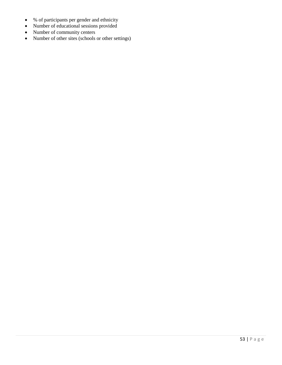- % of participants per gender and ethnicity
- Number of educational sessions provided
- Number of community centers
- Number of other sites (schools or other settings)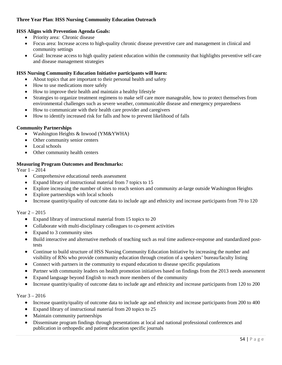## **Three Year Plan**: **HSS Nursing Community Education Outreach**

## **HSS Aligns with Prevention Agenda Goals:**

- Priority area: Chronic disease
- Focus area: Increase access to high-quality chronic disease preventive care and management in clinical and community settings
- Goal: Increase access to high quality patient education within the community that highlights preventive self-care and disease management strategies

#### **HSS Nursing Community Education Initiative participants will learn:**

- About topics that are important to their personal health and safety
- How to use medications more safely
- How to improve their health and maintain a healthy lifestyle
- Strategies to organize treatment regimens to make self care more manageable, how to protect themselves from environmental challenges such as severe weather, communicable disease and emergency preparedness
- How to communicate with their health care provider and caregivers
- How to identify increased risk for falls and how to prevent likelihood of falls

#### **Community Partnerships**

- Washington Heights & Inwood (YM&YWHA)
- Other community senior centers
- Local schools
- Other community health centers

#### **Measuring Program Outcomes and Benchmarks:**

Year 1 – 2014

- Comprehensive educational needs assessment
- Expand library of instructional material from 7 topics to 15
- Explore increasing the number of sites to reach seniors and community at-large outside Washington Heights
- Explore partnerships with local schools
- Increase quantity/quality of outcome data to include age and ethnicity and increase participants from 70 to 120

#### Year 2 – 2015

- Expand library of instructional material from 15 topics to 20
- Collaborate with multi-disciplinary colleagues to co-present activities
- Expand to 3 community sites
- Build interactive and alternative methods of teaching such as real time audience-response and standardized posttests
- Continue to build structure of HSS Nursing Community Education Initiative by increasing the number and visibility of RNs who provide community education through creation of a speakers' bureau/faculty listing
- Connect with partners in the community to expand education to disease specific populations
- Partner with community leaders on health promotion initiatives based on findings from the 2013 needs assessment
- Expand language beyond English to reach more members of the community
- Increase quantity/quality of outcome data to include age and ethnicity and increase participants from 120 to 200

#### Year 3 – 2016

- Increase quantity/quality of outcome data to include age and ethnicity and increase participants from 200 to 400
- Expand library of instructional material from 20 topics to 25
- Maintain community partnerships
- Disseminate program findings through presentations at local and national professional conferences and publication in orthopedic and patient education specific journals